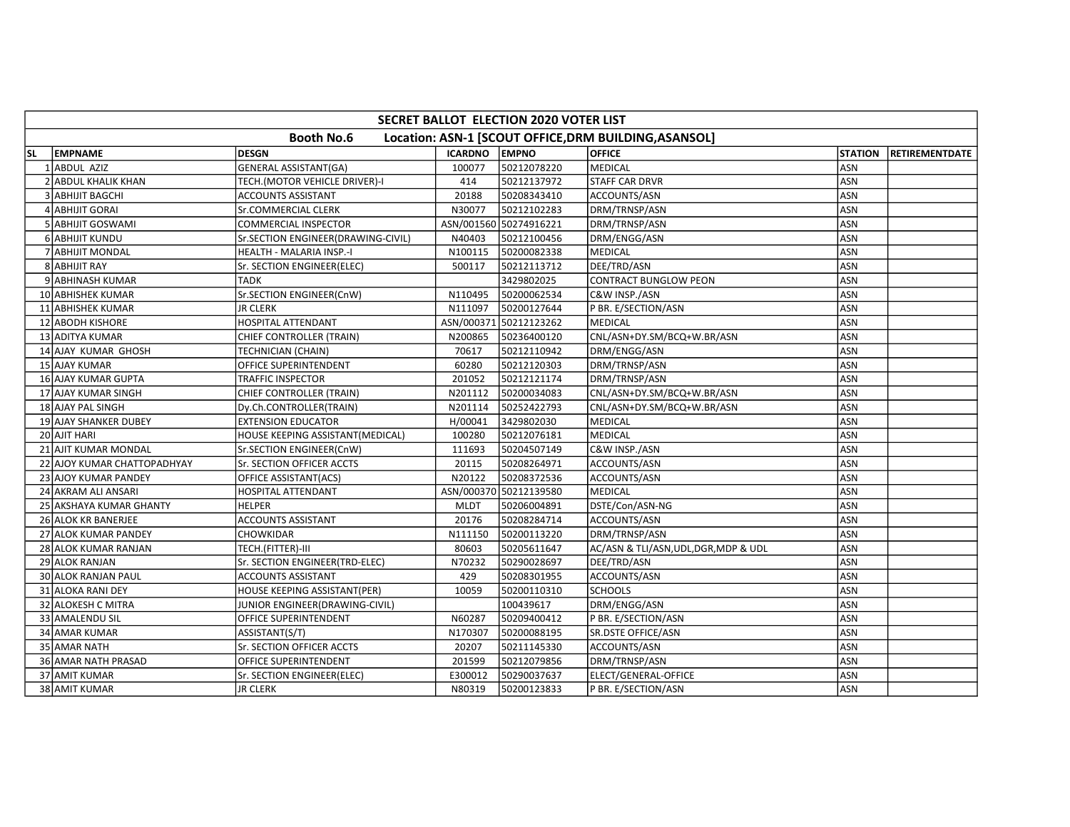|     | <b>SECRET BALLOT ELECTION 2020 VOTER LIST</b> |                                    |                |                        |                                                       |                |                        |  |  |  |  |  |
|-----|-----------------------------------------------|------------------------------------|----------------|------------------------|-------------------------------------------------------|----------------|------------------------|--|--|--|--|--|
|     |                                               | <b>Booth No.6</b>                  |                |                        | Location: ASN-1 [SCOUT OFFICE, DRM BUILDING, ASANSOL] |                |                        |  |  |  |  |  |
| SL. | <b>LEMPNAME</b>                               | <b>DESGN</b>                       | <b>ICARDNO</b> | <b>EMPNO</b>           | <b>OFFICE</b>                                         | <b>STATION</b> | <b>IRETIREMENTDATE</b> |  |  |  |  |  |
|     | 1 ABDUL AZIZ                                  | <b>GENERAL ASSISTANT(GA)</b>       | 100077         | 50212078220            | <b>MEDICAL</b>                                        | ASN            |                        |  |  |  |  |  |
|     | <b>ABDUL KHALIK KHAN</b>                      | TECH.(MOTOR VEHICLE DRIVER)-I      | 414            | 50212137972            | <b>STAFF CAR DRVR</b>                                 | ASN            |                        |  |  |  |  |  |
|     | 3 ABHIJIT BAGCHI                              | <b>ACCOUNTS ASSISTANT</b>          | 20188          | 50208343410            | ACCOUNTS/ASN                                          | <b>ASN</b>     |                        |  |  |  |  |  |
|     | 4 ABHIJIT GORAI                               | Sr.COMMERCIAL CLERK                | N30077         | 50212102283            | DRM/TRNSP/ASN                                         | ASN            |                        |  |  |  |  |  |
|     | 5 ABHIJIT GOSWAMI                             | <b>COMMERCIAL INSPECTOR</b>        |                | ASN/001560 50274916221 | DRM/TRNSP/ASN                                         | <b>ASN</b>     |                        |  |  |  |  |  |
|     | 6 ABHIJIT KUNDU                               | Sr.SECTION ENGINEER(DRAWING-CIVIL) | N40403         | 50212100456            | DRM/ENGG/ASN                                          | <b>ASN</b>     |                        |  |  |  |  |  |
|     | <b>ABHIJIT MONDAL</b>                         | HEALTH - MALARIA INSP.-I           | N100115        | 50200082338            | <b>MEDICAL</b>                                        | ASN            |                        |  |  |  |  |  |
|     | 8 ABHIJIT RAY                                 | Sr. SECTION ENGINEER(ELEC)         | 500117         | 50212113712            | DEE/TRD/ASN                                           | ASN            |                        |  |  |  |  |  |
|     | 9 ABHINASH KUMAR                              | TADK                               |                | 3429802025             | <b>CONTRACT BUNGLOW PEON</b>                          | <b>ASN</b>     |                        |  |  |  |  |  |
|     | 10 ABHISHEK KUMAR                             | Sr.SECTION ENGINEER(CnW)           | N110495        | 50200062534            | C&W INSP./ASN                                         | <b>ASN</b>     |                        |  |  |  |  |  |
|     | 11 ABHISHEK KUMAR                             | <b>JR CLERK</b>                    | N111097        | 50200127644            | P BR. E/SECTION/ASN                                   | ASN            |                        |  |  |  |  |  |
|     | 12 ABODH KISHORE                              | HOSPITAL ATTENDANT                 |                | ASN/000371 50212123262 | <b>MEDICAL</b>                                        | <b>ASN</b>     |                        |  |  |  |  |  |
|     | 13 ADITYA KUMAR                               | CHIEF CONTROLLER (TRAIN)           | N200865        | 50236400120            | CNL/ASN+DY.SM/BCQ+W.BR/ASN                            | ASN            |                        |  |  |  |  |  |
|     | 14 AJAY KUMAR GHOSH                           | TECHNICIAN (CHAIN)                 | 70617          | 50212110942            | DRM/ENGG/ASN                                          | ASN            |                        |  |  |  |  |  |
|     | 15 AJAY KUMAR                                 | OFFICE SUPERINTENDENT              | 60280          | 50212120303            | DRM/TRNSP/ASN                                         | <b>ASN</b>     |                        |  |  |  |  |  |
|     | 16 AJAY KUMAR GUPTA                           | <b>TRAFFIC INSPECTOR</b>           | 201052         | 50212121174            | DRM/TRNSP/ASN                                         | ASN            |                        |  |  |  |  |  |
|     | 17 AJAY KUMAR SINGH                           | <b>CHIEF CONTROLLER (TRAIN)</b>    | N201112        | 50200034083            | CNL/ASN+DY.SM/BCQ+W.BR/ASN                            | ASN            |                        |  |  |  |  |  |
|     | 18 AJAY PAL SINGH                             | Dy.Ch.CONTROLLER(TRAIN)            | N201114        | 50252422793            | CNL/ASN+DY.SM/BCQ+W.BR/ASN                            | ASN            |                        |  |  |  |  |  |
|     | 19 AJAY SHANKER DUBEY                         | <b>EXTENSION EDUCATOR</b>          | H/00041        | 3429802030             | <b>MEDICAL</b>                                        | ASN            |                        |  |  |  |  |  |
|     | 20 AJIT HARI                                  | HOUSE KEEPING ASSISTANT(MEDICAL)   | 100280         | 50212076181            | <b>MEDICAL</b>                                        | ASN            |                        |  |  |  |  |  |
|     | 21 AJIT KUMAR MONDAL                          | Sr.SECTION ENGINEER(CnW)           | 111693         | 50204507149            | C&W INSP./ASN                                         | <b>ASN</b>     |                        |  |  |  |  |  |
|     | 22 AJOY KUMAR CHATTOPADHYAY                   | Sr. SECTION OFFICER ACCTS          | 20115          | 50208264971            | ACCOUNTS/ASN                                          | <b>ASN</b>     |                        |  |  |  |  |  |
|     | 23 AJOY KUMAR PANDEY                          | OFFICE ASSISTANT(ACS)              | N20122         | 50208372536            | ACCOUNTS/ASN                                          | ASN            |                        |  |  |  |  |  |
|     | 24 AKRAM ALI ANSARI                           | HOSPITAL ATTENDANT                 |                | ASN/000370 50212139580 | <b>MEDICAL</b>                                        | <b>ASN</b>     |                        |  |  |  |  |  |
|     | 25 AKSHAYA KUMAR GHANTY                       | <b>HELPER</b>                      | <b>MLDT</b>    | 50206004891            | DSTE/Con/ASN-NG                                       | ASN            |                        |  |  |  |  |  |
|     | 26 ALOK KR BANERJEE                           | <b>ACCOUNTS ASSISTANT</b>          | 20176          | 50208284714            | ACCOUNTS/ASN                                          | ASN            |                        |  |  |  |  |  |
|     | 27 ALOK KUMAR PANDEY                          | CHOWKIDAR                          | N111150        | 50200113220            | DRM/TRNSP/ASN                                         | <b>ASN</b>     |                        |  |  |  |  |  |
|     | 28 ALOK KUMAR RANJAN                          | TECH.(FITTER)-III                  | 80603          | 50205611647            | AC/ASN & TLI/ASN, UDL, DGR, MDP & UDL                 | ASN            |                        |  |  |  |  |  |
|     | 29 ALOK RANJAN                                | Sr. SECTION ENGINEER(TRD-ELEC)     | N70232         | 50290028697            | DEE/TRD/ASN                                           | <b>ASN</b>     |                        |  |  |  |  |  |
|     | <b>30 ALOK RANJAN PAUL</b>                    | <b>ACCOUNTS ASSISTANT</b>          | 429            | 50208301955            | ACCOUNTS/ASN                                          | ASN            |                        |  |  |  |  |  |
|     | 31 ALOKA RANI DEY                             | HOUSE KEEPING ASSISTANT(PER)       | 10059          | 50200110310            | <b>SCHOOLS</b>                                        | ASN            |                        |  |  |  |  |  |
|     | 32 ALOKESH C MITRA                            | JUNIOR ENGINEER(DRAWING-CIVIL)     |                | 100439617              | DRM/ENGG/ASN                                          | ASN            |                        |  |  |  |  |  |
|     | 33 AMALENDU SIL                               | OFFICE SUPERINTENDENT              | N60287         | 50209400412            | P BR. E/SECTION/ASN                                   | <b>ASN</b>     |                        |  |  |  |  |  |
|     | 34 AMAR KUMAR                                 | ASSISTANT(S/T)                     | N170307        | 50200088195            | SR.DSTE OFFICE/ASN                                    | <b>ASN</b>     |                        |  |  |  |  |  |
|     | 35 AMAR NATH                                  | Sr. SECTION OFFICER ACCTS          | 20207          | 50211145330            | ACCOUNTS/ASN                                          | ASN            |                        |  |  |  |  |  |
|     | 36 AMAR NATH PRASAD                           | OFFICE SUPERINTENDENT              | 201599         | 50212079856            | DRM/TRNSP/ASN                                         | ASN            |                        |  |  |  |  |  |
|     | 37 AMIT KUMAR                                 | Sr. SECTION ENGINEER(ELEC)         | E300012        | 50290037637            | ELECT/GENERAL-OFFICE                                  | <b>ASN</b>     |                        |  |  |  |  |  |
|     | 38 AMIT KUMAR                                 | <b>JR CLERK</b>                    | N80319         | 50200123833            | P BR. E/SECTION/ASN                                   | ASN            |                        |  |  |  |  |  |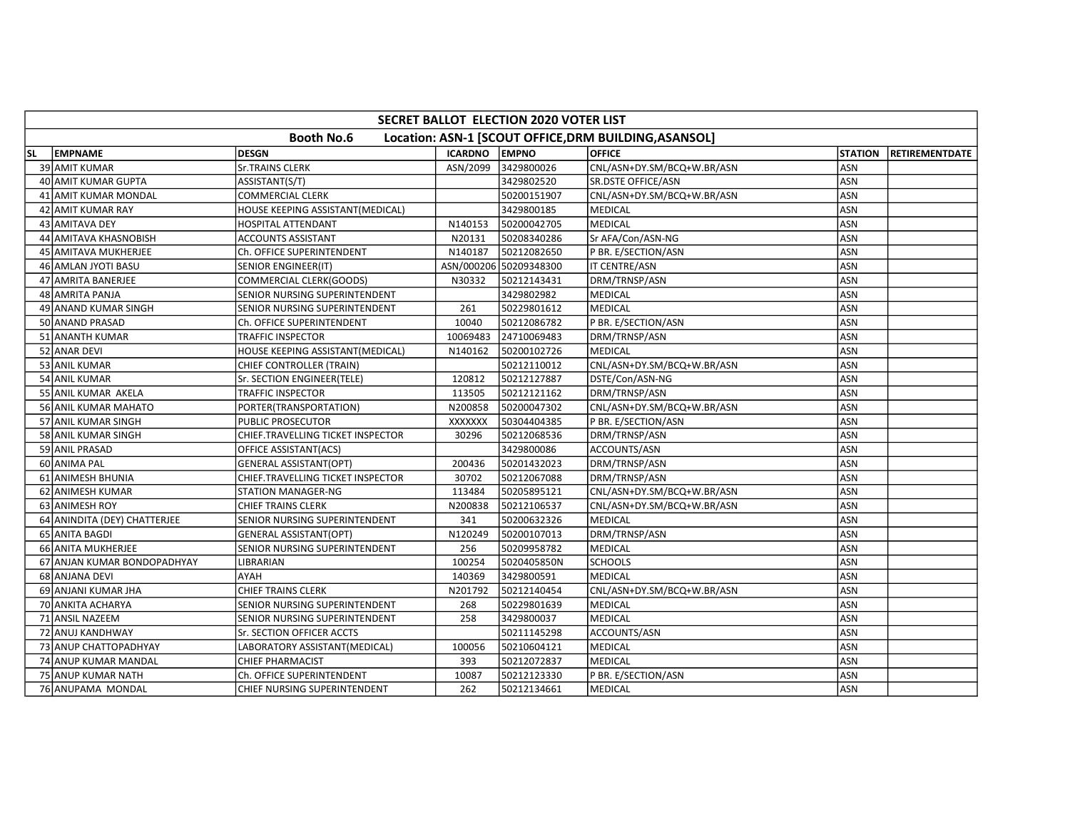|           | SECRET BALLOT ELECTION 2020 VOTER LIST |                                   |                |                        |                                                       |                |                       |  |  |  |  |
|-----------|----------------------------------------|-----------------------------------|----------------|------------------------|-------------------------------------------------------|----------------|-----------------------|--|--|--|--|
|           |                                        | <b>Booth No.6</b>                 |                |                        | Location: ASN-1 [SCOUT OFFICE, DRM BUILDING, ASANSOL] |                |                       |  |  |  |  |
| <b>SL</b> | <b>EMPNAME</b>                         | <b>DESGN</b>                      | <b>ICARDNO</b> | <b>EMPNO</b>           | <b>OFFICE</b>                                         | <b>STATION</b> | <b>RETIREMENTDATE</b> |  |  |  |  |
|           | 39 AMIT KUMAR                          | <b>Sr.TRAINS CLERK</b>            | ASN/2099       | 3429800026             | CNL/ASN+DY.SM/BCQ+W.BR/ASN                            | <b>ASN</b>     |                       |  |  |  |  |
|           | 40 AMIT KUMAR GUPTA                    | ASSISTANT(S/T)                    |                | 3429802520             | <b>SR.DSTE OFFICE/ASN</b>                             | ASN            |                       |  |  |  |  |
|           | 41 AMIT KUMAR MONDAL                   | COMMERCIAL CLERK                  |                | 50200151907            | CNL/ASN+DY.SM/BCQ+W.BR/ASN                            | <b>ASN</b>     |                       |  |  |  |  |
|           | 42 AMIT KUMAR RAY                      | HOUSE KEEPING ASSISTANT(MEDICAL)  |                | 3429800185             | <b>MEDICAL</b>                                        | <b>ASN</b>     |                       |  |  |  |  |
|           | 43 AMITAVA DEY                         | <b>HOSPITAL ATTENDANT</b>         | N140153        | 50200042705            | <b>MEDICAL</b>                                        | ASN            |                       |  |  |  |  |
|           | 44 AMITAVA KHASNOBISH                  | <b>ACCOUNTS ASSISTANT</b>         | N20131         | 50208340286            | Sr AFA/Con/ASN-NG                                     | ASN            |                       |  |  |  |  |
|           | 45 AMITAVA MUKHERJEE                   | Ch. OFFICE SUPERINTENDENT         | N140187        | 50212082650            | P BR. E/SECTION/ASN                                   | ASN            |                       |  |  |  |  |
|           | 46 AMLAN JYOTI BASU                    | SENIOR ENGINEER(IT)               |                | ASN/000206 50209348300 | IT CENTRE/ASN                                         | ASN            |                       |  |  |  |  |
|           | 47 AMRITA BANERJEE                     | COMMERCIAL CLERK(GOODS)           | N30332         | 50212143431            | DRM/TRNSP/ASN                                         | <b>ASN</b>     |                       |  |  |  |  |
|           | 48 AMRITA PANJA                        | SENIOR NURSING SUPERINTENDENT     |                | 3429802982             | MEDICAL                                               | <b>ASN</b>     |                       |  |  |  |  |
|           | 49 ANAND KUMAR SINGH                   | SENIOR NURSING SUPERINTENDENT     | 261            | 50229801612            | MEDICAL                                               | <b>ASN</b>     |                       |  |  |  |  |
|           | 50 ANAND PRASAD                        | Ch. OFFICE SUPERINTENDENT         | 10040          | 50212086782            | P BR. E/SECTION/ASN                                   | ASN            |                       |  |  |  |  |
|           | 51 ANANTH KUMAR                        | TRAFFIC INSPECTOR                 | 10069483       | 24710069483            | DRM/TRNSP/ASN                                         | <b>ASN</b>     |                       |  |  |  |  |
|           | 52 ANAR DEVI                           | HOUSE KEEPING ASSISTANT(MEDICAL)  | N140162        | 50200102726            | <b>MEDICAL</b>                                        | <b>ASN</b>     |                       |  |  |  |  |
|           | 53 ANIL KUMAR                          | CHIEF CONTROLLER (TRAIN)          |                | 50212110012            | CNL/ASN+DY.SM/BCQ+W.BR/ASN                            | ASN            |                       |  |  |  |  |
|           | 54 ANIL KUMAR                          | Sr. SECTION ENGINEER(TELE)        | 120812         | 50212127887            | DSTE/Con/ASN-NG                                       | ASN            |                       |  |  |  |  |
|           | 55 ANIL KUMAR AKELA                    | TRAFFIC INSPECTOR                 | 113505         | 50212121162            | DRM/TRNSP/ASN                                         | ASN            |                       |  |  |  |  |
|           | 56 ANIL KUMAR MAHATO                   | PORTER(TRANSPORTATION)            | N200858        | 50200047302            | CNL/ASN+DY.SM/BCQ+W.BR/ASN                            | ASN            |                       |  |  |  |  |
|           | 57 ANIL KUMAR SINGH                    | PUBLIC PROSECUTOR                 | XXXXXXX        | 50304404385            | P BR. E/SECTION/ASN                                   | ASN            |                       |  |  |  |  |
|           | 58 ANIL KUMAR SINGH                    | CHIEF.TRAVELLING TICKET INSPECTOR | 30296          | 50212068536            | DRM/TRNSP/ASN                                         | ASN            |                       |  |  |  |  |
|           | 59 ANIL PRASAD                         | OFFICE ASSISTANT(ACS)             |                | 3429800086             | ACCOUNTS/ASN                                          | ASN            |                       |  |  |  |  |
|           | 60 ANIMA PAL                           | <b>GENERAL ASSISTANT(OPT)</b>     | 200436         | 50201432023            | DRM/TRNSP/ASN                                         | <b>ASN</b>     |                       |  |  |  |  |
|           | 61 ANIMESH BHUNIA                      | CHIEF.TRAVELLING TICKET INSPECTOR | 30702          | 50212067088            | DRM/TRNSP/ASN                                         | <b>ASN</b>     |                       |  |  |  |  |
|           | 62 ANIMESH KUMAR                       | STATION MANAGER-NG                | 113484         | 50205895121            | CNL/ASN+DY.SM/BCQ+W.BR/ASN                            | <b>ASN</b>     |                       |  |  |  |  |
|           | 63 ANIMESH ROY                         | CHIEF TRAINS CLERK                | N200838        | 50212106537            | CNL/ASN+DY.SM/BCQ+W.BR/ASN                            | ASN            |                       |  |  |  |  |
|           | 64 ANINDITA (DEY) CHATTERJEE           | SENIOR NURSING SUPERINTENDENT     | 341            | 50200632326            | <b>MEDICAL</b>                                        | <b>ASN</b>     |                       |  |  |  |  |
|           | 65 ANITA BAGDI                         | <b>GENERAL ASSISTANT(OPT)</b>     | N120249        | 50200107013            | DRM/TRNSP/ASN                                         | ASN            |                       |  |  |  |  |
|           | 66 ANITA MUKHERJEE                     | SENIOR NURSING SUPERINTENDENT     | 256            | 50209958782            | <b>MEDICAL</b>                                        | ASN            |                       |  |  |  |  |
|           | 67 ANJAN KUMAR BONDOPADHYAY            | LIBRARIAN                         | 100254         | 5020405850N            | <b>SCHOOLS</b>                                        | ASN            |                       |  |  |  |  |
|           | 68 ANJANA DEVI                         | AYAH                              | 140369         | 3429800591             | <b>MEDICAL</b>                                        | ASN            |                       |  |  |  |  |
|           | 69 ANJANI KUMAR JHA                    | <b>CHIEF TRAINS CLERK</b>         | N201792        | 50212140454            | CNL/ASN+DY.SM/BCQ+W.BR/ASN                            | <b>ASN</b>     |                       |  |  |  |  |
|           | 70 ANKITA ACHARYA                      | SENIOR NURSING SUPERINTENDENT     | 268            | 50229801639            | <b>MEDICAL</b>                                        | ASN            |                       |  |  |  |  |
|           | 71 ANSIL NAZEEM                        | SENIOR NURSING SUPERINTENDENT     | 258            | 3429800037             | MEDICAL                                               | <b>ASN</b>     |                       |  |  |  |  |
|           | 72 ANUJ KANDHWAY                       | Sr. SECTION OFFICER ACCTS         |                | 50211145298            | ACCOUNTS/ASN                                          | <b>ASN</b>     |                       |  |  |  |  |
|           | 73 ANUP CHATTOPADHYAY                  | LABORATORY ASSISTANT(MEDICAL)     | 100056         | 50210604121            | MEDICAL                                               | ASN            |                       |  |  |  |  |
|           | 74 ANUP KUMAR MANDAL                   | CHIEF PHARMACIST                  | 393            | 50212072837            | <b>MEDICAL</b>                                        | ASN            |                       |  |  |  |  |
|           | 75 ANUP KUMAR NATH                     | Ch. OFFICE SUPERINTENDENT         | 10087          | 50212123330            | P BR. E/SECTION/ASN                                   | ASN            |                       |  |  |  |  |
|           | 76 ANUPAMA MONDAL                      | CHIEF NURSING SUPERINTENDENT      | 262            | 50212134661            | MEDICAL                                               | ASN            |                       |  |  |  |  |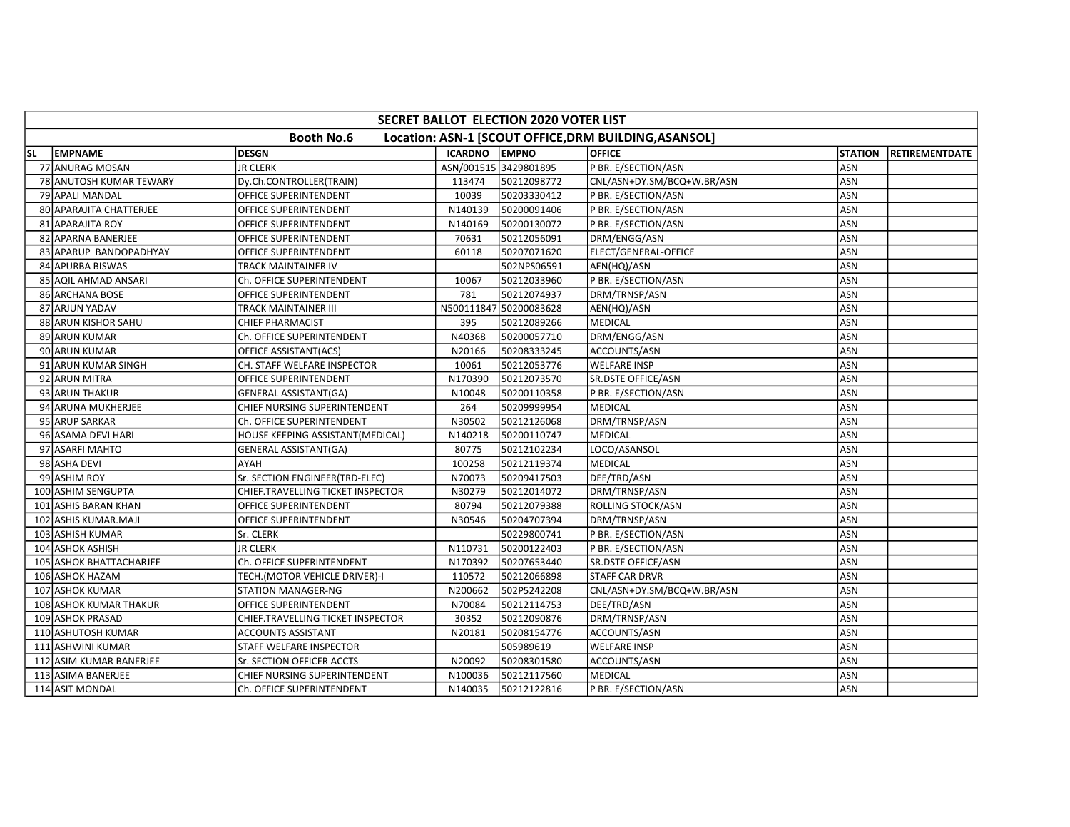|           | SECRET BALLOT ELECTION 2020 VOTER LIST |                                   |                      |                        |                                                       |                |                |  |  |  |  |
|-----------|----------------------------------------|-----------------------------------|----------------------|------------------------|-------------------------------------------------------|----------------|----------------|--|--|--|--|
|           |                                        | <b>Booth No.6</b>                 |                      |                        | Location: ASN-1 [SCOUT OFFICE, DRM BUILDING, ASANSOL] |                |                |  |  |  |  |
| <b>SL</b> | EMPNAME                                | <b>DESGN</b>                      | <b>ICARDNO EMPNO</b> |                        | <b>OFFICE</b>                                         | <b>STATION</b> | RETIREMENTDATE |  |  |  |  |
|           | 77 ANURAG MOSAN                        | <b>JR CLERK</b>                   |                      | ASN/001515 3429801895  | P BR. E/SECTION/ASN                                   | ASN            |                |  |  |  |  |
|           | 78 ANUTOSH KUMAR TEWARY                | Dy.Ch.CONTROLLER(TRAIN)           | 113474               | 50212098772            | CNL/ASN+DY.SM/BCQ+W.BR/ASN                            | <b>ASN</b>     |                |  |  |  |  |
|           | 79 APALI MANDAL                        | OFFICE SUPERINTENDENT             | 10039                | 50203330412            | P BR. E/SECTION/ASN                                   | ASN            |                |  |  |  |  |
|           | 80 APARAJITA CHATTERJEE                | OFFICE SUPERINTENDENT             | N140139              | 50200091406            | P BR. E/SECTION/ASN                                   | ASN            |                |  |  |  |  |
|           | 81 APARAJITA ROY                       | OFFICE SUPERINTENDENT             | N140169              | 50200130072            | P BR. E/SECTION/ASN                                   | <b>ASN</b>     |                |  |  |  |  |
|           | 82 APARNA BANERJEE                     | OFFICE SUPERINTENDENT             | 70631                | 50212056091            | DRM/ENGG/ASN                                          | ASN            |                |  |  |  |  |
|           | 83 APARUP BANDOPADHYAY                 | OFFICE SUPERINTENDENT             | 60118                | 50207071620            | ELECT/GENERAL-OFFICE                                  | ASN            |                |  |  |  |  |
|           | 84 APURBA BISWAS                       | TRACK MAINTAINER IV               |                      | 502NPS06591            | AEN(HQ)/ASN                                           | ASN            |                |  |  |  |  |
|           | 85 AQIL AHMAD ANSARI                   | Ch. OFFICE SUPERINTENDENT         | 10067                | 50212033960            | P BR. E/SECTION/ASN                                   | ASN            |                |  |  |  |  |
|           | 86 ARCHANA BOSE                        | OFFICE SUPERINTENDENT             | 781                  | 50212074937            | DRM/TRNSP/ASN                                         | <b>ASN</b>     |                |  |  |  |  |
|           | 87 ARJUN YADAV                         | TRACK MAINTAINER III              |                      | N500111847 50200083628 | AEN(HQ)/ASN                                           | ASN            |                |  |  |  |  |
|           | 88 ARUN KISHOR SAHU                    | <b>CHIEF PHARMACIST</b>           | 395                  | 50212089266            | <b>MEDICAL</b>                                        | ASN            |                |  |  |  |  |
|           | 89 ARUN KUMAR                          | Ch. OFFICE SUPERINTENDENT         | N40368               | 50200057710            | DRM/ENGG/ASN                                          | <b>ASN</b>     |                |  |  |  |  |
|           | 90 ARUN KUMAR                          | OFFICE ASSISTANT(ACS)             | N20166               | 50208333245            | ACCOUNTS/ASN                                          | <b>ASN</b>     |                |  |  |  |  |
|           | 91 ARUN KUMAR SINGH                    | CH. STAFF WELFARE INSPECTOR       | 10061                | 50212053776            | <b>WELFARE INSP</b>                                   | <b>ASN</b>     |                |  |  |  |  |
|           | 92 ARUN MITRA                          | OFFICE SUPERINTENDENT             | N170390              | 50212073570            | SR.DSTE OFFICE/ASN                                    | ASN            |                |  |  |  |  |
|           | 93 ARUN THAKUR                         | <b>GENERAL ASSISTANT(GA)</b>      | N10048               | 50200110358            | P BR. E/SECTION/ASN                                   | ASN            |                |  |  |  |  |
|           | 94 ARUNA MUKHERJEE                     | CHIEF NURSING SUPERINTENDENT      | 264                  | 50209999954            | MEDICAL                                               | ASN            |                |  |  |  |  |
|           | 95 ARUP SARKAR                         | Ch. OFFICE SUPERINTENDENT         | N30502               | 50212126068            | DRM/TRNSP/ASN                                         | <b>ASN</b>     |                |  |  |  |  |
|           | 96 ASAMA DEVI HARI                     | HOUSE KEEPING ASSISTANT(MEDICAL)  | N140218              | 50200110747            | MEDICAL                                               | <b>ASN</b>     |                |  |  |  |  |
|           | 97 ASARFI MAHTO                        | <b>GENERAL ASSISTANT(GA)</b>      | 80775                | 50212102234            | LOCO/ASANSOL                                          | ASN            |                |  |  |  |  |
|           | 98 ASHA DEVI                           | AYAH                              | 100258               | 50212119374            | <b>MEDICAL</b>                                        | ASN            |                |  |  |  |  |
|           | 99 ASHIM ROY                           | Sr. SECTION ENGINEER(TRD-ELEC)    | N70073               | 50209417503            | DEE/TRD/ASN                                           | ASN            |                |  |  |  |  |
|           | 100 ASHIM SENGUPTA                     | CHIEF.TRAVELLING TICKET INSPECTOR | N30279               | 50212014072            | DRM/TRNSP/ASN                                         | <b>ASN</b>     |                |  |  |  |  |
|           | 101 ASHIS BARAN KHAN                   | OFFICE SUPERINTENDENT             | 80794                | 50212079388            | ROLLING STOCK/ASN                                     | ASN            |                |  |  |  |  |
|           | 102 ASHIS KUMAR.MAJI                   | OFFICE SUPERINTENDENT             | N30546               | 50204707394            | DRM/TRNSP/ASN                                         | ASN            |                |  |  |  |  |
|           | 103 ASHISH KUMAR                       | Sr. CLERK                         |                      | 50229800741            | P BR. E/SECTION/ASN                                   | ASN            |                |  |  |  |  |
|           | 104 ASHOK ASHISH                       | JR CLERK                          | N110731              | 50200122403            | P BR. E/SECTION/ASN                                   | ASN            |                |  |  |  |  |
|           | 105 ASHOK BHATTACHARJEE                | Ch. OFFICE SUPERINTENDENT         | N170392              | 50207653440            | SR.DSTE OFFICE/ASN                                    | ASN            |                |  |  |  |  |
|           | 106 ASHOK HAZAM                        | TECH.(MOTOR VEHICLE DRIVER)-I     | 110572               | 50212066898            | <b>STAFF CAR DRVR</b>                                 | ASN            |                |  |  |  |  |
|           | 107 ASHOK KUMAR                        | <b>STATION MANAGER-NG</b>         | N200662              | 502P5242208            | CNL/ASN+DY.SM/BCQ+W.BR/ASN                            | ASN            |                |  |  |  |  |
|           | 108 ASHOK KUMAR THAKUR                 | OFFICE SUPERINTENDENT             | N70084               | 50212114753            | DEE/TRD/ASN                                           | ASN            |                |  |  |  |  |
|           | 109 ASHOK PRASAD                       | CHIEF.TRAVELLING TICKET INSPECTOR | 30352                | 50212090876            | DRM/TRNSP/ASN                                         | ASN            |                |  |  |  |  |
|           | 110 ASHUTOSH KUMAR                     | <b>ACCOUNTS ASSISTANT</b>         | N20181               | 50208154776            | ACCOUNTS/ASN                                          | ASN            |                |  |  |  |  |
|           | 111 ASHWINI KUMAR                      | STAFF WELFARE INSPECTOR           |                      | 505989619              | <b>WELFARE INSP</b>                                   | ASN            |                |  |  |  |  |
|           | 112 ASIM KUMAR BANERJEE                | Sr. SECTION OFFICER ACCTS         | N20092               | 50208301580            | ACCOUNTS/ASN                                          | ASN            |                |  |  |  |  |
|           | 113 ASIMA BANERJEE                     | CHIEF NURSING SUPERINTENDENT      | N100036              | 50212117560            | MEDICAL                                               | ASN            |                |  |  |  |  |
|           | 114 ASIT MONDAL                        | Ch. OFFICE SUPERINTENDENT         | N140035              | 50212122816            | P BR. E/SECTION/ASN                                   | ASN            |                |  |  |  |  |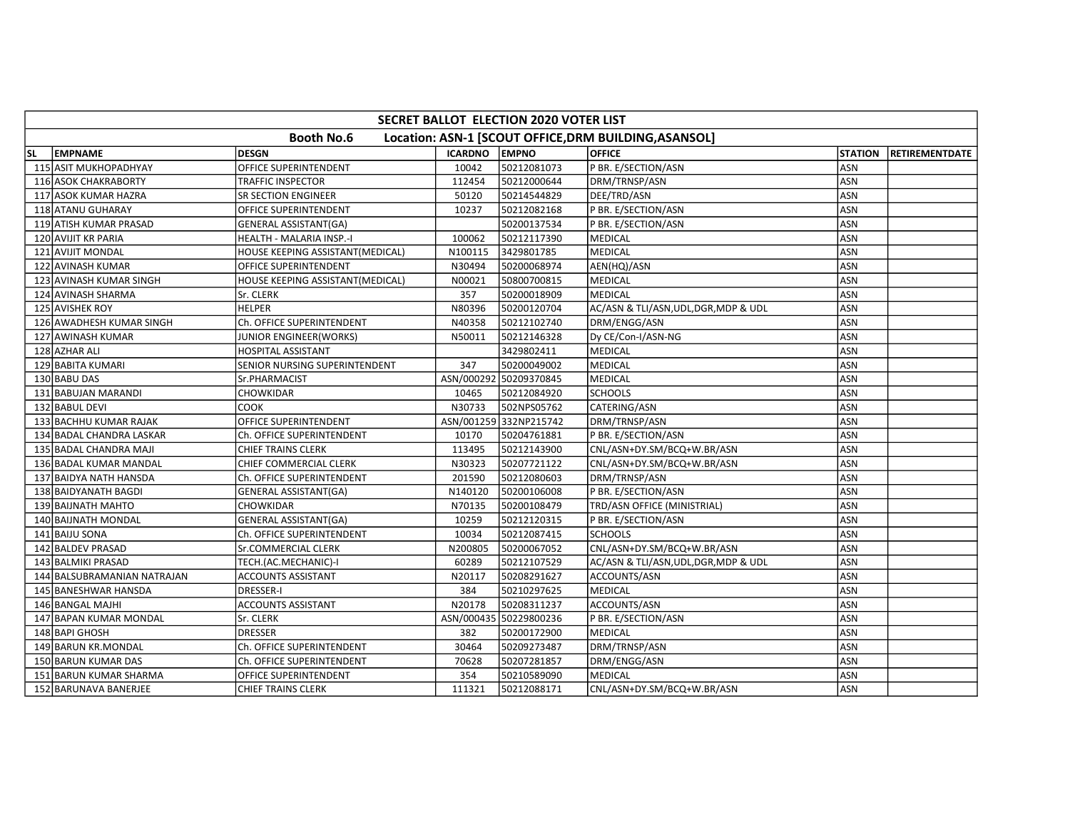|    | <b>SECRET BALLOT ELECTION 2020 VOTER LIST</b>                              |                                  |                |                        |                                       |                |                        |  |  |  |  |  |
|----|----------------------------------------------------------------------------|----------------------------------|----------------|------------------------|---------------------------------------|----------------|------------------------|--|--|--|--|--|
|    | <b>Booth No.6</b><br>Location: ASN-1 [SCOUT OFFICE, DRM BUILDING, ASANSOL] |                                  |                |                        |                                       |                |                        |  |  |  |  |  |
| SL | <b>EMPNAME</b>                                                             | <b>DESGN</b>                     | <b>ICARDNO</b> | <b>LEMPNO</b>          | <b>OFFICE</b>                         | <b>STATION</b> | <b>IRETIREMENTDATE</b> |  |  |  |  |  |
|    | 115 ASIT MUKHOPADHYAY                                                      | OFFICE SUPERINTENDENT            | 10042          | 50212081073            | P BR. E/SECTION/ASN                   | ASN            |                        |  |  |  |  |  |
|    | 116 ASOK CHAKRABORTY                                                       | TRAFFIC INSPECTOR                | 112454         | 50212000644            | DRM/TRNSP/ASN                         | ASN            |                        |  |  |  |  |  |
|    | 117 ASOK KUMAR HAZRA                                                       | SR SECTION ENGINEER              | 50120          | 50214544829            | DEE/TRD/ASN                           | ASN            |                        |  |  |  |  |  |
|    | 118 ATANU GUHARAY                                                          | OFFICE SUPERINTENDENT            | 10237          | 50212082168            | P BR. E/SECTION/ASN                   | ASN            |                        |  |  |  |  |  |
|    | 119 ATISH KUMAR PRASAD                                                     | GENERAL ASSISTANT(GA)            |                | 50200137534            | P BR. E/SECTION/ASN                   | <b>ASN</b>     |                        |  |  |  |  |  |
|    | 120 AVIJIT KR PARIA                                                        | HEALTH - MALARIA INSP.-I         | 100062         | 50212117390            | <b>MEDICAL</b>                        | ASN            |                        |  |  |  |  |  |
|    | 121 AVIJIT MONDAL                                                          | HOUSE KEEPING ASSISTANT(MEDICAL) | N100115        | 3429801785             | <b>MEDICAL</b>                        | ASN            |                        |  |  |  |  |  |
|    | 122 AVINASH KUMAR                                                          | OFFICE SUPERINTENDENT            | N30494         | 50200068974            | AEN(HQ)/ASN                           | ASN            |                        |  |  |  |  |  |
|    | 123 AVINASH KUMAR SINGH                                                    | HOUSE KEEPING ASSISTANT(MEDICAL) | N00021         | 50800700815            | <b>MEDICAL</b>                        | ASN            |                        |  |  |  |  |  |
|    | 124 AVINASH SHARMA                                                         | Sr. CLERK                        | 357            | 50200018909            | <b>MEDICAL</b>                        | ASN            |                        |  |  |  |  |  |
|    | 125 AVISHEK ROY                                                            | <b>HELPER</b>                    | N80396         | 50200120704            | AC/ASN & TLI/ASN, UDL, DGR, MDP & UDL | ASN            |                        |  |  |  |  |  |
|    | 126 AWADHESH KUMAR SINGH                                                   | Ch. OFFICE SUPERINTENDENT        | N40358         | 50212102740            | DRM/ENGG/ASN                          | ASN            |                        |  |  |  |  |  |
|    | 127 AWINASH KUMAR                                                          | JUNIOR ENGINEER(WORKS)           | N50011         | 50212146328            | Dy CE/Con-I/ASN-NG                    | ASN            |                        |  |  |  |  |  |
|    | 128 AZHAR ALI                                                              | <b>HOSPITAL ASSISTANT</b>        |                | 3429802411             | <b>MEDICAL</b>                        | <b>ASN</b>     |                        |  |  |  |  |  |
|    | 129 BABITA KUMARI                                                          | SENIOR NURSING SUPERINTENDENT    | 347            | 50200049002            | <b>MEDICAL</b>                        | <b>ASN</b>     |                        |  |  |  |  |  |
|    | 130 BABU DAS                                                               | Sr.PHARMACIST                    | ASN/000292     | 50209370845            | MEDICAL                               | ASN            |                        |  |  |  |  |  |
|    | 131 BABUJAN MARANDI                                                        | CHOWKIDAR                        | 10465          | 50212084920            | <b>SCHOOLS</b>                        | ASN            |                        |  |  |  |  |  |
|    | 132 BABUL DEVI                                                             | соок                             | N30733         | 502NPS05762            | CATERING/ASN                          | ASN            |                        |  |  |  |  |  |
|    | 133 BACHHU KUMAR RAJAK                                                     | OFFICE SUPERINTENDENT            |                | ASN/001259 332NP215742 | DRM/TRNSP/ASN                         | <b>ASN</b>     |                        |  |  |  |  |  |
|    | 134 BADAL CHANDRA LASKAR                                                   | Ch. OFFICE SUPERINTENDENT        | 10170          | 50204761881            | P BR. E/SECTION/ASN                   | ASN            |                        |  |  |  |  |  |
|    | 135 BADAL CHANDRA MAJI                                                     | <b>CHIEF TRAINS CLERK</b>        | 113495         | 50212143900            | CNL/ASN+DY.SM/BCQ+W.BR/ASN            | ASN            |                        |  |  |  |  |  |
|    | 136 BADAL KUMAR MANDAL                                                     | CHIEF COMMERCIAL CLERK           | N30323         | 50207721122            | CNL/ASN+DY.SM/BCQ+W.BR/ASN            | ASN            |                        |  |  |  |  |  |
|    | 137 BAIDYA NATH HANSDA                                                     | Ch. OFFICE SUPERINTENDENT        | 201590         | 50212080603            | DRM/TRNSP/ASN                         | ASN            |                        |  |  |  |  |  |
|    | 138 BAIDYANATH BAGDI                                                       | <b>GENERAL ASSISTANT(GA)</b>     | N140120        | 50200106008            | P BR. E/SECTION/ASN                   | ASN            |                        |  |  |  |  |  |
|    | 139 BAIJNATH MAHTO                                                         | CHOWKIDAR                        | N70135         | 50200108479            | TRD/ASN OFFICE (MINISTRIAL)           | ASN            |                        |  |  |  |  |  |
|    | 140 BAIJNATH MONDAL                                                        | <b>GENERAL ASSISTANT(GA)</b>     | 10259          | 50212120315            | P BR. E/SECTION/ASN                   | ASN            |                        |  |  |  |  |  |
|    | 141 BAIJU SONA                                                             | Ch. OFFICE SUPERINTENDENT        | 10034          | 50212087415            | <b>SCHOOLS</b>                        | <b>ASN</b>     |                        |  |  |  |  |  |
|    | 142 BALDEV PRASAD                                                          | Sr.COMMERCIAL CLERK              | N200805        | 50200067052            | CNL/ASN+DY.SM/BCQ+W.BR/ASN            | ASN            |                        |  |  |  |  |  |
|    | 143 BALMIKI PRASAD                                                         | TECH.(AC.MECHANIC)-I             | 60289          | 50212107529            | AC/ASN & TLI/ASN, UDL, DGR, MDP & UDL | ASN            |                        |  |  |  |  |  |
|    | 144 BALSUBRAMANIAN NATRAJAN                                                | ACCOUNTS ASSISTANT               | N20117         | 50208291627            | ACCOUNTS/ASN                          | ASN            |                        |  |  |  |  |  |
|    | 145 BANESHWAR HANSDA                                                       | <b>DRESSER-I</b>                 | 384            | 50210297625            | <b>MEDICAL</b>                        | ASN            |                        |  |  |  |  |  |
|    | 146 BANGAL MAJHI                                                           | <b>ACCOUNTS ASSISTANT</b>        | N20178         | 50208311237            | ACCOUNTS/ASN                          | ASN            |                        |  |  |  |  |  |
|    | 147 BAPAN KUMAR MONDAL                                                     | Sr. CLERK                        |                | ASN/000435 50229800236 | P BR. E/SECTION/ASN                   | ASN            |                        |  |  |  |  |  |
|    | 148 BAPI GHOSH                                                             | <b>DRESSER</b>                   | 382            | 50200172900            | <b>MEDICAL</b>                        | ASN            |                        |  |  |  |  |  |
|    | 149 BARUN KR.MONDAL                                                        | Ch. OFFICE SUPERINTENDENT        | 30464          | 50209273487            | DRM/TRNSP/ASN                         | ASN            |                        |  |  |  |  |  |
|    | 150 BARUN KUMAR DAS                                                        | Ch. OFFICE SUPERINTENDENT        | 70628          | 50207281857            | DRM/ENGG/ASN                          | ASN            |                        |  |  |  |  |  |
|    | 151 BARUN KUMAR SHARMA                                                     | OFFICE SUPERINTENDENT            | 354            | 50210589090            | <b>MEDICAL</b>                        | ASN            |                        |  |  |  |  |  |
|    | 152 BARUNAVA BANERJEE                                                      | <b>CHIEF TRAINS CLERK</b>        | 111321         | 50212088171            | CNL/ASN+DY.SM/BCQ+W.BR/ASN            | ASN            |                        |  |  |  |  |  |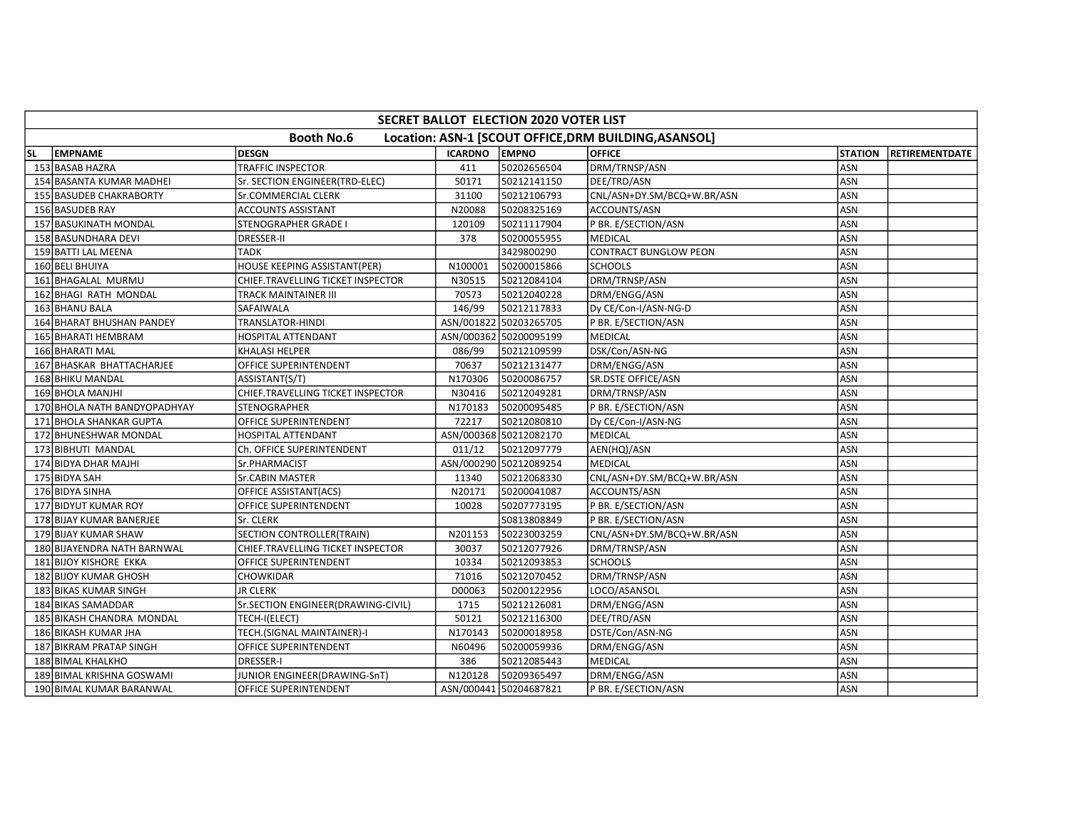|     | SECRET BALLOT ELECTION 2020 VOTER LIST                                     |                                    |                |                        |                              |                |                       |  |  |  |  |
|-----|----------------------------------------------------------------------------|------------------------------------|----------------|------------------------|------------------------------|----------------|-----------------------|--|--|--|--|
|     | <b>Booth No.6</b><br>Location: ASN-1 [SCOUT OFFICE, DRM BUILDING, ASANSOL] |                                    |                |                        |                              |                |                       |  |  |  |  |
| SL. | <b>EMPNAME</b>                                                             | <b>DESGN</b>                       | <b>ICARDNO</b> | <b>EMPNO</b>           | <b>OFFICE</b>                | <b>STATION</b> | <b>RETIREMENTDATE</b> |  |  |  |  |
|     | 153 BASAB HAZRA                                                            | <b>TRAFFIC INSPECTOR</b>           | 411            | 50202656504            | DRM/TRNSP/ASN                | ASN            |                       |  |  |  |  |
|     | 154 BASANTA KUMAR MADHEI                                                   | Sr. SECTION ENGINEER(TRD-ELEC)     | 50171          | 50212141150            | DEE/TRD/ASN                  | ASN            |                       |  |  |  |  |
|     | 155 BASUDEB CHAKRABORTY                                                    | Sr.COMMERCIAL CLERK                | 31100          | 50212106793            | CNL/ASN+DY.SM/BCQ+W.BR/ASN   | ASN            |                       |  |  |  |  |
|     | 156 BASUDEB RAY                                                            | <b>ACCOUNTS ASSISTANT</b>          | N20088         | 50208325169            | ACCOUNTS/ASN                 | <b>ASN</b>     |                       |  |  |  |  |
|     | 157 BASUKINATH MONDAL                                                      | <b>STENOGRAPHER GRADE I</b>        | 120109         | 50211117904            | P BR. E/SECTION/ASN          | ASN            |                       |  |  |  |  |
|     | 158 BASUNDHARA DEVI                                                        | <b>DRESSER-II</b>                  | 378            | 50200055955            | <b>MEDICAL</b>               | ASN            |                       |  |  |  |  |
|     | 159 BATTI LAL MEENA                                                        | <b>TADK</b>                        |                | 3429800290             | <b>CONTRACT BUNGLOW PEON</b> | ASN            |                       |  |  |  |  |
|     | 160 BELI BHUIYA                                                            | HOUSE KEEPING ASSISTANT(PER)       | N100001        | 50200015866            | <b>SCHOOLS</b>               | ASN            |                       |  |  |  |  |
|     | 161 BHAGALAL MURMU                                                         | CHIEF.TRAVELLING TICKET INSPECTOR  | N30515         | 50212084104            | DRM/TRNSP/ASN                | ASN            |                       |  |  |  |  |
|     | 162 BHAGI RATH MONDAL                                                      | TRACK MAINTAINER III               | 70573          | 50212040228            | DRM/ENGG/ASN                 | ASN            |                       |  |  |  |  |
|     | 163 BHANU BALA                                                             | SAFAIWALA                          | 146/99         | 50212117833            | Dy CE/Con-I/ASN-NG-D         | ASN            |                       |  |  |  |  |
|     | 164 BHARAT BHUSHAN PANDEY                                                  | TRANSLATOR-HINDI                   |                | ASN/001822 50203265705 | P BR. E/SECTION/ASN          | ASN            |                       |  |  |  |  |
|     | 165 BHARATI HEMBRAM                                                        | HOSPITAL ATTENDANT                 |                | ASN/000362 50200095199 | MEDICAL                      | ASN            |                       |  |  |  |  |
|     | 166 BHARATI MAL                                                            | KHALASI HELPER                     | 086/99         | 50212109599            | DSK/Con/ASN-NG               | ASN            |                       |  |  |  |  |
|     | 167 BHASKAR BHATTACHARJEE                                                  | OFFICE SUPERINTENDENT              | 70637          | 50212131477            | DRM/ENGG/ASN                 | ASN            |                       |  |  |  |  |
|     | 168 BHIKU MANDAL                                                           | ASSISTANT(S/T)                     | N170306        | 50200086757            | SR.DSTE OFFICE/ASN           | ASN            |                       |  |  |  |  |
|     | 169 BHOLA MANJHI                                                           | CHIEF.TRAVELLING TICKET INSPECTOR  | N30416         | 50212049281            | DRM/TRNSP/ASN                | ASN            |                       |  |  |  |  |
|     | 170 BHOLA NATH BANDYOPADHYAY                                               | STENOGRAPHER                       | N170183        | 50200095485            | P BR. E/SECTION/ASN          | ASN            |                       |  |  |  |  |
|     | 171 BHOLA SHANKAR GUPTA                                                    | OFFICE SUPERINTENDENT              | 72217          | 50212080810            | Dy CE/Con-I/ASN-NG           | ASN            |                       |  |  |  |  |
|     | 172 BHUNESHWAR MONDAL                                                      | HOSPITAL ATTENDANT                 |                | ASN/000368 50212082170 | MEDICAL                      | ASN            |                       |  |  |  |  |
|     | 173 BIBHUTI MANDAL                                                         | Ch. OFFICE SUPERINTENDENT          | 011/12         | 50212097779            | AEN(HQ)/ASN                  | <b>ASN</b>     |                       |  |  |  |  |
|     | 174 BIDYA DHAR MAJHI                                                       | Sr.PHARMACIST                      |                | ASN/000290 50212089254 | <b>MEDICAL</b>               | <b>ASN</b>     |                       |  |  |  |  |
|     | 175 BIDYA SAH                                                              | Sr.CABIN MASTER                    | 11340          | 50212068330            | CNL/ASN+DY.SM/BCQ+W.BR/ASN   | ASN            |                       |  |  |  |  |
|     | 176 BIDYA SINHA                                                            | OFFICE ASSISTANT(ACS)              | N20171         | 50200041087            | ACCOUNTS/ASN                 | ASN            |                       |  |  |  |  |
|     | 177 BIDYUT KUMAR ROY                                                       | OFFICE SUPERINTENDENT              | 10028          | 50207773195            | P BR. E/SECTION/ASN          | ASN            |                       |  |  |  |  |
|     | 178 BIJAY KUMAR BANERJEE                                                   | Sr. CLERK                          |                | 50813808849            | P BR. E/SECTION/ASN          | ASN            |                       |  |  |  |  |
|     | 179 BIJAY KUMAR SHAW                                                       | SECTION CONTROLLER(TRAIN)          | N201153        | 50223003259            | CNL/ASN+DY.SM/BCQ+W.BR/ASN   | ASN            |                       |  |  |  |  |
|     | 180 BIJAYENDRA NATH BARNWAL                                                | CHIEF.TRAVELLING TICKET INSPECTOR  | 30037          | 50212077926            | DRM/TRNSP/ASN                | ASN            |                       |  |  |  |  |
|     | 181 BIJOY KISHORE EKKA                                                     | OFFICE SUPERINTENDENT              | 10334          | 50212093853            | <b>SCHOOLS</b>               | <b>ASN</b>     |                       |  |  |  |  |
|     | 182 BIJOY KUMAR GHOSH                                                      | CHOWKIDAR                          | 71016          | 50212070452            | DRM/TRNSP/ASN                | ASN            |                       |  |  |  |  |
|     | 183 BIKAS KUMAR SINGH                                                      | <b>JR CLERK</b>                    | D00063         | 50200122956            | LOCO/ASANSOL                 | ASN            |                       |  |  |  |  |
|     | 184 BIKAS SAMADDAR                                                         | Sr.SECTION ENGINEER(DRAWING-CIVIL) | 1715           | 50212126081            | DRM/ENGG/ASN                 | ASN            |                       |  |  |  |  |
|     | 185 BIKASH CHANDRA MONDAL                                                  | TECH-I(ELECT)                      | 50121          | 50212116300            | DEE/TRD/ASN                  | ASN            |                       |  |  |  |  |
|     | 186 BIKASH KUMAR JHA                                                       | TECH.(SIGNAL MAINTAINER)-I         | N170143        | 50200018958            | DSTE/Con/ASN-NG              | ASN            |                       |  |  |  |  |
|     | 187 BIKRAM PRATAP SINGH                                                    | OFFICE SUPERINTENDENT              | N60496         | 50200059936            | DRM/ENGG/ASN                 | ASN            |                       |  |  |  |  |
|     | 188 BIMAL KHALKHO                                                          | <b>DRESSER-I</b>                   | 386            | 50212085443            | MEDICAL                      | ASN            |                       |  |  |  |  |
|     | 189 BIMAL KRISHNA GOSWAMI                                                  | JUNIOR ENGINEER(DRAWING-SnT)       | N120128        | 50209365497            | DRM/ENGG/ASN                 | ASN            |                       |  |  |  |  |
|     | 190 BIMAL KUMAR BARANWAL                                                   | OFFICE SUPERINTENDENT              |                | ASN/000441 50204687821 | P BR. E/SECTION/ASN          | ASN            |                       |  |  |  |  |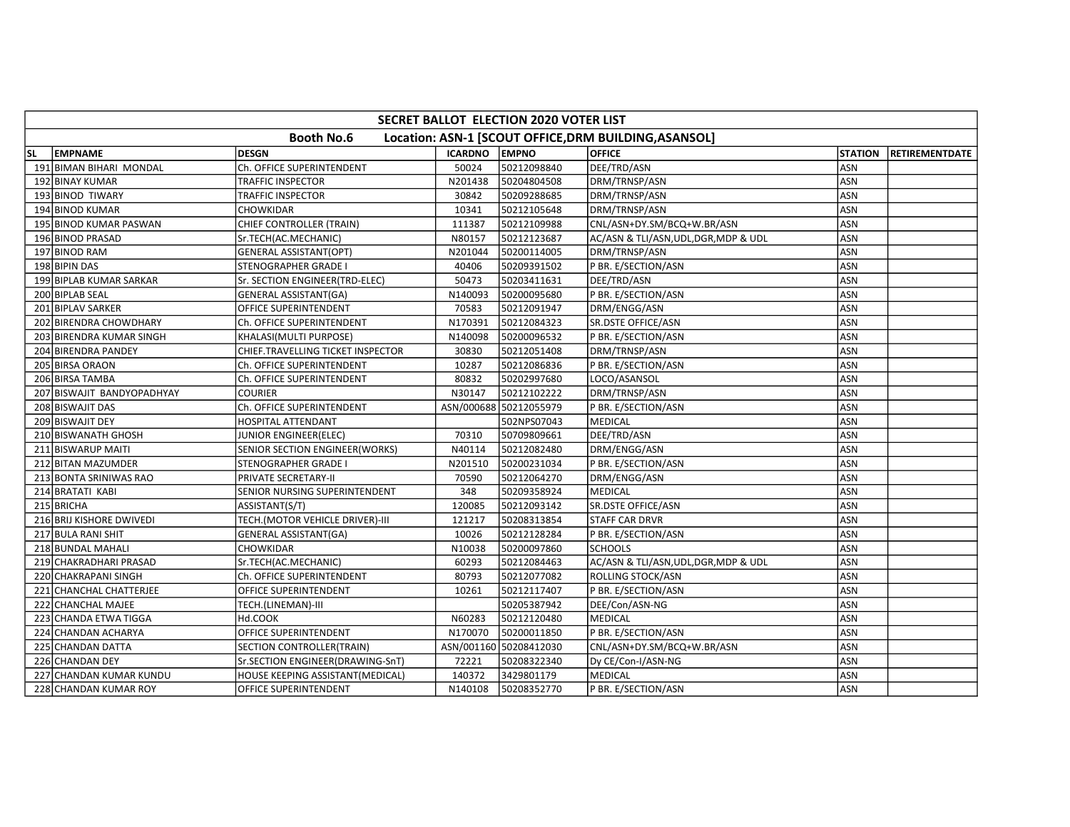|           | SECRET BALLOT ELECTION 2020 VOTER LIST |                                   |                |                        |                                                       |                |                        |  |  |  |  |
|-----------|----------------------------------------|-----------------------------------|----------------|------------------------|-------------------------------------------------------|----------------|------------------------|--|--|--|--|
|           |                                        | <b>Booth No.6</b>                 |                |                        | Location: ASN-1 [SCOUT OFFICE, DRM BUILDING, ASANSOL] |                |                        |  |  |  |  |
| <b>SL</b> | <b>EMPNAME</b>                         | <b>DESGN</b>                      | <b>ICARDNO</b> | <b>LEMPNO</b>          | <b>OFFICE</b>                                         | <b>STATION</b> | <b>IRETIREMENTDATE</b> |  |  |  |  |
|           | 191 BIMAN BIHARI MONDAL                | Ch. OFFICE SUPERINTENDENT         | 50024          | 50212098840            | DEE/TRD/ASN                                           | ASN            |                        |  |  |  |  |
|           | 192 BINAY KUMAR                        | TRAFFIC INSPECTOR                 | N201438        | 50204804508            | DRM/TRNSP/ASN                                         | ASN            |                        |  |  |  |  |
|           | 193 BINOD TIWARY                       | TRAFFIC INSPECTOR                 | 30842          | 50209288685            | DRM/TRNSP/ASN                                         | <b>ASN</b>     |                        |  |  |  |  |
|           | 194 BINOD KUMAR                        | CHOWKIDAR                         | 10341          | 50212105648            | DRM/TRNSP/ASN                                         | <b>ASN</b>     |                        |  |  |  |  |
|           | 195 BINOD KUMAR PASWAN                 | CHIEF CONTROLLER (TRAIN)          | 111387         | 50212109988            | CNL/ASN+DY.SM/BCQ+W.BR/ASN                            | <b>ASN</b>     |                        |  |  |  |  |
|           | 196 BINOD PRASAD                       | Sr.TECH(AC.MECHANIC)              | N80157         | 50212123687            | AC/ASN & TLI/ASN, UDL, DGR, MDP & UDL                 | ASN            |                        |  |  |  |  |
|           | 197 BINOD RAM                          | <b>GENERAL ASSISTANT(OPT)</b>     | N201044        | 50200114005            | DRM/TRNSP/ASN                                         | <b>ASN</b>     |                        |  |  |  |  |
|           | 198 BIPIN DAS                          | STENOGRAPHER GRADE I              | 40406          | 50209391502            | P BR. E/SECTION/ASN                                   | <b>ASN</b>     |                        |  |  |  |  |
|           | 199 BIPLAB KUMAR SARKAR                | Sr. SECTION ENGINEER(TRD-ELEC)    | 50473          | 50203411631            | DEE/TRD/ASN                                           | ASN            |                        |  |  |  |  |
|           | 200 BIPLAB SEAL                        | <b>GENERAL ASSISTANT(GA)</b>      | N140093        | 50200095680            | P BR. E/SECTION/ASN                                   | ASN            |                        |  |  |  |  |
|           | 201 BIPLAV SARKER                      | OFFICE SUPERINTENDENT             | 70583          | 50212091947            | DRM/ENGG/ASN                                          | <b>ASN</b>     |                        |  |  |  |  |
|           | 202 BIRENDRA CHOWDHARY                 | Ch. OFFICE SUPERINTENDENT         | N170391        | 50212084323            | SR.DSTE OFFICE/ASN                                    | ASN            |                        |  |  |  |  |
|           | 203 BIRENDRA KUMAR SINGH               | KHALASI(MULTI PURPOSE)            | N140098        | 50200096532            | P BR. E/SECTION/ASN                                   | ASN            |                        |  |  |  |  |
|           | 204 BIRENDRA PANDEY                    | CHIEF.TRAVELLING TICKET INSPECTOR | 30830          | 50212051408            | DRM/TRNSP/ASN                                         | <b>ASN</b>     |                        |  |  |  |  |
|           | 205 BIRSA ORAON                        | Ch. OFFICE SUPERINTENDENT         | 10287          | 50212086836            | P BR. E/SECTION/ASN                                   | <b>ASN</b>     |                        |  |  |  |  |
|           | 206 BIRSA TAMBA                        | Ch. OFFICE SUPERINTENDENT         | 80832          | 50202997680            | LOCO/ASANSOL                                          | ASN            |                        |  |  |  |  |
|           | 207 BISWAJIT BANDYOPADHYAY             | <b>COURIER</b>                    | N30147         | 50212102222            | DRM/TRNSP/ASN                                         | ASN            |                        |  |  |  |  |
|           | 208 BISWAJIT DAS                       | Ch. OFFICE SUPERINTENDENT         |                | ASN/000688 50212055979 | P BR. E/SECTION/ASN                                   | ASN            |                        |  |  |  |  |
|           | 209 BISWAJIT DEY                       | <b>HOSPITAL ATTENDANT</b>         |                | 502NPS07043            | <b>MEDICAL</b>                                        | ASN            |                        |  |  |  |  |
|           | 210 BISWANATH GHOSH                    | JUNIOR ENGINEER(ELEC)             | 70310          | 50709809661            | DEE/TRD/ASN                                           | ASN            |                        |  |  |  |  |
|           | 211 BISWARUP MAITI                     | SENIOR SECTION ENGINEER(WORKS)    | N40114         | 50212082480            | DRM/ENGG/ASN                                          | ASN            |                        |  |  |  |  |
|           | 212 BITAN MAZUMDER                     | STENOGRAPHER GRADE I              | N201510        | 50200231034            | P BR. E/SECTION/ASN                                   | <b>ASN</b>     |                        |  |  |  |  |
|           | 213 BONTA SRINIWAS RAO                 | PRIVATE SECRETARY-II              | 70590          | 50212064270            | DRM/ENGG/ASN                                          | ASN            |                        |  |  |  |  |
|           | 214 BRATATI KABI                       | SENIOR NURSING SUPERINTENDENT     | 348            | 50209358924            | MEDICAL                                               | <b>ASN</b>     |                        |  |  |  |  |
|           | 215 BRICHA                             | ASSISTANT(S/T)                    | 120085         | 50212093142            | SR.DSTE OFFICE/ASN                                    | ASN            |                        |  |  |  |  |
|           | 216 BRIJ KISHORE DWIVEDI               | TECH.(MOTOR VEHICLE DRIVER)-III   | 121217         | 50208313854            | <b>STAFF CAR DRVR</b>                                 | ASN            |                        |  |  |  |  |
|           | 217 BULA RANI SHIT                     | <b>GENERAL ASSISTANT(GA)</b>      | 10026          | 50212128284            | P BR. E/SECTION/ASN                                   | <b>ASN</b>     |                        |  |  |  |  |
|           | 218 BUNDAL MAHALI                      | CHOWKIDAR                         | N10038         | 50200097860            | <b>SCHOOLS</b>                                        | ASN            |                        |  |  |  |  |
|           | 219 CHAKRADHARI PRASAD                 | Sr.TECH(AC.MECHANIC)              | 60293          | 50212084463            | AC/ASN & TLI/ASN, UDL, DGR, MDP & UDL                 | <b>ASN</b>     |                        |  |  |  |  |
|           | 220 CHAKRAPANI SINGH                   | Ch. OFFICE SUPERINTENDENT         | 80793          | 50212077082            | ROLLING STOCK/ASN                                     | ASN            |                        |  |  |  |  |
|           | 221 CHANCHAL CHATTERJEE                | OFFICE SUPERINTENDENT             | 10261          | 50212117407            | P BR. E/SECTION/ASN                                   | <b>ASN</b>     |                        |  |  |  |  |
|           | 222 CHANCHAL MAJEE                     | TECH.(LINEMAN)-III                |                | 50205387942            | DEE/Con/ASN-NG                                        | ASN            |                        |  |  |  |  |
|           | 223 CHANDA ETWA TIGGA                  | Hd.COOK                           | N60283         | 50212120480            | MEDICAL                                               | ASN            |                        |  |  |  |  |
|           | 224 CHANDAN ACHARYA                    | OFFICE SUPERINTENDENT             | N170070        | 50200011850            | P BR. E/SECTION/ASN                                   | ASN            |                        |  |  |  |  |
|           | 225 CHANDAN DATTA                      | SECTION CONTROLLER(TRAIN)         |                | ASN/001160 50208412030 | CNL/ASN+DY.SM/BCQ+W.BR/ASN                            | <b>ASN</b>     |                        |  |  |  |  |
|           | 226 CHANDAN DEY                        | Sr.SECTION ENGINEER(DRAWING-SnT)  | 72221          | 50208322340            | Dy CE/Con-I/ASN-NG                                    | ASN            |                        |  |  |  |  |
|           | 227 CHANDAN KUMAR KUNDU                | HOUSE KEEPING ASSISTANT(MEDICAL)  | 140372         | 3429801179             | MEDICAL                                               | <b>ASN</b>     |                        |  |  |  |  |
|           | 228 CHANDAN KUMAR ROY                  | OFFICE SUPERINTENDENT             | N140108        | 50208352770            | P BR. E/SECTION/ASN                                   | <b>ASN</b>     |                        |  |  |  |  |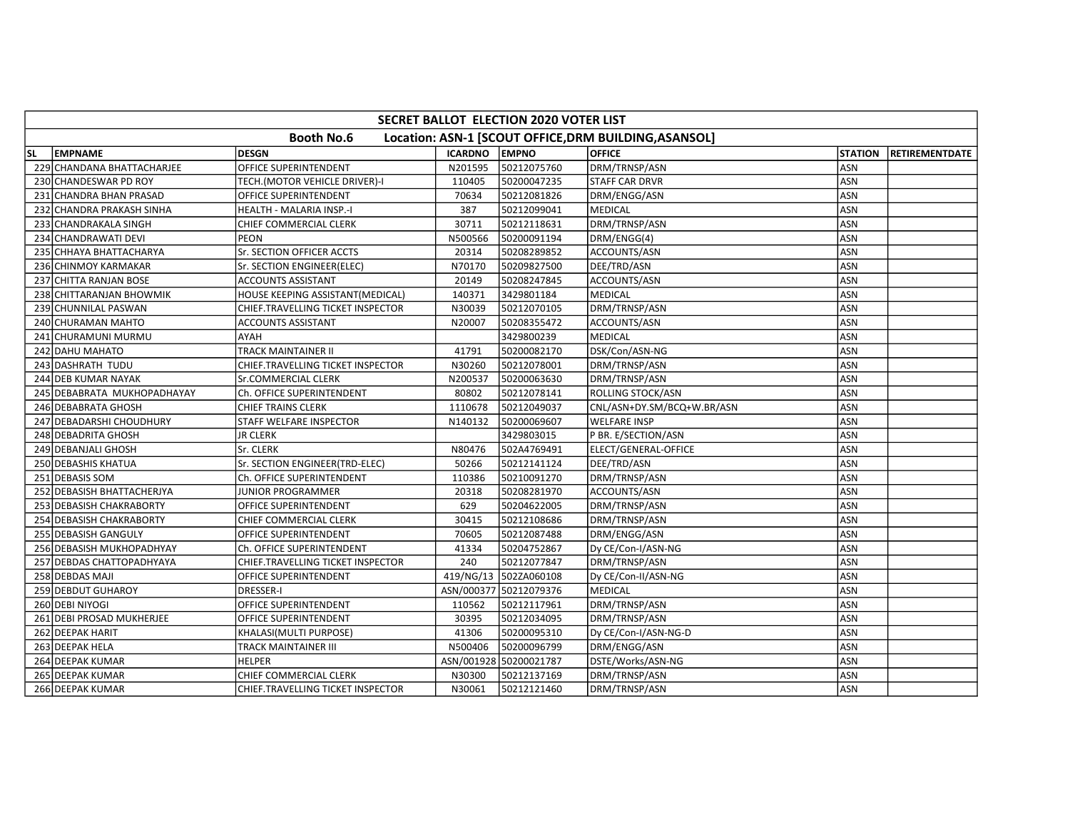|    | <b>SECRET BALLOT ELECTION 2020 VOTER LIST</b>                              |                                   |                |                        |                            |                |                        |  |  |  |  |  |
|----|----------------------------------------------------------------------------|-----------------------------------|----------------|------------------------|----------------------------|----------------|------------------------|--|--|--|--|--|
|    | <b>Booth No.6</b><br>Location: ASN-1 [SCOUT OFFICE, DRM BUILDING, ASANSOL] |                                   |                |                        |                            |                |                        |  |  |  |  |  |
| SL | <b>LEMPNAME</b>                                                            | <b>DESGN</b>                      | <b>ICARDNO</b> | <b>EMPNO</b>           | <b>OFFICE</b>              | <b>STATION</b> | <b>IRETIREMENTDATE</b> |  |  |  |  |  |
|    | 229 CHANDANA BHATTACHARJEE                                                 | OFFICE SUPERINTENDENT             | N201595        | 50212075760            | DRM/TRNSP/ASN              | ASN            |                        |  |  |  |  |  |
|    | 230 CHANDESWAR PD ROY                                                      | TECH.(MOTOR VEHICLE DRIVER)-I     | 110405         | 50200047235            | <b>STAFF CAR DRVR</b>      | ASN            |                        |  |  |  |  |  |
|    | 231 CHANDRA BHAN PRASAD                                                    | OFFICE SUPERINTENDENT             | 70634          | 50212081826            | DRM/ENGG/ASN               | ASN            |                        |  |  |  |  |  |
|    | 232 CHANDRA PRAKASH SINHA                                                  | HEALTH - MALARIA INSP.-I          | 387            | 50212099041            | MEDICAL                    | ASN            |                        |  |  |  |  |  |
|    | 233 CHANDRAKALA SINGH                                                      | CHIEF COMMERCIAL CLERK            | 30711          | 50212118631            | DRM/TRNSP/ASN              | ASN            |                        |  |  |  |  |  |
|    | 234 CHANDRAWATI DEVI                                                       | <b>PEON</b>                       | N500566        | 50200091194            | DRM/ENGG(4)                | ASN            |                        |  |  |  |  |  |
|    | 235 CHHAYA BHATTACHARYA                                                    | Sr. SECTION OFFICER ACCTS         | 20314          | 50208289852            | ACCOUNTS/ASN               | ASN            |                        |  |  |  |  |  |
|    | 236 CHINMOY KARMAKAR                                                       | Sr. SECTION ENGINEER(ELEC)        | N70170         | 50209827500            | DEE/TRD/ASN                | ASN            |                        |  |  |  |  |  |
|    | 237 CHITTA RANJAN BOSE                                                     | ACCOUNTS ASSISTANT                | 20149          | 50208247845            | ACCOUNTS/ASN               | ASN            |                        |  |  |  |  |  |
|    | 238 CHITTARANJAN BHOWMIK                                                   | HOUSE KEEPING ASSISTANT(MEDICAL)  | 140371         | 3429801184             | MEDICAL                    | <b>ASN</b>     |                        |  |  |  |  |  |
|    | 239 CHUNNILAL PASWAN                                                       | CHIEF.TRAVELLING TICKET INSPECTOR | N30039         | 50212070105            | DRM/TRNSP/ASN              | ASN            |                        |  |  |  |  |  |
|    | 240 CHURAMAN MAHTO                                                         | <b>ACCOUNTS ASSISTANT</b>         | N20007         | 50208355472            | ACCOUNTS/ASN               | ASN            |                        |  |  |  |  |  |
|    | 241 CHURAMUNI MURMU                                                        | AYAH                              |                | 3429800239             | <b>MEDICAL</b>             | ASN            |                        |  |  |  |  |  |
|    | 242 DAHU MAHATO                                                            | TRACK MAINTAINER II               | 41791          | 50200082170            | DSK/Con/ASN-NG             | <b>ASN</b>     |                        |  |  |  |  |  |
|    | 243 DASHRATH TUDU                                                          | CHIEF.TRAVELLING TICKET INSPECTOR | N30260         | 50212078001            | DRM/TRNSP/ASN              | ASN            |                        |  |  |  |  |  |
|    | 244 DEB KUMAR NAYAK                                                        | Sr.COMMERCIAL CLERK               | N200537        | 50200063630            | DRM/TRNSP/ASN              | <b>ASN</b>     |                        |  |  |  |  |  |
|    | 245 DEBABRATA MUKHOPADHAYAY                                                | Ch. OFFICE SUPERINTENDENT         | 80802          | 50212078141            | ROLLING STOCK/ASN          | ASN            |                        |  |  |  |  |  |
|    | 246 DEBABRATA GHOSH                                                        | CHIEF TRAINS CLERK                | 1110678        | 50212049037            | CNL/ASN+DY.SM/BCQ+W.BR/ASN | ASN            |                        |  |  |  |  |  |
|    | 247 DEBADARSHI CHOUDHURY                                                   | STAFF WELFARE INSPECTOR           | N140132        | 50200069607            | <b>WELFARE INSP</b>        | <b>ASN</b>     |                        |  |  |  |  |  |
|    | 248 DEBADRITA GHOSH                                                        | <b>JR CLERK</b>                   |                | 3429803015             | P BR. E/SECTION/ASN        | ASN            |                        |  |  |  |  |  |
|    | 249 DEBANJALI GHOSH                                                        | Sr. CLERK                         | N80476         | 502A4769491            | ELECT/GENERAL-OFFICE       | ASN            |                        |  |  |  |  |  |
|    | 250 DEBASHIS KHATUA                                                        | Sr. SECTION ENGINEER(TRD-ELEC)    | 50266          | 50212141124            | DEE/TRD/ASN                | ASN            |                        |  |  |  |  |  |
|    | 251 DEBASIS SOM                                                            | Ch. OFFICE SUPERINTENDENT         | 110386         | 50210091270            | DRM/TRNSP/ASN              | ASN            |                        |  |  |  |  |  |
|    | 252 DEBASISH BHATTACHERJYA                                                 | JUNIOR PROGRAMMER                 | 20318          | 50208281970            | ACCOUNTS/ASN               | ASN            |                        |  |  |  |  |  |
|    | 253 DEBASISH CHAKRABORTY                                                   | OFFICE SUPERINTENDENT             | 629            | 50204622005            | DRM/TRNSP/ASN              | ASN            |                        |  |  |  |  |  |
|    | 254 DEBASISH CHAKRABORTY                                                   | CHIEF COMMERCIAL CLERK            | 30415          | 50212108686            | DRM/TRNSP/ASN              | <b>ASN</b>     |                        |  |  |  |  |  |
|    | 255 DEBASISH GANGULY                                                       | OFFICE SUPERINTENDENT             | 70605          | 50212087488            | DRM/ENGG/ASN               | ASN            |                        |  |  |  |  |  |
|    | 256 DEBASISH MUKHOPADHYAY                                                  | Ch. OFFICE SUPERINTENDENT         | 41334          | 50204752867            | Dy CE/Con-I/ASN-NG         | ASN            |                        |  |  |  |  |  |
|    | 257 DEBDAS CHATTOPADHYAYA                                                  | CHIEF.TRAVELLING TICKET INSPECTOR | 240            | 50212077847            | DRM/TRNSP/ASN              | <b>ASN</b>     |                        |  |  |  |  |  |
|    | 258 DEBDAS MAJI                                                            | OFFICE SUPERINTENDENT             |                | 419/NG/13 502ZA060108  | Dy CE/Con-II/ASN-NG        | ASN            |                        |  |  |  |  |  |
|    | 259 DEBDUT GUHAROY                                                         | <b>DRESSER-I</b>                  |                | ASN/000377 50212079376 | MEDICAL                    | ASN            |                        |  |  |  |  |  |
|    | 260 DEBI NIYOGI                                                            | OFFICE SUPERINTENDENT             | 110562         | 50212117961            | DRM/TRNSP/ASN              | ASN            |                        |  |  |  |  |  |
|    | 261 DEBI PROSAD MUKHERJEE                                                  | OFFICE SUPERINTENDENT             | 30395          | 50212034095            | DRM/TRNSP/ASN              | ASN            |                        |  |  |  |  |  |
|    | 262 DEEPAK HARIT                                                           | KHALASI(MULTI PURPOSE)            | 41306          | 50200095310            | Dy CE/Con-I/ASN-NG-D       | ASN            |                        |  |  |  |  |  |
|    | 263 DEEPAK HELA                                                            | TRACK MAINTAINER III              | N500406        | 50200096799            | DRM/ENGG/ASN               | ASN            |                        |  |  |  |  |  |
|    | 264 DEEPAK KUMAR                                                           | <b>HELPER</b>                     |                | ASN/001928 50200021787 | DSTE/Works/ASN-NG          | ASN            |                        |  |  |  |  |  |
|    | 265 DEEPAK KUMAR                                                           | CHIEF COMMERCIAL CLERK            | N30300         | 50212137169            | DRM/TRNSP/ASN              | <b>ASN</b>     |                        |  |  |  |  |  |
|    | 266 DEEPAK KUMAR                                                           | CHIEF.TRAVELLING TICKET INSPECTOR | N30061         | 50212121460            | DRM/TRNSP/ASN              | ASN            |                        |  |  |  |  |  |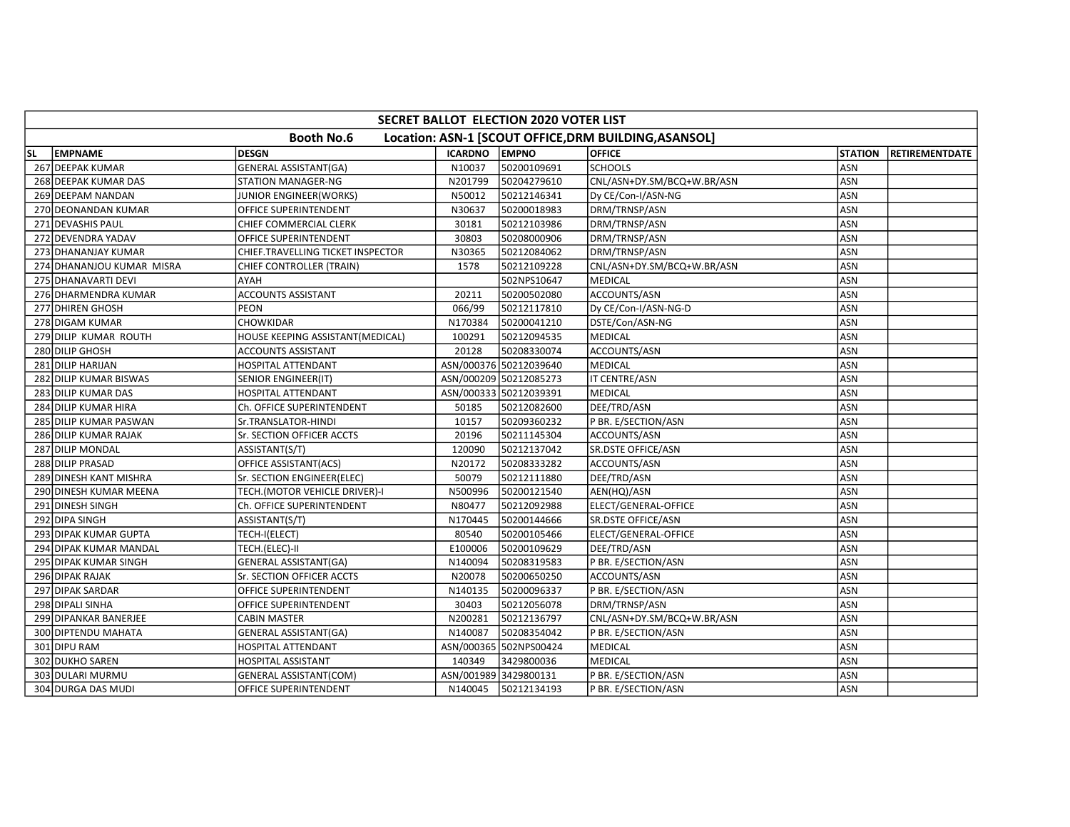|           | SECRET BALLOT ELECTION 2020 VOTER LIST |                                   |                       |                        |                                                       |                |                |  |  |  |  |  |
|-----------|----------------------------------------|-----------------------------------|-----------------------|------------------------|-------------------------------------------------------|----------------|----------------|--|--|--|--|--|
|           |                                        | <b>Booth No.6</b>                 |                       |                        | Location: ASN-1 [SCOUT OFFICE, DRM BUILDING, ASANSOL] |                |                |  |  |  |  |  |
| <b>SL</b> | EMPNAME                                | <b>DESGN</b>                      | <b>ICARDNO</b>        | <b>EMPNO</b>           | <b>OFFICE</b>                                         | <b>STATION</b> | RETIREMENTDATE |  |  |  |  |  |
|           | 267 DEEPAK KUMAR                       | <b>GENERAL ASSISTANT(GA)</b>      | N10037                | 50200109691            | <b>SCHOOLS</b>                                        | <b>ASN</b>     |                |  |  |  |  |  |
|           | 268 DEEPAK KUMAR DAS                   | <b>STATION MANAGER-NG</b>         | N201799               | 50204279610            | CNL/ASN+DY.SM/BCQ+W.BR/ASN                            | <b>ASN</b>     |                |  |  |  |  |  |
|           | 269 DEEPAM NANDAN                      | JUNIOR ENGINEER(WORKS)            | N50012                | 50212146341            | Dy CE/Con-I/ASN-NG                                    | ASN            |                |  |  |  |  |  |
|           | 270 DEONANDAN KUMAR                    | OFFICE SUPERINTENDENT             | N30637                | 50200018983            | DRM/TRNSP/ASN                                         | ASN            |                |  |  |  |  |  |
|           | 271 DEVASHIS PAUL                      | CHIEF COMMERCIAL CLERK            | 30181                 | 50212103986            | DRM/TRNSP/ASN                                         | <b>ASN</b>     |                |  |  |  |  |  |
|           | 272 DEVENDRA YADAV                     | OFFICE SUPERINTENDENT             | 30803                 | 50208000906            | DRM/TRNSP/ASN                                         | ASN            |                |  |  |  |  |  |
|           | 273 DHANANJAY KUMAR                    | CHIEF.TRAVELLING TICKET INSPECTOR | N30365                | 50212084062            | DRM/TRNSP/ASN                                         | ASN            |                |  |  |  |  |  |
|           | 274 DHANANJOU KUMAR MISRA              | CHIEF CONTROLLER (TRAIN)          | 1578                  | 50212109228            | CNL/ASN+DY.SM/BCQ+W.BR/ASN                            | ASN            |                |  |  |  |  |  |
|           | 275 DHANAVARTI DEVI                    | AYAH                              |                       | 502NPS10647            | MEDICAL                                               | ASN            |                |  |  |  |  |  |
|           | 276 DHARMENDRA KUMAR                   | ACCOUNTS ASSISTANT                | 20211                 | 50200502080            | ACCOUNTS/ASN                                          | <b>ASN</b>     |                |  |  |  |  |  |
|           | 277 DHIREN GHOSH                       | PEON                              | 066/99                | 50212117810            | Dy CE/Con-I/ASN-NG-D                                  | ASN            |                |  |  |  |  |  |
|           | 278 DIGAM KUMAR                        | <b>CHOWKIDAR</b>                  | N170384               | 50200041210            | DSTE/Con/ASN-NG                                       | ASN            |                |  |  |  |  |  |
|           | 279 DILIP KUMAR ROUTH                  | HOUSE KEEPING ASSISTANT(MEDICAL)  | 100291                | 50212094535            | MEDICAL                                               | ASN            |                |  |  |  |  |  |
|           | 280 DILIP GHOSH                        | <b>ACCOUNTS ASSISTANT</b>         | 20128                 | 50208330074            | ACCOUNTS/ASN                                          | <b>ASN</b>     |                |  |  |  |  |  |
|           | 281 DILIP HARIJAN                      | <b>HOSPITAL ATTENDANT</b>         |                       | ASN/000376 50212039640 | <b>MEDICAL</b>                                        | <b>ASN</b>     |                |  |  |  |  |  |
|           | 282 DILIP KUMAR BISWAS                 | SENIOR ENGINEER(IT)               |                       | ASN/000209 50212085273 | IT CENTRE/ASN                                         | <b>ASN</b>     |                |  |  |  |  |  |
|           | 283 DILIP KUMAR DAS                    | HOSPITAL ATTENDANT                |                       | ASN/000333 50212039391 | <b>MEDICAL</b>                                        | <b>ASN</b>     |                |  |  |  |  |  |
|           | 284 DILIP KUMAR HIRA                   | Ch. OFFICE SUPERINTENDENT         | 50185                 | 50212082600            | DEE/TRD/ASN                                           | ASN            |                |  |  |  |  |  |
|           | 285 DILIP KUMAR PASWAN                 | Sr.TRANSLATOR-HINDI               | 10157                 | 50209360232            | P BR. E/SECTION/ASN                                   | <b>ASN</b>     |                |  |  |  |  |  |
|           | 286 DILIP KUMAR RAJAK                  | Sr. SECTION OFFICER ACCTS         | 20196                 | 50211145304            | ACCOUNTS/ASN                                          | <b>ASN</b>     |                |  |  |  |  |  |
|           | 287 DILIP MONDAL                       | ASSISTANT(S/T)                    | 120090                | 50212137042            | <b>SR.DSTE OFFICE/ASN</b>                             | <b>ASN</b>     |                |  |  |  |  |  |
|           | 288 DILIP PRASAD                       | OFFICE ASSISTANT(ACS)             | N20172                | 50208333282            | ACCOUNTS/ASN                                          | <b>ASN</b>     |                |  |  |  |  |  |
|           | 289 DINESH KANT MISHRA                 | Sr. SECTION ENGINEER(ELEC)        | 50079                 | 50212111880            | DEE/TRD/ASN                                           | <b>ASN</b>     |                |  |  |  |  |  |
|           | 290 DINESH KUMAR MEENA                 | TECH.(MOTOR VEHICLE DRIVER)-I     | N500996               | 50200121540            | AEN(HQ)/ASN                                           | <b>ASN</b>     |                |  |  |  |  |  |
|           | 291 DINESH SINGH                       | Ch. OFFICE SUPERINTENDENT         | N80477                | 50212092988            | ELECT/GENERAL-OFFICE                                  | ASN            |                |  |  |  |  |  |
|           | 292 DIPA SINGH                         | ASSISTANT(S/T)                    | N170445               | 50200144666            | SR.DSTE OFFICE/ASN                                    | <b>ASN</b>     |                |  |  |  |  |  |
|           | 293 DIPAK KUMAR GUPTA                  | TECH-I(ELECT)                     | 80540                 | 50200105466            | ELECT/GENERAL-OFFICE                                  | ASN            |                |  |  |  |  |  |
|           | 294 DIPAK KUMAR MANDAL                 | TECH.(ELEC)-II                    | E100006               | 50200109629            | DEE/TRD/ASN                                           | <b>ASN</b>     |                |  |  |  |  |  |
|           | 295 DIPAK KUMAR SINGH                  | <b>GENERAL ASSISTANT(GA)</b>      | N140094               | 50208319583            | P BR. E/SECTION/ASN                                   | ASN            |                |  |  |  |  |  |
|           | 296 DIPAK RAJAK                        | Sr. SECTION OFFICER ACCTS         | N20078                | 50200650250            | ACCOUNTS/ASN                                          | ASN            |                |  |  |  |  |  |
|           | 297 DIPAK SARDAR                       | OFFICE SUPERINTENDENT             | N140135               | 50200096337            | P BR. E/SECTION/ASN                                   | <b>ASN</b>     |                |  |  |  |  |  |
|           | 298 DIPALI SINHA                       | OFFICE SUPERINTENDENT             | 30403                 | 50212056078            | DRM/TRNSP/ASN                                         | <b>ASN</b>     |                |  |  |  |  |  |
|           | 299 DIPANKAR BANERJEE                  | <b>CABIN MASTER</b>               | N200281               | 50212136797            | CNL/ASN+DY.SM/BCQ+W.BR/ASN                            | ASN            |                |  |  |  |  |  |
|           | 300 DIPTENDU MAHATA                    | GENERAL ASSISTANT(GA)             | N140087               | 50208354042            | P BR. E/SECTION/ASN                                   | ASN            |                |  |  |  |  |  |
|           | 301 DIPU RAM                           | HOSPITAL ATTENDANT                |                       | ASN/000365 502NPS00424 | <b>MEDICAL</b>                                        | ASN            |                |  |  |  |  |  |
|           | 302 DUKHO SAREN                        | HOSPITAL ASSISTANT                | 140349                | 3429800036             | <b>MEDICAL</b>                                        | ASN            |                |  |  |  |  |  |
|           | 303 DULARI MURMU                       | <b>GENERAL ASSISTANT(COM)</b>     | ASN/001989 3429800131 |                        | P BR. E/SECTION/ASN                                   | <b>ASN</b>     |                |  |  |  |  |  |
|           | 304 DURGA DAS MUDI                     | OFFICE SUPERINTENDENT             | N140045               | 50212134193            | P BR. E/SECTION/ASN                                   | ASN            |                |  |  |  |  |  |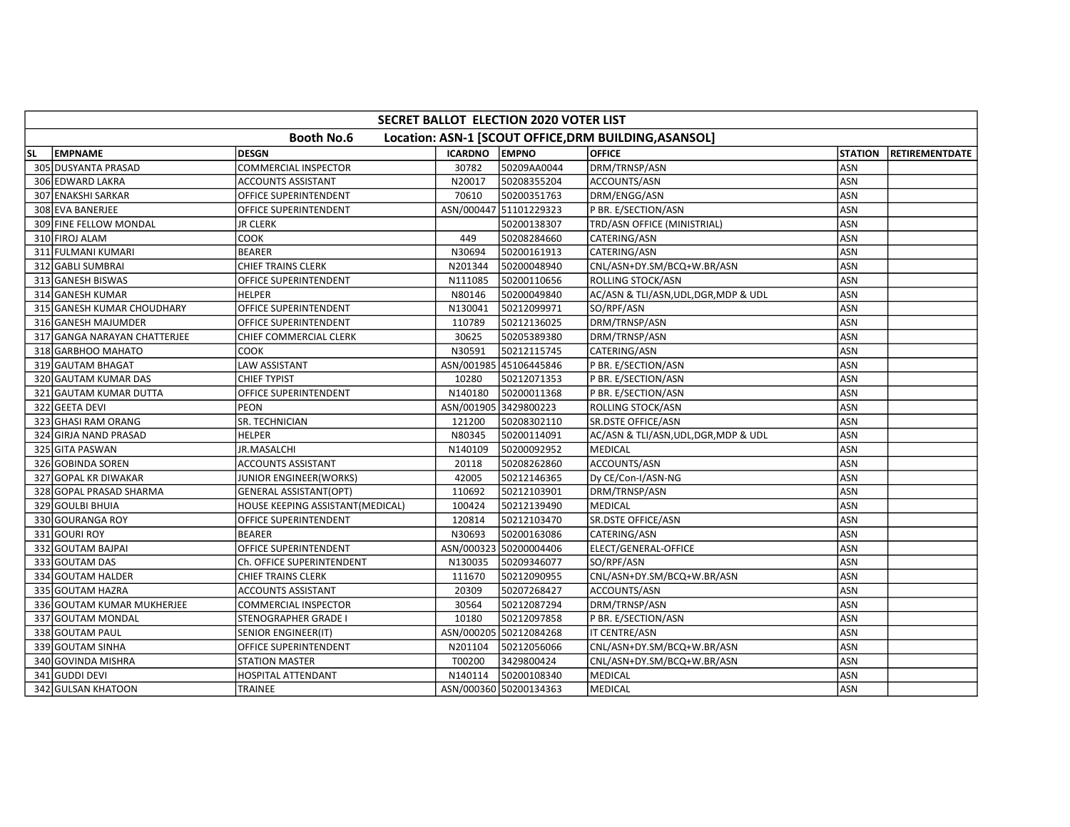|           | SECRET BALLOT ELECTION 2020 VOTER LIST |                                  |                |                        |                                                       |                |                        |  |  |  |  |
|-----------|----------------------------------------|----------------------------------|----------------|------------------------|-------------------------------------------------------|----------------|------------------------|--|--|--|--|
|           |                                        | <b>Booth No.6</b>                |                |                        | Location: ASN-1 [SCOUT OFFICE, DRM BUILDING, ASANSOL] |                |                        |  |  |  |  |
| <b>SL</b> | <b>EMPNAME</b>                         | <b>DESGN</b>                     | <b>ICARDNO</b> | <b>LEMPNO</b>          | <b>OFFICE</b>                                         | <b>STATION</b> | <b>IRETIREMENTDATE</b> |  |  |  |  |
|           | 305 DUSYANTA PRASAD                    | COMMERCIAL INSPECTOR             | 30782          | 50209AA0044            | DRM/TRNSP/ASN                                         | ASN            |                        |  |  |  |  |
|           | 306 EDWARD LAKRA                       | <b>ACCOUNTS ASSISTANT</b>        | N20017         | 50208355204            | ACCOUNTS/ASN                                          | ASN            |                        |  |  |  |  |
|           | 307 ENAKSHI SARKAR                     | OFFICE SUPERINTENDENT            | 70610          | 50200351763            | DRM/ENGG/ASN                                          | ASN            |                        |  |  |  |  |
|           | 308 EVA BANERJEE                       | OFFICE SUPERINTENDENT            |                | ASN/000447 51101229323 | P BR. E/SECTION/ASN                                   | ASN            |                        |  |  |  |  |
|           | 309 FINE FELLOW MONDAL                 | JR CLERK                         |                | 50200138307            | TRD/ASN OFFICE (MINISTRIAL)                           | <b>ASN</b>     |                        |  |  |  |  |
|           | 310 FIROJ ALAM                         | COOK                             | 449            | 50208284660            | CATERING/ASN                                          | <b>ASN</b>     |                        |  |  |  |  |
|           | 311 FULMANI KUMARI                     | <b>BEARER</b>                    | N30694         | 50200161913            | CATERING/ASN                                          | ASN            |                        |  |  |  |  |
|           | 312 GABLI SUMBRAI                      | <b>CHIEF TRAINS CLERK</b>        | N201344        | 50200048940            | CNL/ASN+DY.SM/BCQ+W.BR/ASN                            | ASN            |                        |  |  |  |  |
|           | 313 GANESH BISWAS                      | OFFICE SUPERINTENDENT            | N111085        | 50200110656            | ROLLING STOCK/ASN                                     | ASN            |                        |  |  |  |  |
|           | 314 GANESH KUMAR                       | <b>HELPER</b>                    | N80146         | 50200049840            | AC/ASN & TLI/ASN, UDL, DGR, MDP & UDL                 | <b>ASN</b>     |                        |  |  |  |  |
|           | 315 GANESH KUMAR CHOUDHARY             | OFFICE SUPERINTENDENT            | N130041        | 50212099971            | SO/RPF/ASN                                            | ASN            |                        |  |  |  |  |
|           | 316 GANESH MAJUMDER                    | OFFICE SUPERINTENDENT            | 110789         | 50212136025            | DRM/TRNSP/ASN                                         | ASN            |                        |  |  |  |  |
|           | 317 GANGA NARAYAN CHATTERJEE           | CHIEF COMMERCIAL CLERK           | 30625          | 50205389380            | DRM/TRNSP/ASN                                         | ASN            |                        |  |  |  |  |
|           | 318 GARBHOO MAHATO                     | <b>COOK</b>                      | N30591         | 50212115745            | CATERING/ASN                                          | <b>ASN</b>     |                        |  |  |  |  |
|           | 319 GAUTAM BHAGAT                      | <b>LAW ASSISTANT</b>             |                | ASN/001985 45106445846 | P BR. E/SECTION/ASN                                   | <b>ASN</b>     |                        |  |  |  |  |
|           | 320 GAUTAM KUMAR DAS                   | <b>CHIEF TYPIST</b>              | 10280          | 50212071353            | P BR. E/SECTION/ASN                                   | ASN            |                        |  |  |  |  |
|           | 321 GAUTAM KUMAR DUTTA                 | OFFICE SUPERINTENDENT            | N140180        | 50200011368            | P BR. E/SECTION/ASN                                   | ASN            |                        |  |  |  |  |
|           | 322 GEETA DEVI                         | PEON                             |                | ASN/001905 3429800223  | ROLLING STOCK/ASN                                     | ASN            |                        |  |  |  |  |
|           | 323 GHASI RAM ORANG                    | SR. TECHNICIAN                   | 121200         | 50208302110            | SR.DSTE OFFICE/ASN                                    | <b>ASN</b>     |                        |  |  |  |  |
|           | 324 GIRJA NAND PRASAD                  | <b>HELPER</b>                    | N80345         | 50200114091            | AC/ASN & TLI/ASN, UDL, DGR, MDP & UDL                 | <b>ASN</b>     |                        |  |  |  |  |
|           | 325 GITA PASWAN                        | JR.MASALCHI                      | N140109        | 50200092952            | <b>MEDICAL</b>                                        | ASN            |                        |  |  |  |  |
|           | 326 GOBINDA SOREN                      | <b>ACCOUNTS ASSISTANT</b>        | 20118          | 50208262860            | ACCOUNTS/ASN                                          | <b>ASN</b>     |                        |  |  |  |  |
|           | 327 GOPAL KR DIWAKAR                   | JUNIOR ENGINEER(WORKS)           | 42005          | 50212146365            | Dy CE/Con-I/ASN-NG                                    | ASN            |                        |  |  |  |  |
|           | 328 GOPAL PRASAD SHARMA                | <b>GENERAL ASSISTANT(OPT)</b>    | 110692         | 50212103901            | DRM/TRNSP/ASN                                         | ASN            |                        |  |  |  |  |
|           | 329 GOULBI BHUIA                       | HOUSE KEEPING ASSISTANT(MEDICAL) | 100424         | 50212139490            | <b>MEDICAL</b>                                        | ASN            |                        |  |  |  |  |
|           | 330 GOURANGA ROY                       | OFFICE SUPERINTENDENT            | 120814         | 50212103470            | SR.DSTE OFFICE/ASN                                    | <b>ASN</b>     |                        |  |  |  |  |
|           | 331 GOURI ROY                          | <b>BEARER</b>                    | N30693         | 50200163086            | CATERING/ASN                                          | <b>ASN</b>     |                        |  |  |  |  |
|           | 332 GOUTAM BAJPAI                      | OFFICE SUPERINTENDENT            | ASN/000323     | 50200004406            | ELECT/GENERAL-OFFICE                                  | ASN            |                        |  |  |  |  |
|           | 333 GOUTAM DAS                         | Ch. OFFICE SUPERINTENDENT        | N130035        | 50209346077            | SO/RPF/ASN                                            | <b>ASN</b>     |                        |  |  |  |  |
|           | 334 GOUTAM HALDER                      | CHIEF TRAINS CLERK               | 111670         | 50212090955            | CNL/ASN+DY.SM/BCQ+W.BR/ASN                            | ASN            |                        |  |  |  |  |
|           | 335 GOUTAM HAZRA                       | <b>ACCOUNTS ASSISTANT</b>        | 20309          | 50207268427            | ACCOUNTS/ASN                                          | <b>ASN</b>     |                        |  |  |  |  |
|           | 336 GOUTAM KUMAR MUKHERJEE             | <b>COMMERCIAL INSPECTOR</b>      | 30564          | 50212087294            | DRM/TRNSP/ASN                                         | <b>ASN</b>     |                        |  |  |  |  |
|           | 337 GOUTAM MONDAL                      | STENOGRAPHER GRADE I             | 10180          | 50212097858            | P BR. E/SECTION/ASN                                   | ASN            |                        |  |  |  |  |
|           | 338 GOUTAM PAUL                        | SENIOR ENGINEER(IT)              |                | ASN/000205 50212084268 | IT CENTRE/ASN                                         | ASN            |                        |  |  |  |  |
|           | 339 GOUTAM SINHA                       | OFFICE SUPERINTENDENT            | N201104        | 50212056066            | CNL/ASN+DY.SM/BCQ+W.BR/ASN                            | ASN            |                        |  |  |  |  |
|           | 340 GOVINDA MISHRA                     | <b>STATION MASTER</b>            | T00200         | 3429800424             | CNL/ASN+DY.SM/BCQ+W.BR/ASN                            | <b>ASN</b>     |                        |  |  |  |  |
|           | 341 GUDDI DEVI                         | HOSPITAL ATTENDANT               | N140114        | 50200108340            | MEDICAL                                               | <b>ASN</b>     |                        |  |  |  |  |
|           | 342 GULSAN KHATOON                     | <b>TRAINEE</b>                   |                | ASN/000360 50200134363 | <b>MEDICAL</b>                                        | ASN            |                        |  |  |  |  |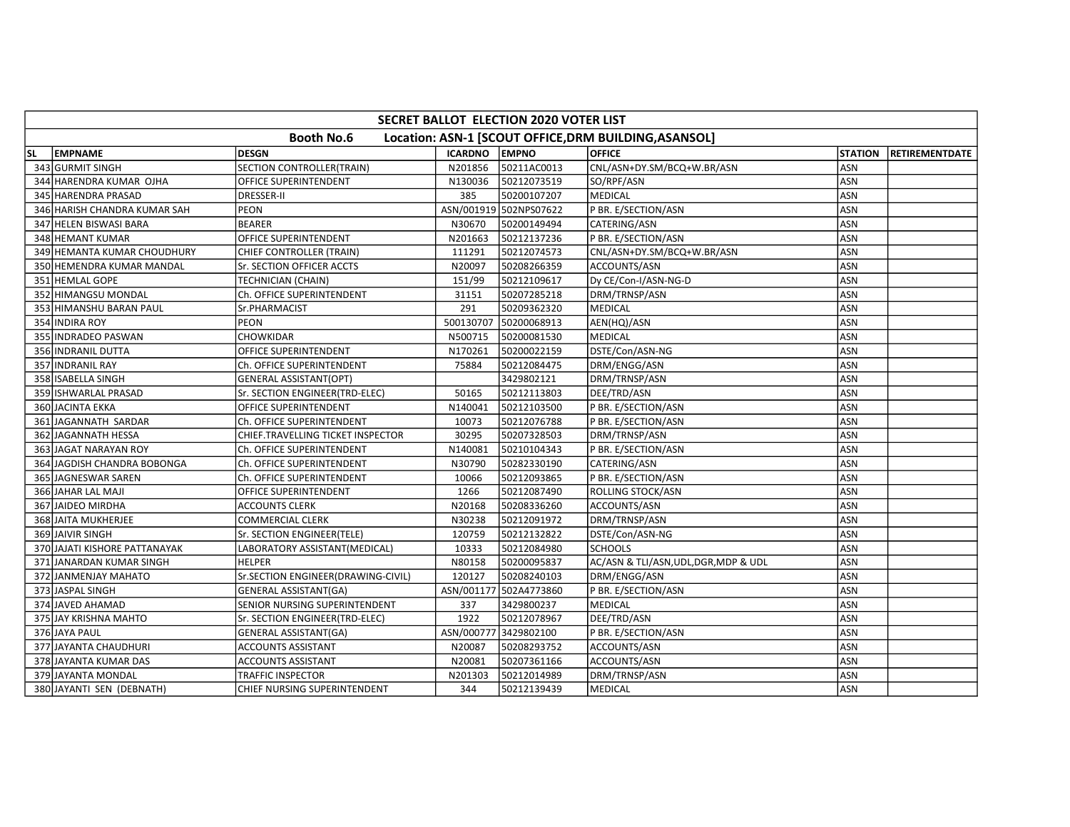|           | SECRET BALLOT ELECTION 2020 VOTER LIST                                     |                                    |                       |                        |                                       |                |                       |  |  |  |  |  |
|-----------|----------------------------------------------------------------------------|------------------------------------|-----------------------|------------------------|---------------------------------------|----------------|-----------------------|--|--|--|--|--|
|           | <b>Booth No.6</b><br>Location: ASN-1 [SCOUT OFFICE, DRM BUILDING, ASANSOL] |                                    |                       |                        |                                       |                |                       |  |  |  |  |  |
| <b>SL</b> | <b>EMPNAME</b>                                                             | <b>DESGN</b>                       | <b>ICARDNO</b>        | EMPNO                  | <b>OFFICE</b>                         | <b>STATION</b> | <b>RETIREMENTDATE</b> |  |  |  |  |  |
|           | 343 GURMIT SINGH                                                           | <b>SECTION CONTROLLER(TRAIN)</b>   | N201856               | 50211AC0013            | CNL/ASN+DY.SM/BCQ+W.BR/ASN            | ASN            |                       |  |  |  |  |  |
|           | 344 HARENDRA KUMAR OJHA                                                    | OFFICE SUPERINTENDENT              | N130036               | 50212073519            | SO/RPF/ASN                            | <b>ASN</b>     |                       |  |  |  |  |  |
|           | 345 HARENDRA PRASAD                                                        | <b>DRESSER-II</b>                  | 385                   | 50200107207            | <b>MEDICAL</b>                        | <b>ASN</b>     |                       |  |  |  |  |  |
|           | 346 HARISH CHANDRA KUMAR SAH                                               | <b>PEON</b>                        |                       | ASN/001919 502NPS07622 | P BR. E/SECTION/ASN                   | <b>ASN</b>     |                       |  |  |  |  |  |
|           | 347 HELEN BISWASI BARA                                                     | <b>BEARER</b>                      | N30670                | 50200149494            | CATERING/ASN                          | <b>ASN</b>     |                       |  |  |  |  |  |
|           | 348 HEMANT KUMAR                                                           | OFFICE SUPERINTENDENT              | N201663               | 50212137236            | P BR. E/SECTION/ASN                   | ASN            |                       |  |  |  |  |  |
|           | 349 HEMANTA KUMAR CHOUDHURY                                                | CHIEF CONTROLLER (TRAIN)           | 111291                | 50212074573            | CNL/ASN+DY.SM/BCQ+W.BR/ASN            | <b>ASN</b>     |                       |  |  |  |  |  |
|           | 350 HEMENDRA KUMAR MANDAL                                                  | Sr. SECTION OFFICER ACCTS          | N20097                | 50208266359            | ACCOUNTS/ASN                          | <b>ASN</b>     |                       |  |  |  |  |  |
|           | 351 HEMLAL GOPE                                                            | TECHNICIAN (CHAIN)                 | 151/99                | 50212109617            | Dy CE/Con-I/ASN-NG-D                  | ASN            |                       |  |  |  |  |  |
|           | 352 HIMANGSU MONDAL                                                        | Ch. OFFICE SUPERINTENDENT          | 31151                 | 50207285218            | DRM/TRNSP/ASN                         | ASN            |                       |  |  |  |  |  |
|           | 353 HIMANSHU BARAN PAUL                                                    | Sr.PHARMACIST                      | 291                   | 50209362320            | MEDICAL                               | <b>ASN</b>     |                       |  |  |  |  |  |
|           | 354 INDIRA ROY                                                             | PEON                               | 500130707             | 50200068913            | AEN(HQ)/ASN                           | <b>ASN</b>     |                       |  |  |  |  |  |
|           | 355 INDRADEO PASWAN                                                        | CHOWKIDAR                          | N500715               | 50200081530            | MEDICAL                               | ASN            |                       |  |  |  |  |  |
|           | 356 INDRANIL DUTTA                                                         | OFFICE SUPERINTENDENT              | N170261               | 50200022159            | DSTE/Con/ASN-NG                       | <b>ASN</b>     |                       |  |  |  |  |  |
|           | 357 INDRANIL RAY                                                           | Ch. OFFICE SUPERINTENDENT          | 75884                 | 50212084475            | DRM/ENGG/ASN                          | <b>ASN</b>     |                       |  |  |  |  |  |
|           | 358 ISABELLA SINGH                                                         | <b>GENERAL ASSISTANT(OPT)</b>      |                       | 3429802121             | DRM/TRNSP/ASN                         | ASN            |                       |  |  |  |  |  |
|           | 359 ISHWARLAL PRASAD                                                       | Sr. SECTION ENGINEER(TRD-ELEC)     | 50165                 | 50212113803            | DEE/TRD/ASN                           | ASN            |                       |  |  |  |  |  |
|           | 360 JACINTA EKKA                                                           | OFFICE SUPERINTENDENT              | N140041               | 50212103500            | P BR. E/SECTION/ASN                   | <b>ASN</b>     |                       |  |  |  |  |  |
|           | 361 JAGANNATH SARDAR                                                       | Ch. OFFICE SUPERINTENDENT          | 10073                 | 50212076788            | P BR. E/SECTION/ASN                   | ASN            |                       |  |  |  |  |  |
|           | 362 JAGANNATH HESSA                                                        | CHIEF.TRAVELLING TICKET INSPECTOR  | 30295                 | 50207328503            | DRM/TRNSP/ASN                         | ASN            |                       |  |  |  |  |  |
|           | 363 JAGAT NARAYAN ROY                                                      | Ch. OFFICE SUPERINTENDENT          | N140081               | 50210104343            | P BR. E/SECTION/ASN                   | <b>ASN</b>     |                       |  |  |  |  |  |
|           | 364 JAGDISH CHANDRA BOBONGA                                                | Ch. OFFICE SUPERINTENDENT          | N30790                | 50282330190            | CATERING/ASN                          | ASN            |                       |  |  |  |  |  |
|           | 365 JAGNESWAR SAREN                                                        | Ch. OFFICE SUPERINTENDENT          | 10066                 | 50212093865            | P BR. E/SECTION/ASN                   | ASN            |                       |  |  |  |  |  |
|           | 366 JAHAR LAL MAJI                                                         | OFFICE SUPERINTENDENT              | 1266                  | 50212087490            | ROLLING STOCK/ASN                     | ASN            |                       |  |  |  |  |  |
|           | 367 JAIDEO MIRDHA                                                          | <b>ACCOUNTS CLERK</b>              | N20168                | 50208336260            | ACCOUNTS/ASN                          | <b>ASN</b>     |                       |  |  |  |  |  |
|           | 368 JAITA MUKHERJEE                                                        | COMMERCIAL CLERK                   | N30238                | 50212091972            | DRM/TRNSP/ASN                         | ASN            |                       |  |  |  |  |  |
|           | 369 JAIVIR SINGH                                                           | Sr. SECTION ENGINEER(TELE)         | 120759                | 50212132822            | DSTE/Con/ASN-NG                       | <b>ASN</b>     |                       |  |  |  |  |  |
|           | 370 JAJATI KISHORE PATTANAYAK                                              | LABORATORY ASSISTANT(MEDICAL)      | 10333                 | 50212084980            | <b>SCHOOLS</b>                        | ASN            |                       |  |  |  |  |  |
|           | 371 JANARDAN KUMAR SINGH                                                   | <b>HELPER</b>                      | N80158                | 50200095837            | AC/ASN & TLI/ASN, UDL, DGR, MDP & UDL | <b>ASN</b>     |                       |  |  |  |  |  |
|           | 372 JANMENJAY MAHATO                                                       | Sr.SECTION ENGINEER(DRAWING-CIVIL) | 120127                | 50208240103            | DRM/ENGG/ASN                          | <b>ASN</b>     |                       |  |  |  |  |  |
|           | 373 JASPAL SINGH                                                           | <b>GENERAL ASSISTANT(GA)</b>       |                       | ASN/001177 502A4773860 | P BR. E/SECTION/ASN                   | ASN            |                       |  |  |  |  |  |
|           | 374 JAVED AHAMAD                                                           | SENIOR NURSING SUPERINTENDENT      | 337                   | 3429800237             | MEDICAL                               | <b>ASN</b>     |                       |  |  |  |  |  |
|           | 375 JAY KRISHNA MAHTO                                                      | Sr. SECTION ENGINEER(TRD-ELEC)     | 1922                  | 50212078967            | DEE/TRD/ASN                           | ASN            |                       |  |  |  |  |  |
|           | 376 JAYA PAUL                                                              | <b>GENERAL ASSISTANT(GA)</b>       | ASN/000777 3429802100 |                        | P BR. E/SECTION/ASN                   | <b>ASN</b>     |                       |  |  |  |  |  |
|           | 377 JAYANTA CHAUDHURI                                                      | <b>ACCOUNTS ASSISTANT</b>          | N20087                | 50208293752            | ACCOUNTS/ASN                          | <b>ASN</b>     |                       |  |  |  |  |  |
|           | 378 JAYANTA KUMAR DAS                                                      | ACCOUNTS ASSISTANT                 | N20081                | 50207361166            | ACCOUNTS/ASN                          | ASN            |                       |  |  |  |  |  |
|           | 379 JAYANTA MONDAL                                                         | TRAFFIC INSPECTOR                  | N201303               | 50212014989            | DRM/TRNSP/ASN                         | ASN            |                       |  |  |  |  |  |
|           | 380 JAYANTI SEN (DEBNATH)                                                  | CHIEF NURSING SUPERINTENDENT       | 344                   | 50212139439            | MEDICAL                               | ASN            |                       |  |  |  |  |  |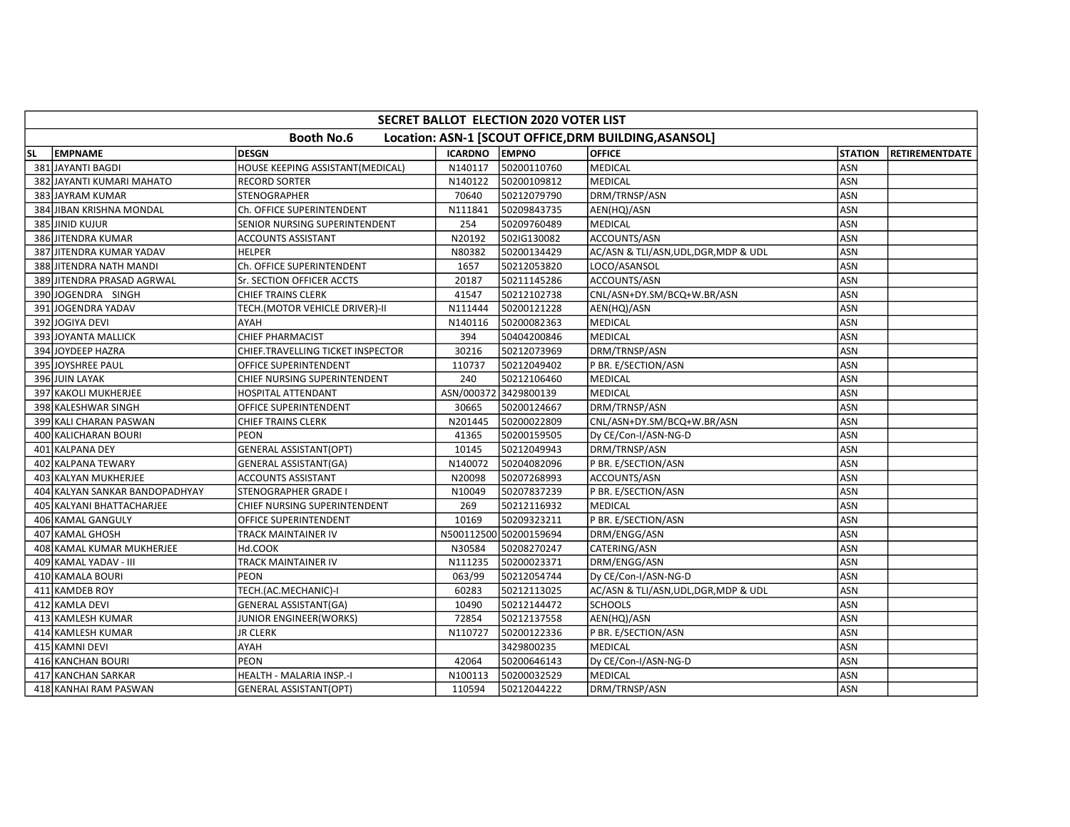|    | SECRET BALLOT ELECTION 2020 VOTER LIST |                                   |                |                        |                                                       |                |                       |  |  |  |  |  |
|----|----------------------------------------|-----------------------------------|----------------|------------------------|-------------------------------------------------------|----------------|-----------------------|--|--|--|--|--|
|    |                                        | <b>Booth No.6</b>                 |                |                        | Location: ASN-1 [SCOUT OFFICE, DRM BUILDING, ASANSOL] |                |                       |  |  |  |  |  |
| SL | <b>EMPNAME</b>                         | <b>DESGN</b>                      | <b>ICARDNO</b> | <b>EMPNO</b>           | <b>OFFICE</b>                                         | <b>STATION</b> | <b>RETIREMENTDATE</b> |  |  |  |  |  |
|    | 381 JAYANTI BAGDI                      | HOUSE KEEPING ASSISTANT(MEDICAL)  | N140117        | 50200110760            | MEDICAL                                               | ASN            |                       |  |  |  |  |  |
|    | 382 JAYANTI KUMARI MAHATO              | <b>RECORD SORTER</b>              | N140122        | 50200109812            | MEDICAL                                               | ASN            |                       |  |  |  |  |  |
|    | 383 JAYRAM KUMAR                       | STENOGRAPHER                      | 70640          | 50212079790            | DRM/TRNSP/ASN                                         | ASN            |                       |  |  |  |  |  |
|    | 384 JIBAN KRISHNA MONDAL               | Ch. OFFICE SUPERINTENDENT         | N111841        | 50209843735            | AEN(HQ)/ASN                                           | <b>ASN</b>     |                       |  |  |  |  |  |
|    | 385 JINID KUJUR                        | SENIOR NURSING SUPERINTENDENT     | 254            | 50209760489            | <b>MEDICAL</b>                                        | ASN            |                       |  |  |  |  |  |
|    | 386 JITENDRA KUMAR                     | <b>ACCOUNTS ASSISTANT</b>         | N20192         | 502IG130082            | ACCOUNTS/ASN                                          | ASN            |                       |  |  |  |  |  |
|    | 387 JITENDRA KUMAR YADAV               | <b>HELPER</b>                     | N80382         | 50200134429            | AC/ASN & TLI/ASN, UDL, DGR, MDP & UDL                 | ASN            |                       |  |  |  |  |  |
|    | 388 JITENDRA NATH MANDI                | Ch. OFFICE SUPERINTENDENT         | 1657           | 50212053820            | LOCO/ASANSOL                                          | ASN            |                       |  |  |  |  |  |
|    | 389 JITENDRA PRASAD AGRWAL             | Sr. SECTION OFFICER ACCTS         | 20187          | 50211145286            | ACCOUNTS/ASN                                          | ASN            |                       |  |  |  |  |  |
|    | 390JJOGENDRA SINGH                     | <b>CHIEF TRAINS CLERK</b>         | 41547          | 50212102738            | CNL/ASN+DY.SM/BCQ+W.BR/ASN                            | <b>ASN</b>     |                       |  |  |  |  |  |
|    | 391 JOGENDRA YADAV                     | TECH.(MOTOR VEHICLE DRIVER)-II    | N111444        | 50200121228            | AEN(HQ)/ASN                                           | <b>ASN</b>     |                       |  |  |  |  |  |
|    | 392 JOGIYA DEVI                        | AYAH                              | N140116        | 50200082363            | <b>MEDICAL</b>                                        | <b>ASN</b>     |                       |  |  |  |  |  |
|    | 393 JOYANTA MALLICK                    | <b>CHIEF PHARMACIST</b>           | 394            | 50404200846            | MEDICAL                                               | <b>ASN</b>     |                       |  |  |  |  |  |
|    | 394 JOYDEEP HAZRA                      | CHIEF.TRAVELLING TICKET INSPECTOR | 30216          | 50212073969            | DRM/TRNSP/ASN                                         | ASN            |                       |  |  |  |  |  |
|    | 395 JOYSHREE PAUL                      | OFFICE SUPERINTENDENT             | 110737         | 50212049402            | P BR. E/SECTION/ASN                                   | <b>ASN</b>     |                       |  |  |  |  |  |
|    | 396 JUIN LAYAK                         | CHIEF NURSING SUPERINTENDENT      | 240            | 50212106460            | <b>MEDICAL</b>                                        | ASN            |                       |  |  |  |  |  |
|    | 397 KAKOLI MUKHERJEE                   | HOSPITAL ATTENDANT                | ASN/000372     | 3429800139             | <b>MEDICAL</b>                                        | <b>ASN</b>     |                       |  |  |  |  |  |
|    | 398 KALESHWAR SINGH                    | OFFICE SUPERINTENDENT             | 30665          | 50200124667            | DRM/TRNSP/ASN                                         | <b>ASN</b>     |                       |  |  |  |  |  |
|    | 399 KALI CHARAN PASWAN                 | <b>CHIEF TRAINS CLERK</b>         | N201445        | 50200022809            | CNL/ASN+DY.SM/BCQ+W.BR/ASN                            | <b>ASN</b>     |                       |  |  |  |  |  |
|    | 400 KALICHARAN BOURI                   | <b>PEON</b>                       | 41365          | 50200159505            | Dy CE/Con-I/ASN-NG-D                                  | ASN            |                       |  |  |  |  |  |
|    | 401 KALPANA DEY                        | <b>GENERAL ASSISTANT(OPT)</b>     | 10145          | 50212049943            | DRM/TRNSP/ASN                                         | <b>ASN</b>     |                       |  |  |  |  |  |
|    | 402 KALPANA TEWARY                     | <b>GENERAL ASSISTANT(GA)</b>      | N140072        | 50204082096            | P BR. E/SECTION/ASN                                   | ASN            |                       |  |  |  |  |  |
|    | 403 KALYAN MUKHERJEE                   | <b>ACCOUNTS ASSISTANT</b>         | N20098         | 50207268993            | ACCOUNTS/ASN                                          | <b>ASN</b>     |                       |  |  |  |  |  |
|    | 404 KALYAN SANKAR BANDOPADHYAY         | STENOGRAPHER GRADE I              | N10049         | 50207837239            | P BR. E/SECTION/ASN                                   | <b>ASN</b>     |                       |  |  |  |  |  |
|    | 405 KALYANI BHATTACHARJEE              | CHIEF NURSING SUPERINTENDENT      | 269            | 50212116932            | <b>MEDICAL</b>                                        | ASN            |                       |  |  |  |  |  |
|    | 406 KAMAL GANGULY                      | OFFICE SUPERINTENDENT             | 10169          | 50209323211            | P BR. E/SECTION/ASN                                   | <b>ASN</b>     |                       |  |  |  |  |  |
|    | 407 KAMAL GHOSH                        | TRACK MAINTAINER IV               |                | N500112500 50200159694 | DRM/ENGG/ASN                                          | <b>ASN</b>     |                       |  |  |  |  |  |
|    | 408 KAMAL KUMAR MUKHERJEE              | Hd.COOK                           | N30584         | 50208270247            | CATERING/ASN                                          | ASN            |                       |  |  |  |  |  |
|    | 409 KAMAL YADAV - III                  | TRACK MAINTAINER IV               | N111235        | 50200023371            | DRM/ENGG/ASN                                          | <b>ASN</b>     |                       |  |  |  |  |  |
|    | 410 KAMALA BOURI                       | <b>PEON</b>                       | 063/99         | 50212054744            | Dy CE/Con-I/ASN-NG-D                                  | ASN            |                       |  |  |  |  |  |
|    | 411 KAMDEB ROY                         | TECH.(AC.MECHANIC)-I              | 60283          | 50212113025            | AC/ASN & TLI/ASN, UDL, DGR, MDP & UDL                 | <b>ASN</b>     |                       |  |  |  |  |  |
|    | 412 KAMLA DEVI                         | <b>GENERAL ASSISTANT(GA)</b>      | 10490          | 50212144472            | <b>SCHOOLS</b>                                        | ASN            |                       |  |  |  |  |  |
|    | 413 KAMLESH KUMAR                      | JUNIOR ENGINEER(WORKS)            | 72854          | 50212137558            | AEN(HQ)/ASN                                           | <b>ASN</b>     |                       |  |  |  |  |  |
|    | 414 KAMLESH KUMAR                      | <b>JR CLERK</b>                   | N110727        | 50200122336            | P BR. E/SECTION/ASN                                   | ASN            |                       |  |  |  |  |  |
|    | 415 KAMNI DEVI                         | AYAH                              |                | 3429800235             | <b>MEDICAL</b>                                        | ASN            |                       |  |  |  |  |  |
|    | 416 KANCHAN BOURI                      | PEON                              | 42064          | 50200646143            | Dy CE/Con-I/ASN-NG-D                                  | ASN            |                       |  |  |  |  |  |
|    | 417 KANCHAN SARKAR                     | HEALTH - MALARIA INSP.-I          | N100113        | 50200032529            | MEDICAL                                               | <b>ASN</b>     |                       |  |  |  |  |  |
|    | 418 KANHAI RAM PASWAN                  | <b>GENERAL ASSISTANT(OPT)</b>     | 110594         | 50212044222            | DRM/TRNSP/ASN                                         | ASN            |                       |  |  |  |  |  |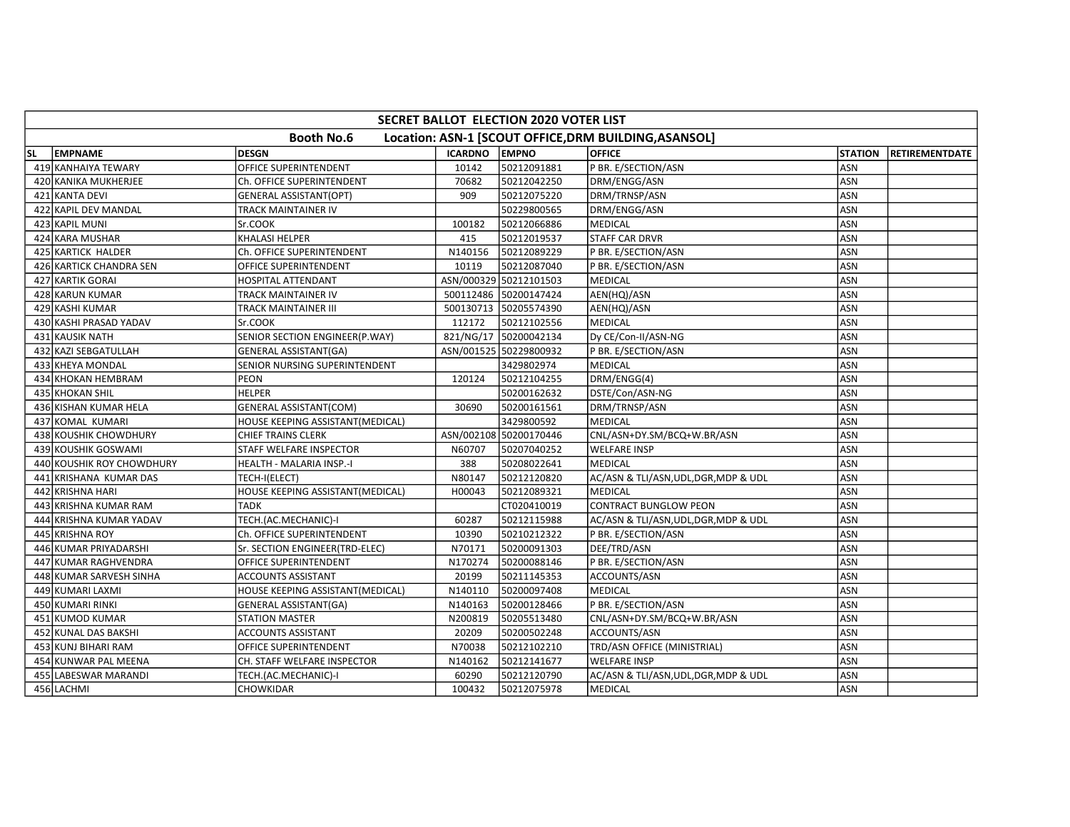|    | <b>SECRET BALLOT ELECTION 2020 VOTER LIST</b>                              |                                  |               |                        |                                       |                |                |  |  |  |  |  |
|----|----------------------------------------------------------------------------|----------------------------------|---------------|------------------------|---------------------------------------|----------------|----------------|--|--|--|--|--|
|    | <b>Booth No.6</b><br>Location: ASN-1 [SCOUT OFFICE, DRM BUILDING, ASANSOL] |                                  |               |                        |                                       |                |                |  |  |  |  |  |
| SL | EMPNAME                                                                    | <b>DESGN</b>                     | ICARDNO EMPNO |                        | <b>OFFICE</b>                         | <b>STATION</b> | RETIREMENTDATE |  |  |  |  |  |
|    | 419 KANHAIYA TEWARY                                                        | <b>OFFICE SUPERINTENDENT</b>     | 10142         | 50212091881            | P BR. E/SECTION/ASN                   | ASN            |                |  |  |  |  |  |
|    | 420 KANIKA MUKHERJEE                                                       | Ch. OFFICE SUPERINTENDENT        | 70682         | 50212042250            | DRM/ENGG/ASN                          | <b>ASN</b>     |                |  |  |  |  |  |
|    | 421 KANTA DEVI                                                             | <b>GENERAL ASSISTANT(OPT)</b>    | 909           | 50212075220            | DRM/TRNSP/ASN                         | ASN            |                |  |  |  |  |  |
|    | 422 KAPIL DEV MANDAL                                                       | TRACK MAINTAINER IV              |               | 50229800565            | DRM/ENGG/ASN                          | ASN            |                |  |  |  |  |  |
|    | 423 KAPIL MUNI                                                             | Sr.COOK                          | 100182        | 50212066886            | <b>MEDICAL</b>                        | <b>ASN</b>     |                |  |  |  |  |  |
|    | 424 KARA MUSHAR                                                            | <b>KHALASI HELPER</b>            | 415           | 50212019537            | <b>STAFF CAR DRVR</b>                 | ASN            |                |  |  |  |  |  |
|    | 425 KARTICK HALDER                                                         | Ch. OFFICE SUPERINTENDENT        | N140156       | 50212089229            | P BR. E/SECTION/ASN                   | ASN            |                |  |  |  |  |  |
|    | 426 KARTICK CHANDRA SEN                                                    | OFFICE SUPERINTENDENT            | 10119         | 50212087040            | P BR. E/SECTION/ASN                   | ASN            |                |  |  |  |  |  |
|    | 427 KARTIK GORAI                                                           | <b>HOSPITAL ATTENDANT</b>        |               | ASN/000329 50212101503 | <b>MEDICAL</b>                        | <b>ASN</b>     |                |  |  |  |  |  |
|    | 428 KARUN KUMAR                                                            | <b>TRACK MAINTAINER IV</b>       |               | 500112486 50200147424  | AEN(HQ)/ASN                           | <b>ASN</b>     |                |  |  |  |  |  |
|    | 429 KASHI KUMAR                                                            | TRACK MAINTAINER III             |               | 500130713 50205574390  | AEN(HQ)/ASN                           | ASN            |                |  |  |  |  |  |
|    | 430 KASHI PRASAD YADAV                                                     | Sr.COOK                          | 112172        | 50212102556            | <b>MEDICAL</b>                        | ASN            |                |  |  |  |  |  |
|    | 431 KAUSIK NATH                                                            | SENIOR SECTION ENGINEER(P.WAY)   |               | 821/NG/17 50200042134  | Dy CE/Con-II/ASN-NG                   | ASN            |                |  |  |  |  |  |
|    | 432 KAZI SEBGATULLAH                                                       | <b>GENERAL ASSISTANT(GA)</b>     |               | ASN/001525 50229800932 | P BR. E/SECTION/ASN                   | ASN            |                |  |  |  |  |  |
|    | 433 KHEYA MONDAL                                                           | SENIOR NURSING SUPERINTENDENT    |               | 3429802974             | <b>MEDICAL</b>                        | ASN            |                |  |  |  |  |  |
|    | 434 KHOKAN HEMBRAM                                                         | <b>PEON</b>                      | 120124        | 50212104255            | DRM/ENGG(4)                           | ASN            |                |  |  |  |  |  |
|    | 435 KHOKAN SHIL                                                            | <b>HELPER</b>                    |               | 50200162632            | DSTE/Con/ASN-NG                       | ASN            |                |  |  |  |  |  |
|    | 436 KISHAN KUMAR HELA                                                      | <b>GENERAL ASSISTANT(COM)</b>    | 30690         | 50200161561            | DRM/TRNSP/ASN                         | ASN            |                |  |  |  |  |  |
|    | 437 KOMAL KUMARI                                                           | HOUSE KEEPING ASSISTANT(MEDICAL) |               | 3429800592             | <b>MEDICAL</b>                        | ASN            |                |  |  |  |  |  |
|    | 438 KOUSHIK CHOWDHURY                                                      | <b>CHIEF TRAINS CLERK</b>        |               | ASN/002108 50200170446 | CNL/ASN+DY.SM/BCQ+W.BR/ASN            | ASN            |                |  |  |  |  |  |
|    | 439 KOUSHIK GOSWAMI                                                        | STAFF WELFARE INSPECTOR          | N60707        | 50207040252            | <b>WELFARE INSP</b>                   | <b>ASN</b>     |                |  |  |  |  |  |
|    | 440 KOUSHIK ROY CHOWDHURY                                                  | HEALTH - MALARIA INSP.-I         | 388           | 50208022641            | <b>MEDICAL</b>                        | <b>ASN</b>     |                |  |  |  |  |  |
|    | 441 KRISHANA KUMAR DAS                                                     | TECH-I(ELECT)                    | N80147        | 50212120820            | AC/ASN & TLI/ASN, UDL, DGR, MDP & UDL | ASN            |                |  |  |  |  |  |
|    | 442 KRISHNA HARI                                                           | HOUSE KEEPING ASSISTANT(MEDICAL) | H00043        | 50212089321            | <b>MEDICAL</b>                        | ASN            |                |  |  |  |  |  |
|    | 443 KRISHNA KUMAR RAM                                                      | <b>TADK</b>                      |               | CT020410019            | <b>CONTRACT BUNGLOW PEON</b>          | ASN            |                |  |  |  |  |  |
|    | 444 KRISHNA KUMAR YADAV                                                    | TECH.(AC.MECHANIC)-I             | 60287         | 50212115988            | AC/ASN & TLI/ASN, UDL, DGR, MDP & UDL | <b>ASN</b>     |                |  |  |  |  |  |
|    | 445 KRISHNA ROY                                                            | Ch. OFFICE SUPERINTENDENT        | 10390         | 50210212322            | P BR. E/SECTION/ASN                   | ASN            |                |  |  |  |  |  |
|    | 446 KUMAR PRIYADARSHI                                                      | Sr. SECTION ENGINEER(TRD-ELEC)   | N70171        | 50200091303            | DEE/TRD/ASN                           | <b>ASN</b>     |                |  |  |  |  |  |
|    | 447 KUMAR RAGHVENDRA                                                       | OFFICE SUPERINTENDENT            | N170274       | 50200088146            | P BR. E/SECTION/ASN                   | ASN            |                |  |  |  |  |  |
|    | 448 KUMAR SARVESH SINHA                                                    | ACCOUNTS ASSISTANT               | 20199         | 50211145353            | ACCOUNTS/ASN                          | ASN            |                |  |  |  |  |  |
|    | 449 KUMARI LAXMI                                                           | HOUSE KEEPING ASSISTANT(MEDICAL) | N140110       | 50200097408            | <b>MEDICAL</b>                        | ASN            |                |  |  |  |  |  |
|    | 450 KUMARI RINKI                                                           | <b>GENERAL ASSISTANT(GA)</b>     | N140163       | 50200128466            | P BR. E/SECTION/ASN                   | ASN            |                |  |  |  |  |  |
|    | 451 KUMOD KUMAR                                                            | <b>STATION MASTER</b>            | N200819       | 50205513480            | CNL/ASN+DY.SM/BCQ+W.BR/ASN            | <b>ASN</b>     |                |  |  |  |  |  |
|    | 452 KUNAL DAS BAKSHI                                                       | ACCOUNTS ASSISTANT               | 20209         | 50200502248            | ACCOUNTS/ASN                          | ASN            |                |  |  |  |  |  |
|    | 453 KUNJ BIHARI RAM                                                        | OFFICE SUPERINTENDENT            | N70038        | 50212102210            | TRD/ASN OFFICE (MINISTRIAL)           | <b>ASN</b>     |                |  |  |  |  |  |
|    | 454 KUNWAR PAL MEENA                                                       | CH. STAFF WELFARE INSPECTOR      | N140162       | 50212141677            | <b>WELFARE INSP</b>                   | <b>ASN</b>     |                |  |  |  |  |  |
|    | 455 LABESWAR MARANDI                                                       | TECH.(AC.MECHANIC)-I             | 60290         | 50212120790            | AC/ASN & TLI/ASN, UDL, DGR, MDP & UDL | ASN            |                |  |  |  |  |  |
|    | 456 LACHMI                                                                 | CHOWKIDAR                        | 100432        | 50212075978            | MEDICAL                               | ASN            |                |  |  |  |  |  |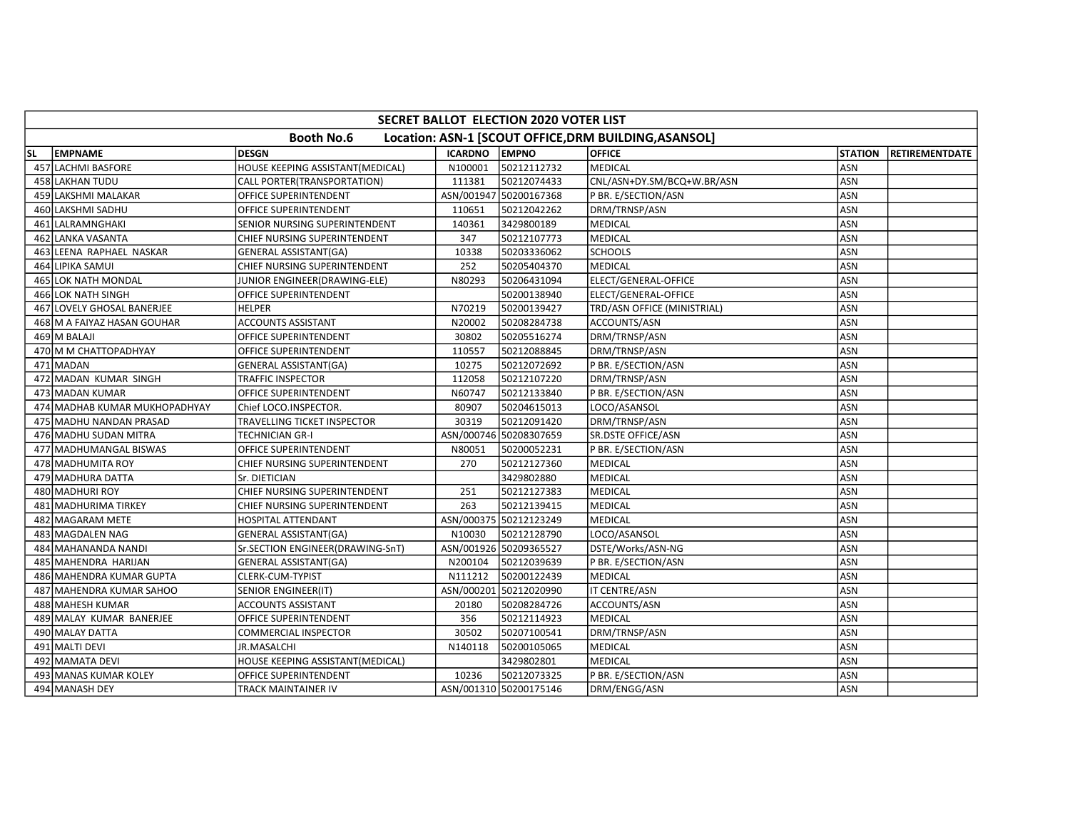|    | SECRET BALLOT ELECTION 2020 VOTER LIST |                                  |                |                        |                                                       |                |                        |  |  |  |  |  |
|----|----------------------------------------|----------------------------------|----------------|------------------------|-------------------------------------------------------|----------------|------------------------|--|--|--|--|--|
|    |                                        | <b>Booth No.6</b>                |                |                        | Location: ASN-1 [SCOUT OFFICE, DRM BUILDING, ASANSOL] |                |                        |  |  |  |  |  |
| SL | <b>EMPNAME</b>                         | <b>DESGN</b>                     | <b>ICARDNO</b> | <b>EMPNO</b>           | <b>OFFICE</b>                                         | <b>STATION</b> | <b>IRETIREMENTDATE</b> |  |  |  |  |  |
|    | 457 LACHMI BASFORE                     | HOUSE KEEPING ASSISTANT(MEDICAL) | N100001        | 50212112732            | <b>MEDICAL</b>                                        | ASN            |                        |  |  |  |  |  |
|    | 458 LAKHAN TUDU                        | CALL PORTER(TRANSPORTATION)      | 111381         | 50212074433            | CNL/ASN+DY.SM/BCQ+W.BR/ASN                            | ASN            |                        |  |  |  |  |  |
|    | 459 LAKSHMI MALAKAR                    | OFFICE SUPERINTENDENT            |                | ASN/001947 50200167368 | P BR. E/SECTION/ASN                                   | ASN            |                        |  |  |  |  |  |
|    | 460 LAKSHMI SADHU                      | OFFICE SUPERINTENDENT            | 110651         | 50212042262            | DRM/TRNSP/ASN                                         | ASN            |                        |  |  |  |  |  |
|    | 461 LALRAMNGHAKI                       | SENIOR NURSING SUPERINTENDENT    | 140361         | 3429800189             | <b>MEDICAL</b>                                        | <b>ASN</b>     |                        |  |  |  |  |  |
|    | 462 LANKA VASANTA                      | CHIEF NURSING SUPERINTENDENT     | 347            | 50212107773            | <b>MEDICAL</b>                                        | ASN            |                        |  |  |  |  |  |
|    | 463 LEENA RAPHAEL NASKAR               | <b>GENERAL ASSISTANT(GA)</b>     | 10338          | 50203336062            | <b>SCHOOLS</b>                                        | ASN            |                        |  |  |  |  |  |
|    | 464 LIPIKA SAMUI                       | CHIEF NURSING SUPERINTENDENT     | 252            | 50205404370            | <b>MEDICAL</b>                                        | ASN            |                        |  |  |  |  |  |
|    | 465 LOK NATH MONDAL                    | JUNIOR ENGINEER(DRAWING-ELE)     | N80293         | 50206431094            | ELECT/GENERAL-OFFICE                                  | ASN            |                        |  |  |  |  |  |
|    | 466 LOK NATH SINGH                     | OFFICE SUPERINTENDENT            |                | 50200138940            | ELECT/GENERAL-OFFICE                                  | ASN            |                        |  |  |  |  |  |
|    | 467 LOVELY GHOSAL BANERJEE             | <b>HELPER</b>                    | N70219         | 50200139427            | TRD/ASN OFFICE (MINISTRIAL)                           | ASN            |                        |  |  |  |  |  |
|    | 468 M A FAIYAZ HASAN GOUHAR            | <b>ACCOUNTS ASSISTANT</b>        | N20002         | 50208284738            | ACCOUNTS/ASN                                          | ASN            |                        |  |  |  |  |  |
|    | 469 M BALAJI                           | OFFICE SUPERINTENDENT            | 30802          | 50205516274            | DRM/TRNSP/ASN                                         | ASN            |                        |  |  |  |  |  |
|    | 470 M M CHATTOPADHYAY                  | OFFICE SUPERINTENDENT            | 110557         | 50212088845            | DRM/TRNSP/ASN                                         | ASN            |                        |  |  |  |  |  |
|    | 471 MADAN                              | <b>GENERAL ASSISTANT(GA)</b>     | 10275          | 50212072692            | P BR. E/SECTION/ASN                                   | ASN            |                        |  |  |  |  |  |
|    | 472 MADAN KUMAR SINGH                  | TRAFFIC INSPECTOR                | 112058         | 50212107220            | DRM/TRNSP/ASN                                         | ASN            |                        |  |  |  |  |  |
|    | 473 MADAN KUMAR                        | OFFICE SUPERINTENDENT            | N60747         | 50212133840            | P BR. E/SECTION/ASN                                   | ASN            |                        |  |  |  |  |  |
|    | 474 MADHAB KUMAR MUKHOPADHYAY          | Chief LOCO.INSPECTOR.            | 80907          | 50204615013            | LOCO/ASANSOL                                          | ASN            |                        |  |  |  |  |  |
|    | 475 MADHU NANDAN PRASAD                | TRAVELLING TICKET INSPECTOR      | 30319          | 50212091420            | DRM/TRNSP/ASN                                         | ASN            |                        |  |  |  |  |  |
|    | 476 MADHU SUDAN MITRA                  | TECHNICIAN GR-I                  |                | ASN/000746 50208307659 | SR.DSTE OFFICE/ASN                                    | ASN            |                        |  |  |  |  |  |
|    | 477 MADHUMANGAL BISWAS                 | OFFICE SUPERINTENDENT            | N80051         | 50200052231            | P BR. E/SECTION/ASN                                   | <b>ASN</b>     |                        |  |  |  |  |  |
|    | 478 MADHUMITA ROY                      | CHIEF NURSING SUPERINTENDENT     | 270            | 50212127360            | <b>MEDICAL</b>                                        | <b>ASN</b>     |                        |  |  |  |  |  |
|    | 479 MADHURA DATTA                      | Sr. DIETICIAN                    |                | 3429802880             | <b>MEDICAL</b>                                        | ASN            |                        |  |  |  |  |  |
|    | 480 MADHURI ROY                        | CHIEF NURSING SUPERINTENDENT     | 251            | 50212127383            | <b>MEDICAL</b>                                        | ASN            |                        |  |  |  |  |  |
|    | 481 MADHURIMA TIRKEY                   | CHIEF NURSING SUPERINTENDENT     | 263            | 50212139415            | MEDICAL                                               | ASN            |                        |  |  |  |  |  |
|    | 482 MAGARAM METE                       | HOSPITAL ATTENDANT               |                | ASN/000375 50212123249 | MEDICAL                                               | ASN            |                        |  |  |  |  |  |
|    | 483 MAGDALEN NAG                       | <b>GENERAL ASSISTANT(GA)</b>     | N10030         | 50212128790            | LOCO/ASANSOL                                          | ASN            |                        |  |  |  |  |  |
|    | 484 MAHANANDA NANDI                    | Sr.SECTION ENGINEER(DRAWING-SnT) |                | ASN/001926 50209365527 | DSTE/Works/ASN-NG                                     | ASN            |                        |  |  |  |  |  |
|    | 485 MAHENDRA HARIJAN                   | <b>GENERAL ASSISTANT(GA)</b>     | N200104        | 50212039639            | P BR. E/SECTION/ASN                                   | <b>ASN</b>     |                        |  |  |  |  |  |
|    | 486 MAHENDRA KUMAR GUPTA               | CLERK-CUM-TYPIST                 | N111212        | 50200122439            | <b>MEDICAL</b>                                        | ASN            |                        |  |  |  |  |  |
|    | 487 MAHENDRA KUMAR SAHOO               | <b>SENIOR ENGINEER(IT)</b>       |                | ASN/000201 50212020990 | IT CENTRE/ASN                                         | ASN            |                        |  |  |  |  |  |
|    | 488 MAHESH KUMAR                       | ACCOUNTS ASSISTANT               | 20180          | 50208284726            | ACCOUNTS/ASN                                          | ASN            |                        |  |  |  |  |  |
|    | 489 MALAY KUMAR BANERJEE               | OFFICE SUPERINTENDENT            | 356            | 50212114923            | <b>MEDICAL</b>                                        | <b>ASN</b>     |                        |  |  |  |  |  |
|    | 490 MALAY DATTA                        | <b>COMMERCIAL INSPECTOR</b>      | 30502          | 50207100541            | DRM/TRNSP/ASN                                         | <b>ASN</b>     |                        |  |  |  |  |  |
|    | 491 MALTI DEVI                         | JR.MASALCHI                      | N140118        | 50200105065            | <b>MEDICAL</b>                                        | ASN            |                        |  |  |  |  |  |
|    | 492 MAMATA DEVI                        | HOUSE KEEPING ASSISTANT(MEDICAL) |                | 3429802801             | <b>MEDICAL</b>                                        | ASN            |                        |  |  |  |  |  |
|    | 493 MANAS KUMAR KOLEY                  | OFFICE SUPERINTENDENT            | 10236          | 50212073325            | P BR. E/SECTION/ASN                                   | ASN            |                        |  |  |  |  |  |
|    | 494 MANASH DEY                         | TRACK MAINTAINER IV              |                | ASN/001310 50200175146 | DRM/ENGG/ASN                                          | ASN            |                        |  |  |  |  |  |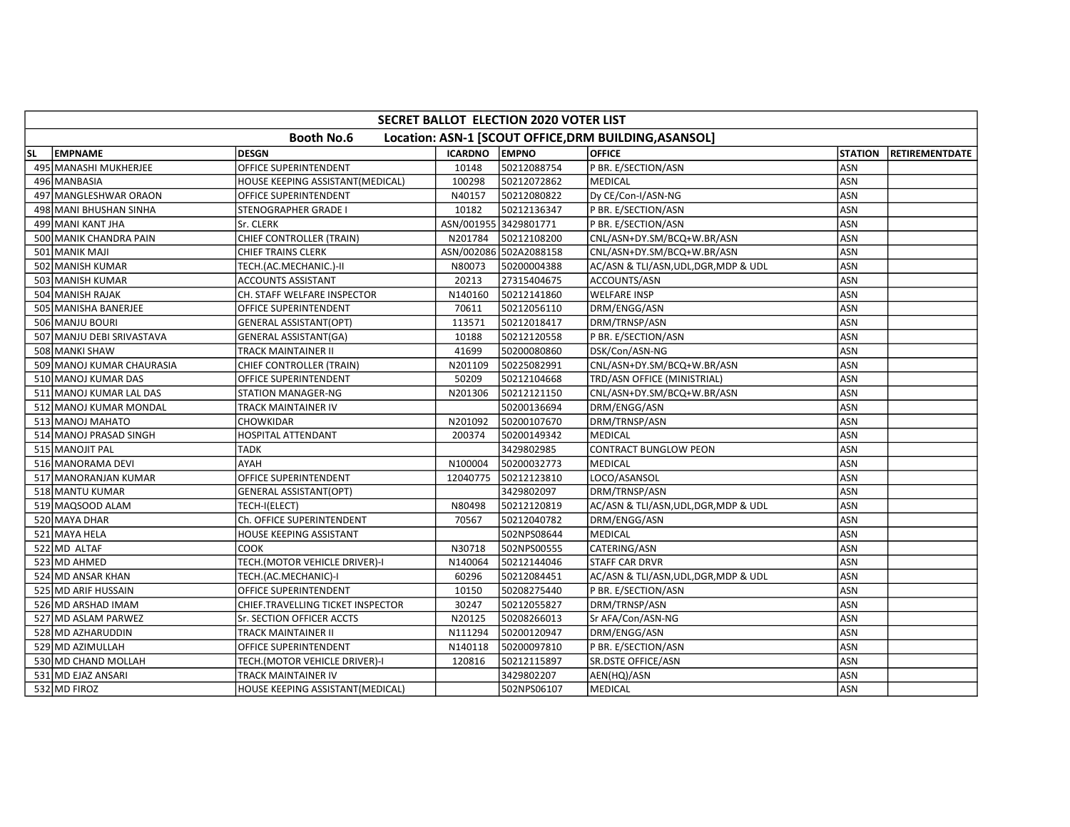|    | <b>SECRET BALLOT ELECTION 2020 VOTER LIST</b>                              |                                   |                      |                        |                                       |                |                        |  |  |  |  |  |
|----|----------------------------------------------------------------------------|-----------------------------------|----------------------|------------------------|---------------------------------------|----------------|------------------------|--|--|--|--|--|
|    | <b>Booth No.6</b><br>Location: ASN-1 [SCOUT OFFICE, DRM BUILDING, ASANSOL] |                                   |                      |                        |                                       |                |                        |  |  |  |  |  |
| SL | <b>EMPNAME</b>                                                             | <b>DESGN</b>                      | <b>ICARDNO EMPNO</b> |                        | <b>OFFICE</b>                         | <b>STATION</b> | <b>IRETIREMENTDATE</b> |  |  |  |  |  |
|    | 495 MANASHI MUKHERJEE                                                      | OFFICE SUPERINTENDENT             | 10148                | 50212088754            | P BR. E/SECTION/ASN                   | ASN            |                        |  |  |  |  |  |
|    | 496 MANBASIA                                                               | HOUSE KEEPING ASSISTANT(MEDICAL)  | 100298               | 50212072862            | <b>MEDICAL</b>                        | ASN            |                        |  |  |  |  |  |
|    | 497 MANGLESHWAR ORAON                                                      | OFFICE SUPERINTENDENT             | N40157               | 50212080822            | Dy CE/Con-I/ASN-NG                    | ASN            |                        |  |  |  |  |  |
|    | 498 MANI BHUSHAN SINHA                                                     | STENOGRAPHER GRADE I              | 10182                | 50212136347            | P BR. E/SECTION/ASN                   | ASN            |                        |  |  |  |  |  |
|    | 499 MANI KANT JHA                                                          | Sr. CLERK                         |                      | ASN/001955 3429801771  | P BR. E/SECTION/ASN                   | <b>ASN</b>     |                        |  |  |  |  |  |
|    | 500 MANIK CHANDRA PAIN                                                     | CHIEF CONTROLLER (TRAIN)          | N201784              | 50212108200            | CNL/ASN+DY.SM/BCQ+W.BR/ASN            | ASN            |                        |  |  |  |  |  |
|    | 501 MANIK MAJI                                                             | <b>CHIEF TRAINS CLERK</b>         |                      | ASN/002086 502A2088158 | CNL/ASN+DY.SM/BCQ+W.BR/ASN            | ASN            |                        |  |  |  |  |  |
|    | 502 MANISH KUMAR                                                           | TECH.(AC.MECHANIC.)-II            | N80073               | 50200004388            | AC/ASN & TLI/ASN, UDL, DGR, MDP & UDL | ASN            |                        |  |  |  |  |  |
|    | 503 MANISH KUMAR                                                           | ACCOUNTS ASSISTANT                | 20213                | 27315404675            | ACCOUNTS/ASN                          | ASN            |                        |  |  |  |  |  |
|    | 504 MANISH RAJAK                                                           | CH. STAFF WELFARE INSPECTOR       | N140160              | 50212141860            | <b>WELFARE INSP</b>                   | ASN            |                        |  |  |  |  |  |
|    | 505 MANISHA BANERJEE                                                       | OFFICE SUPERINTENDENT             | 70611                | 50212056110            | DRM/ENGG/ASN                          | ASN            |                        |  |  |  |  |  |
|    | 506 MANJU BOURI                                                            | <b>GENERAL ASSISTANT(OPT)</b>     | 113571               | 50212018417            | DRM/TRNSP/ASN                         | ASN            |                        |  |  |  |  |  |
|    | 507 MANJU DEBI SRIVASTAVA                                                  | GENERAL ASSISTANT(GA)             | 10188                | 50212120558            | P BR. E/SECTION/ASN                   | ASN            |                        |  |  |  |  |  |
|    | 508 MANKI SHAW                                                             | TRACK MAINTAINER II               | 41699                | 50200080860            | DSK/Con/ASN-NG                        | ASN            |                        |  |  |  |  |  |
|    | 509 MANOJ KUMAR CHAURASIA                                                  | CHIEF CONTROLLER (TRAIN)          | N201109              | 50225082991            | CNL/ASN+DY.SM/BCQ+W.BR/ASN            | <b>ASN</b>     |                        |  |  |  |  |  |
|    | 510 MANOJ KUMAR DAS                                                        | OFFICE SUPERINTENDENT             | 50209                | 50212104668            | TRD/ASN OFFICE (MINISTRIAL)           | ASN            |                        |  |  |  |  |  |
|    | 511 MANOJ KUMAR LAL DAS                                                    | STATION MANAGER-NG                | N201306              | 50212121150            | CNL/ASN+DY.SM/BCQ+W.BR/ASN            | ASN            |                        |  |  |  |  |  |
|    | 512 MANOJ KUMAR MONDAL                                                     | TRACK MAINTAINER IV               |                      | 50200136694            | DRM/ENGG/ASN                          | ASN            |                        |  |  |  |  |  |
|    | 513 MANOJ MAHATO                                                           | CHOWKIDAR                         | N201092              | 50200107670            | DRM/TRNSP/ASN                         | ASN            |                        |  |  |  |  |  |
|    | 514 MANOJ PRASAD SINGH                                                     | HOSPITAL ATTENDANT                | 200374               | 50200149342            | <b>MEDICAL</b>                        | ASN            |                        |  |  |  |  |  |
|    | 515 MANOJIT PAL                                                            | <b>TADK</b>                       |                      | 3429802985             | <b>CONTRACT BUNGLOW PEON</b>          | ASN            |                        |  |  |  |  |  |
|    | 516 MANORAMA DEVI                                                          | <b>AYAH</b>                       | N100004              | 50200032773            | <b>MEDICAL</b>                        | ASN            |                        |  |  |  |  |  |
|    | 517 MANORANJAN KUMAR                                                       | OFFICE SUPERINTENDENT             | 12040775             | 50212123810            | LOCO/ASANSOL                          | ASN            |                        |  |  |  |  |  |
|    | 518 MANTU KUMAR                                                            | <b>GENERAL ASSISTANT(OPT)</b>     |                      | 3429802097             | DRM/TRNSP/ASN                         | <b>ASN</b>     |                        |  |  |  |  |  |
|    | 519 MAQSOOD ALAM                                                           | TECH-I(ELECT)                     | N80498               | 50212120819            | AC/ASN & TLI/ASN, UDL, DGR, MDP & UDL | ASN            |                        |  |  |  |  |  |
|    | 520 MAYA DHAR                                                              | Ch. OFFICE SUPERINTENDENT         | 70567                | 50212040782            | DRM/ENGG/ASN                          | ASN            |                        |  |  |  |  |  |
|    | 521 MAYA HELA                                                              | HOUSE KEEPING ASSISTANT           |                      | 502NPS08644            | <b>MEDICAL</b>                        | ASN            |                        |  |  |  |  |  |
|    | 522 MD ALTAF                                                               | <b>COOK</b>                       | N30718               | 502NPS00555            | CATERING/ASN                          | ASN            |                        |  |  |  |  |  |
|    | 523 MD AHMED                                                               | TECH.(MOTOR VEHICLE DRIVER)-I     | N140064              | 50212144046            | <b>STAFF CAR DRVR</b>                 | <b>ASN</b>     |                        |  |  |  |  |  |
|    | 524 MD ANSAR KHAN                                                          | TECH.(AC.MECHANIC)-I              | 60296                | 50212084451            | AC/ASN & TLI/ASN, UDL, DGR, MDP & UDL | ASN            |                        |  |  |  |  |  |
|    | 525 MD ARIF HUSSAIN                                                        | OFFICE SUPERINTENDENT             | 10150                | 50208275440            | P BR. E/SECTION/ASN                   | ASN            |                        |  |  |  |  |  |
|    | 526 MD ARSHAD IMAM                                                         | CHIEF.TRAVELLING TICKET INSPECTOR | 30247                | 50212055827            | DRM/TRNSP/ASN                         | <b>ASN</b>     |                        |  |  |  |  |  |
|    | 527 MD ASLAM PARWEZ                                                        | Sr. SECTION OFFICER ACCTS         | N20125               | 50208266013            | Sr AFA/Con/ASN-NG                     | ASN            |                        |  |  |  |  |  |
|    | 528 MD AZHARUDDIN                                                          | TRACK MAINTAINER II               | N111294              | 50200120947            | DRM/ENGG/ASN                          | ASN            |                        |  |  |  |  |  |
|    | 529 MD AZIMULLAH                                                           | OFFICE SUPERINTENDENT             | N140118              | 50200097810            | P BR. E/SECTION/ASN                   | ASN            |                        |  |  |  |  |  |
|    | 530 MD CHAND MOLLAH                                                        | TECH.(MOTOR VEHICLE DRIVER)-I     | 120816               | 50212115897            | <b>SR.DSTE OFFICE/ASN</b>             | ASN            |                        |  |  |  |  |  |
|    | 531 MD EJAZ ANSARI                                                         | TRACK MAINTAINER IV               |                      | 3429802207             | AEN(HQ)/ASN                           | <b>ASN</b>     |                        |  |  |  |  |  |
|    | 532 MD FIROZ                                                               | HOUSE KEEPING ASSISTANT(MEDICAL)  |                      | 502NPS06107            | <b>MEDICAL</b>                        | ASN            |                        |  |  |  |  |  |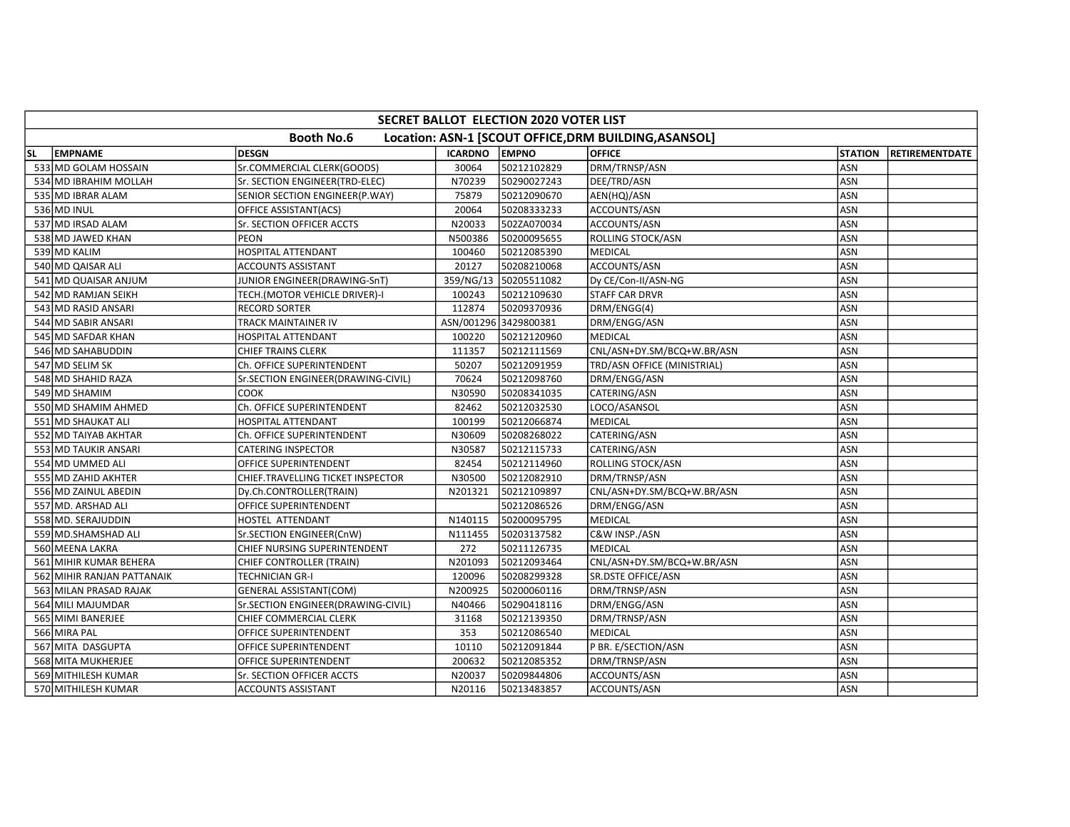|    | SECRET BALLOT ELECTION 2020 VOTER LIST |                                    |                |                       |                                                       |                |                       |  |  |  |  |  |
|----|----------------------------------------|------------------------------------|----------------|-----------------------|-------------------------------------------------------|----------------|-----------------------|--|--|--|--|--|
|    |                                        | <b>Booth No.6</b>                  |                |                       | Location: ASN-1 [SCOUT OFFICE, DRM BUILDING, ASANSOL] |                |                       |  |  |  |  |  |
| SL | <b>EMPNAME</b>                         | <b>DESGN</b>                       | <b>ICARDNO</b> | <b>EMPNO</b>          | <b>OFFICE</b>                                         | <b>STATION</b> | <b>RETIREMENTDATE</b> |  |  |  |  |  |
|    | 533 MD GOLAM HOSSAIN                   | Sr.COMMERCIAL CLERK(GOODS)         | 30064          | 50212102829           | DRM/TRNSP/ASN                                         | ASN            |                       |  |  |  |  |  |
|    | 534 MD IBRAHIM MOLLAH                  | Sr. SECTION ENGINEER(TRD-ELEC)     | N70239         | 50290027243           | DEE/TRD/ASN                                           | ASN            |                       |  |  |  |  |  |
|    | 535 MD IBRAR ALAM                      | SENIOR SECTION ENGINEER(P.WAY)     | 75879          | 50212090670           | AEN(HQ)/ASN                                           | ASN            |                       |  |  |  |  |  |
|    | 536 MD INUL                            | OFFICE ASSISTANT(ACS)              | 20064          | 50208333233           | ACCOUNTS/ASN                                          | <b>ASN</b>     |                       |  |  |  |  |  |
|    | 537 MD IRSAD ALAM                      | Sr. SECTION OFFICER ACCTS          | N20033         | 502ZA070034           | ACCOUNTS/ASN                                          | <b>ASN</b>     |                       |  |  |  |  |  |
|    | 538 MD JAWED KHAN                      | <b>PEON</b>                        | N500386        | 50200095655           | ROLLING STOCK/ASN                                     | ASN            |                       |  |  |  |  |  |
|    | 539 MD KALIM                           | HOSPITAL ATTENDANT                 | 100460         | 50212085390           | <b>MEDICAL</b>                                        | ASN            |                       |  |  |  |  |  |
|    | 540 MD QAISAR ALI                      | <b>ACCOUNTS ASSISTANT</b>          | 20127          | 50208210068           | ACCOUNTS/ASN                                          | ASN            |                       |  |  |  |  |  |
|    | 541 MD QUAISAR ANJUM                   | JUNIOR ENGINEER(DRAWING-SnT)       | 359/NG/13      | 50205511082           | Dy CE/Con-II/ASN-NG                                   | ASN            |                       |  |  |  |  |  |
|    | 542 MD RAMJAN SEIKH                    | TECH.(MOTOR VEHICLE DRIVER)-I      | 100243         | 50212109630           | <b>STAFF CAR DRVR</b>                                 | ASN            |                       |  |  |  |  |  |
|    | 543 MD RASID ANSARI                    | <b>RECORD SORTER</b>               | 112874         | 50209370936           | DRM/ENGG(4)                                           | ASN            |                       |  |  |  |  |  |
|    | 544 MD SABIR ANSARI                    | TRACK MAINTAINER IV                |                | ASN/001296 3429800381 | DRM/ENGG/ASN                                          | <b>ASN</b>     |                       |  |  |  |  |  |
|    | 545 MD SAFDAR KHAN                     | HOSPITAL ATTENDANT                 | 100220         | 50212120960           | MEDICAL                                               | ASN            |                       |  |  |  |  |  |
|    | 546 MD SAHABUDDIN                      | CHIEF TRAINS CLERK                 | 111357         | 50212111569           | CNL/ASN+DY.SM/BCQ+W.BR/ASN                            | <b>ASN</b>     |                       |  |  |  |  |  |
|    | 547 MD SELIM SK                        | Ch. OFFICE SUPERINTENDENT          | 50207          | 50212091959           | TRD/ASN OFFICE (MINISTRIAL)                           | ASN            |                       |  |  |  |  |  |
|    | 548 MD SHAHID RAZA                     | Sr.SECTION ENGINEER(DRAWING-CIVIL) | 70624          | 50212098760           | DRM/ENGG/ASN                                          | ASN            |                       |  |  |  |  |  |
|    | 549 MD SHAMIM                          | COOK                               | N30590         | 50208341035           | CATERING/ASN                                          | ASN            |                       |  |  |  |  |  |
|    | 550 MD SHAMIM AHMED                    | Ch. OFFICE SUPERINTENDENT          | 82462          | 50212032530           | LOCO/ASANSOL                                          | ASN            |                       |  |  |  |  |  |
|    | 551 MD SHAUKAT ALI                     | <b>HOSPITAL ATTENDANT</b>          | 100199         | 50212066874           | <b>MEDICAL</b>                                        | <b>ASN</b>     |                       |  |  |  |  |  |
|    | 552 MD TAIYAB AKHTAR                   | Ch. OFFICE SUPERINTENDENT          | N30609         | 50208268022           | CATERING/ASN                                          | ASN            |                       |  |  |  |  |  |
|    | 553 MD TAUKIR ANSARI                   | <b>CATERING INSPECTOR</b>          | N30587         | 50212115733           | CATERING/ASN                                          | <b>ASN</b>     |                       |  |  |  |  |  |
|    | 554 MD UMMED ALI                       | OFFICE SUPERINTENDENT              | 82454          | 50212114960           | ROLLING STOCK/ASN                                     | <b>ASN</b>     |                       |  |  |  |  |  |
|    | 555 MD ZAHID AKHTER                    | CHIEF.TRAVELLING TICKET INSPECTOR  | N30500         | 50212082910           | DRM/TRNSP/ASN                                         | ASN            |                       |  |  |  |  |  |
|    | 556 MD ZAINUL ABEDIN                   | Dy.Ch.CONTROLLER(TRAIN)            | N201321        | 50212109897           | CNL/ASN+DY.SM/BCQ+W.BR/ASN                            | <b>ASN</b>     |                       |  |  |  |  |  |
|    | 557 MD. ARSHAD ALI                     | OFFICE SUPERINTENDENT              |                | 50212086526           | DRM/ENGG/ASN                                          | ASN            |                       |  |  |  |  |  |
|    | 558 MD. SERAJUDDIN                     | HOSTEL ATTENDANT                   | N140115        | 50200095795           | <b>MEDICAL</b>                                        | ASN            |                       |  |  |  |  |  |
|    | 559 MD. SHAMSHAD ALI                   | Sr.SECTION ENGINEER(CnW)           | N111455        | 50203137582           | C&W INSP./ASN                                         | ASN            |                       |  |  |  |  |  |
|    | 560 MEENA LAKRA                        | CHIEF NURSING SUPERINTENDENT       | 272            | 50211126735           | MEDICAL                                               | ASN            |                       |  |  |  |  |  |
|    | 561 MIHIR KUMAR BEHERA                 | CHIEF CONTROLLER (TRAIN)           | N201093        | 50212093464           | CNL/ASN+DY.SM/BCQ+W.BR/ASN                            | ASN            |                       |  |  |  |  |  |
|    | 562 MIHIR RANJAN PATTANAIK             | <b>TECHNICIAN GR-I</b>             | 120096         | 50208299328           | <b>SR.DSTE OFFICE/ASN</b>                             | ASN            |                       |  |  |  |  |  |
|    | 563 MILAN PRASAD RAJAK                 | <b>GENERAL ASSISTANT(COM)</b>      | N200925        | 50200060116           | DRM/TRNSP/ASN                                         | ASN            |                       |  |  |  |  |  |
|    | 564 MILI MAJUMDAR                      | Sr.SECTION ENGINEER(DRAWING-CIVIL) | N40466         | 50290418116           | DRM/ENGG/ASN                                          | <b>ASN</b>     |                       |  |  |  |  |  |
|    | 565 MIMI BANERJEE                      | CHIEF COMMERCIAL CLERK             | 31168          | 50212139350           | DRM/TRNSP/ASN                                         | ASN            |                       |  |  |  |  |  |
|    | 566 MIRA PAL                           | OFFICE SUPERINTENDENT              | 353            | 50212086540           | <b>MEDICAL</b>                                        | <b>ASN</b>     |                       |  |  |  |  |  |
|    | 567 MITA DASGUPTA                      | OFFICE SUPERINTENDENT              | 10110          | 50212091844           | P BR. E/SECTION/ASN                                   | ASN            |                       |  |  |  |  |  |
|    | 568 MITA MUKHERJEE                     | OFFICE SUPERINTENDENT              | 200632         | 50212085352           | DRM/TRNSP/ASN                                         | ASN            |                       |  |  |  |  |  |
|    | 569 MITHILESH KUMAR                    | Sr. SECTION OFFICER ACCTS          | N20037         | 50209844806           | ACCOUNTS/ASN                                          | <b>ASN</b>     |                       |  |  |  |  |  |
|    | 570 MITHILESH KUMAR                    | <b>ACCOUNTS ASSISTANT</b>          | N20116         | 50213483857           | ACCOUNTS/ASN                                          | ASN            |                       |  |  |  |  |  |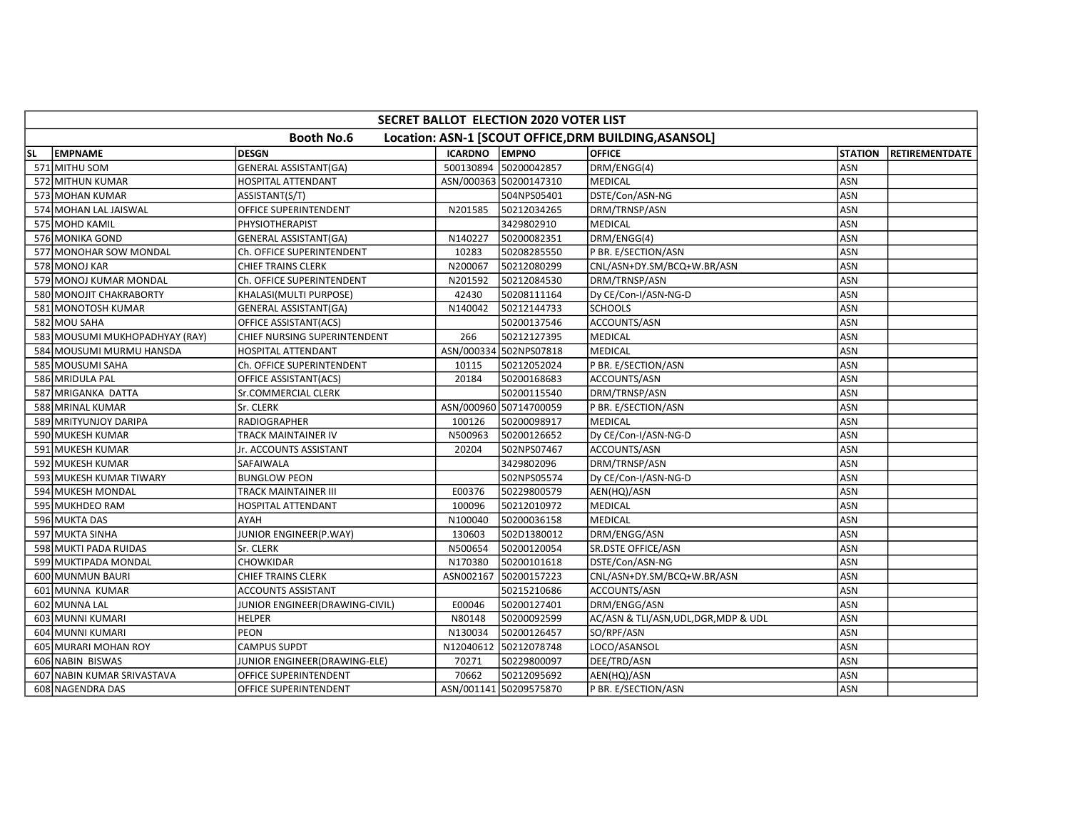|           | <b>SECRET BALLOT ELECTION 2020 VOTER LIST</b>                              |                                |                      |                        |                                       |                |                |  |  |  |  |  |
|-----------|----------------------------------------------------------------------------|--------------------------------|----------------------|------------------------|---------------------------------------|----------------|----------------|--|--|--|--|--|
|           | <b>Booth No.6</b><br>Location: ASN-1 [SCOUT OFFICE, DRM BUILDING, ASANSOL] |                                |                      |                        |                                       |                |                |  |  |  |  |  |
| <b>SL</b> | EMPNAME                                                                    | <b>DESGN</b>                   | <b>ICARDNO EMPNO</b> |                        | <b>OFFICE</b>                         | <b>STATION</b> | RETIREMENTDATE |  |  |  |  |  |
|           | 571 MITHU SOM                                                              | GENERAL ASSISTANT(GA)          |                      | 500130894 50200042857  | DRM/ENGG(4)                           | ASN            |                |  |  |  |  |  |
|           | 572 MITHUN KUMAR                                                           | HOSPITAL ATTENDANT             |                      | ASN/000363 50200147310 | <b>MEDICAL</b>                        | <b>ASN</b>     |                |  |  |  |  |  |
|           | 573 MOHAN KUMAR                                                            | ASSISTANT(S/T)                 |                      | 504NPS05401            | DSTE/Con/ASN-NG                       | <b>ASN</b>     |                |  |  |  |  |  |
|           | 574 MOHAN LAL JAISWAL                                                      | OFFICE SUPERINTENDENT          | N201585              | 50212034265            | DRM/TRNSP/ASN                         | ASN            |                |  |  |  |  |  |
|           | 575 MOHD KAMIL                                                             | PHYSIOTHERAPIST                |                      | 3429802910             | <b>MEDICAL</b>                        | <b>ASN</b>     |                |  |  |  |  |  |
|           | 576 MONIKA GOND                                                            | <b>GENERAL ASSISTANT(GA)</b>   | N140227              | 50200082351            | DRM/ENGG(4)                           | ASN            |                |  |  |  |  |  |
|           | 577 MONOHAR SOW MONDAL                                                     | Ch. OFFICE SUPERINTENDENT      | 10283                | 50208285550            | P BR. E/SECTION/ASN                   | ASN            |                |  |  |  |  |  |
|           | 578 MONOJ KAR                                                              | <b>CHIEF TRAINS CLERK</b>      | N200067              | 50212080299            | CNL/ASN+DY.SM/BCQ+W.BR/ASN            | <b>ASN</b>     |                |  |  |  |  |  |
|           | 579 MONOJ KUMAR MONDAL                                                     | Ch. OFFICE SUPERINTENDENT      | N201592              | 50212084530            | DRM/TRNSP/ASN                         | ASN            |                |  |  |  |  |  |
|           | 580 MONOJIT CHAKRABORTY                                                    | KHALASI(MULTI PURPOSE)         | 42430                | 50208111164            | Dy CE/Con-I/ASN-NG-D                  | <b>ASN</b>     |                |  |  |  |  |  |
|           | 581 MONOTOSH KUMAR                                                         | <b>GENERAL ASSISTANT(GA)</b>   | N140042              | 50212144733            | <b>SCHOOLS</b>                        | ASN            |                |  |  |  |  |  |
|           | 582 MOU SAHA                                                               | OFFICE ASSISTANT(ACS)          |                      | 50200137546            | ACCOUNTS/ASN                          | ASN            |                |  |  |  |  |  |
|           | 583 MOUSUMI MUKHOPADHYAY (RAY)                                             | CHIEF NURSING SUPERINTENDENT   | 266                  | 50212127395            | MEDICAL                               | <b>ASN</b>     |                |  |  |  |  |  |
|           | 584 MOUSUMI MURMU HANSDA                                                   | <b>HOSPITAL ATTENDANT</b>      |                      | ASN/000334 502NPS07818 | <b>MEDICAL</b>                        | <b>ASN</b>     |                |  |  |  |  |  |
|           | 585 MOUSUMI SAHA                                                           | Ch. OFFICE SUPERINTENDENT      | 10115                | 50212052024            | P BR. E/SECTION/ASN                   | <b>ASN</b>     |                |  |  |  |  |  |
|           | 586 MRIDULA PAL                                                            | OFFICE ASSISTANT(ACS)          | 20184                | 50200168683            | ACCOUNTS/ASN                          | <b>ASN</b>     |                |  |  |  |  |  |
|           | 587 MRIGANKA DATTA                                                         | Sr.COMMERCIAL CLERK            |                      | 50200115540            | DRM/TRNSP/ASN                         | ASN            |                |  |  |  |  |  |
|           | 588 MRINAL KUMAR                                                           | Sr. CLERK                      |                      | ASN/000960 50714700059 | P BR. E/SECTION/ASN                   | ASN            |                |  |  |  |  |  |
|           | 589 MRITYUNJOY DARIPA                                                      | RADIOGRAPHER                   | 100126               | 50200098917            | <b>MEDICAL</b>                        | <b>ASN</b>     |                |  |  |  |  |  |
|           | 590 MUKESH KUMAR                                                           | TRACK MAINTAINER IV            | N500963              | 50200126652            | Dy CE/Con-I/ASN-NG-D                  | <b>ASN</b>     |                |  |  |  |  |  |
|           | 591 MUKESH KUMAR                                                           | Jr. ACCOUNTS ASSISTANT         | 20204                | 502NPS07467            | ACCOUNTS/ASN                          | ASN            |                |  |  |  |  |  |
|           | 592 MUKESH KUMAR                                                           | <b>SAFAIWALA</b>               |                      | 3429802096             | DRM/TRNSP/ASN                         | ASN            |                |  |  |  |  |  |
|           | 593 MUKESH KUMAR TIWARY                                                    | <b>BUNGLOW PEON</b>            |                      | 502NPS05574            | Dy CE/Con-I/ASN-NG-D                  | <b>ASN</b>     |                |  |  |  |  |  |
|           | 594 MUKESH MONDAL                                                          | TRACK MAINTAINER III           | E00376               | 50229800579            | AEN(HQ)/ASN                           | ASN            |                |  |  |  |  |  |
|           | 595 MUKHDEO RAM                                                            | HOSPITAL ATTENDANT             | 100096               | 50212010972            | <b>MEDICAL</b>                        | ASN            |                |  |  |  |  |  |
|           | 596 MUKTA DAS                                                              | AYAH                           | N100040              | 50200036158            | <b>MEDICAL</b>                        | ASN            |                |  |  |  |  |  |
|           | 597 MUKTA SINHA                                                            | JUNIOR ENGINEER(P.WAY)         | 130603               | 502D1380012            | DRM/ENGG/ASN                          | <b>ASN</b>     |                |  |  |  |  |  |
|           | 598 MUKTI PADA RUIDAS                                                      | Sr. CLERK                      | N500654              | 50200120054            | SR.DSTE OFFICE/ASN                    | ASN            |                |  |  |  |  |  |
|           | 599 MUKTIPADA MONDAL                                                       | <b>CHOWKIDAR</b>               | N170380              | 50200101618            | DSTE/Con/ASN-NG                       | <b>ASN</b>     |                |  |  |  |  |  |
|           | 600 MUNMUN BAURI                                                           | <b>CHIEF TRAINS CLERK</b>      | ASN002167            | 50200157223            | CNL/ASN+DY.SM/BCQ+W.BR/ASN            | ASN            |                |  |  |  |  |  |
|           | 601 MUNNA KUMAR                                                            | <b>ACCOUNTS ASSISTANT</b>      |                      | 50215210686            | ACCOUNTS/ASN                          | <b>ASN</b>     |                |  |  |  |  |  |
|           | 602 MUNNA LAL                                                              | JUNIOR ENGINEER(DRAWING-CIVIL) | E00046               | 50200127401            | DRM/ENGG/ASN                          | <b>ASN</b>     |                |  |  |  |  |  |
|           | 603 MUNNI KUMARI                                                           | <b>HELPER</b>                  | N80148               | 50200092599            | AC/ASN & TLI/ASN, UDL, DGR, MDP & UDL | ASN            |                |  |  |  |  |  |
|           | 604 MUNNI KUMARI                                                           | <b>PEON</b>                    | N130034              | 50200126457            | SO/RPF/ASN                            | ASN            |                |  |  |  |  |  |
|           | 605 MURARI MOHAN ROY                                                       | <b>CAMPUS SUPDT</b>            | N12040612            | 50212078748            | LOCO/ASANSOL                          | ASN            |                |  |  |  |  |  |
|           | 606 NABIN BISWAS                                                           | JUNIOR ENGINEER(DRAWING-ELE)   | 70271                | 50229800097            | DEE/TRD/ASN                           | ASN            |                |  |  |  |  |  |
|           | 607 NABIN KUMAR SRIVASTAVA                                                 | OFFICE SUPERINTENDENT          | 70662                | 50212095692            | AEN(HQ)/ASN                           | <b>ASN</b>     |                |  |  |  |  |  |
|           | 608 NAGENDRA DAS                                                           | OFFICE SUPERINTENDENT          |                      | ASN/001141 50209575870 | P BR. E/SECTION/ASN                   | ASN            |                |  |  |  |  |  |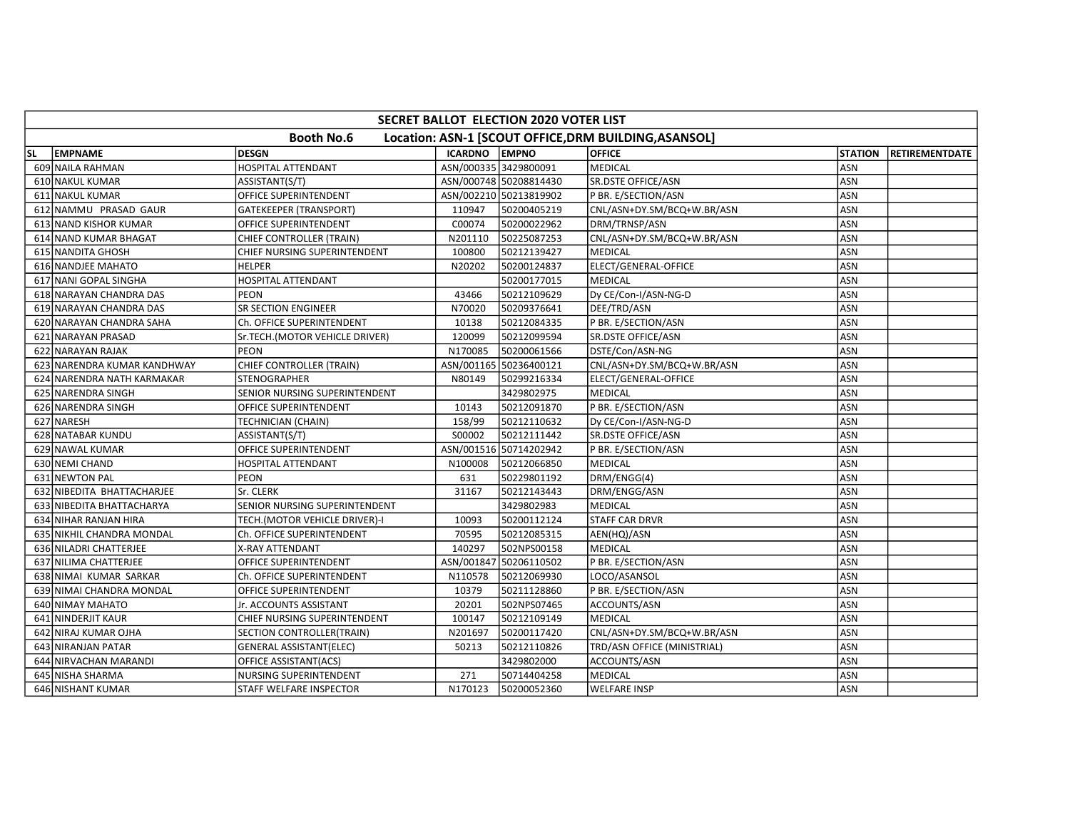|    | <b>SECRET BALLOT ELECTION 2020 VOTER LIST</b> |                                |                      |                        |                                                       |                |                        |  |  |  |  |  |
|----|-----------------------------------------------|--------------------------------|----------------------|------------------------|-------------------------------------------------------|----------------|------------------------|--|--|--|--|--|
|    |                                               | <b>Booth No.6</b>              |                      |                        | Location: ASN-1 [SCOUT OFFICE, DRM BUILDING, ASANSOL] |                |                        |  |  |  |  |  |
| SL | <b>EMPNAME</b>                                | <b>DESGN</b>                   | <b>ICARDNO EMPNO</b> |                        | <b>OFFICE</b>                                         | <b>STATION</b> | <b>IRETIREMENTDATE</b> |  |  |  |  |  |
|    | 609 NAILA RAHMAN                              | <b>HOSPITAL ATTENDANT</b>      |                      | ASN/000335 3429800091  | <b>MEDICAL</b>                                        | ASN            |                        |  |  |  |  |  |
|    | 610 NAKUL KUMAR                               | ASSISTANT(S/T)                 |                      | ASN/000748 50208814430 | SR.DSTE OFFICE/ASN                                    | ASN            |                        |  |  |  |  |  |
|    | 611 NAKUL KUMAR                               | OFFICE SUPERINTENDENT          |                      | ASN/002210 50213819902 | P BR. E/SECTION/ASN                                   | ASN            |                        |  |  |  |  |  |
|    | 612 NAMMU PRASAD GAUR                         | <b>GATEKEEPER (TRANSPORT)</b>  | 110947               | 50200405219            | CNL/ASN+DY.SM/BCQ+W.BR/ASN                            | ASN            |                        |  |  |  |  |  |
|    | 613 NAND KISHOR KUMAR                         | OFFICE SUPERINTENDENT          | C00074               | 50200022962            | DRM/TRNSP/ASN                                         | ASN            |                        |  |  |  |  |  |
|    | 614 NAND KUMAR BHAGAT                         | CHIEF CONTROLLER (TRAIN)       | N201110              | 50225087253            | CNL/ASN+DY.SM/BCQ+W.BR/ASN                            | <b>ASN</b>     |                        |  |  |  |  |  |
|    | 615 NANDITA GHOSH                             | CHIEF NURSING SUPERINTENDENT   | 100800               | 50212139427            | <b>MEDICAL</b>                                        | ASN            |                        |  |  |  |  |  |
|    | 616 NANDJEE MAHATO                            | HELPER                         | N20202               | 50200124837            | ELECT/GENERAL-OFFICE                                  | ASN            |                        |  |  |  |  |  |
|    | 617 NANI GOPAL SINGHA                         | HOSPITAL ATTENDANT             |                      | 50200177015            | <b>MEDICAL</b>                                        | ASN            |                        |  |  |  |  |  |
|    | 618 NARAYAN CHANDRA DAS                       | <b>PEON</b>                    | 43466                | 50212109629            | Dy CE/Con-I/ASN-NG-D                                  | ASN            |                        |  |  |  |  |  |
|    | 619 NARAYAN CHANDRA DAS                       | <b>SR SECTION ENGINEER</b>     | N70020               | 50209376641            | DEE/TRD/ASN                                           | ASN            |                        |  |  |  |  |  |
|    | 620 NARAYAN CHANDRA SAHA                      | Ch. OFFICE SUPERINTENDENT      | 10138                | 50212084335            | P BR. E/SECTION/ASN                                   | ASN            |                        |  |  |  |  |  |
|    | 621 NARAYAN PRASAD                            | Sr.TECH.(MOTOR VEHICLE DRIVER) | 120099               | 50212099594            | SR.DSTE OFFICE/ASN                                    | ASN            |                        |  |  |  |  |  |
|    | 622 NARAYAN RAJAK                             | <b>PEON</b>                    | N170085              | 50200061566            | DSTE/Con/ASN-NG                                       | ASN            |                        |  |  |  |  |  |
|    | 623 NARENDRA KUMAR KANDHWAY                   | CHIEF CONTROLLER (TRAIN)       |                      | ASN/001165 50236400121 | CNL/ASN+DY.SM/BCQ+W.BR/ASN                            | <b>ASN</b>     |                        |  |  |  |  |  |
|    | 624 NARENDRA NATH KARMAKAR                    | <b>STENOGRAPHER</b>            | N80149               | 50299216334            | ELECT/GENERAL-OFFICE                                  | ASN            |                        |  |  |  |  |  |
|    | 625 NARENDRA SINGH                            | SENIOR NURSING SUPERINTENDENT  |                      | 3429802975             | <b>MEDICAL</b>                                        | ASN            |                        |  |  |  |  |  |
|    | 626 NARENDRA SINGH                            | OFFICE SUPERINTENDENT          | 10143                | 50212091870            | P BR. E/SECTION/ASN                                   | ASN            |                        |  |  |  |  |  |
|    | 627 NARESH                                    | TECHNICIAN (CHAIN)             | 158/99               | 50212110632            | Dy CE/Con-I/ASN-NG-D                                  | ASN            |                        |  |  |  |  |  |
|    | 628 NATABAR KUNDU                             | ASSISTANT(S/T)                 | S00002               | 50212111442            | <b>SR.DSTE OFFICE/ASN</b>                             | ASN            |                        |  |  |  |  |  |
|    | 629 NAWAL KUMAR                               | OFFICE SUPERINTENDENT          |                      | ASN/001516 50714202942 | P BR. E/SECTION/ASN                                   | ASN            |                        |  |  |  |  |  |
|    | 630 NEMI CHAND                                | HOSPITAL ATTENDANT             | N100008              | 50212066850            | <b>MEDICAL</b>                                        | ASN            |                        |  |  |  |  |  |
|    | 631 NEWTON PAL                                | PEON                           | 631                  | 50229801192            | DRM/ENGG(4)                                           | ASN            |                        |  |  |  |  |  |
|    | 632 NIBEDITA BHATTACHARJEE                    | Sr. CLERK                      | 31167                | 50212143443            | DRM/ENGG/ASN                                          | ASN            |                        |  |  |  |  |  |
|    | 633 NIBEDITA BHATTACHARYA                     | SENIOR NURSING SUPERINTENDENT  |                      | 3429802983             | <b>MEDICAL</b>                                        | ASN            |                        |  |  |  |  |  |
|    | 634 NIHAR RANJAN HIRA                         | TECH.(MOTOR VEHICLE DRIVER)-I  | 10093                | 50200112124            | <b>STAFF CAR DRVR</b>                                 | ASN            |                        |  |  |  |  |  |
|    | 635 NIKHIL CHANDRA MONDAL                     | Ch. OFFICE SUPERINTENDENT      | 70595                | 50212085315            | AEN(HQ)/ASN                                           | <b>ASN</b>     |                        |  |  |  |  |  |
|    | 636 NILADRI CHATTERJEE                        | X-RAY ATTENDANT                | 140297               | 502NPS00158            | <b>MEDICAL</b>                                        | ASN            |                        |  |  |  |  |  |
|    | 637 NILIMA CHATTERJEE                         | OFFICE SUPERINTENDENT          |                      | ASN/001847 50206110502 | P BR. E/SECTION/ASN                                   | <b>ASN</b>     |                        |  |  |  |  |  |
|    | 638 NIMAI KUMAR SARKAR                        | Ch. OFFICE SUPERINTENDENT      | N110578              | 50212069930            | LOCO/ASANSOL                                          | ASN            |                        |  |  |  |  |  |
|    | 639 NIMAI CHANDRA MONDAL                      | OFFICE SUPERINTENDENT          | 10379                | 50211128860            | P BR. E/SECTION/ASN                                   | ASN            |                        |  |  |  |  |  |
|    | 640 NIMAY MAHATO                              | Jr. ACCOUNTS ASSISTANT         | 20201                | 502NPS07465            | ACCOUNTS/ASN                                          | <b>ASN</b>     |                        |  |  |  |  |  |
|    | 641 NINDERJIT KAUR                            | CHIEF NURSING SUPERINTENDENT   | 100147               | 50212109149            | <b>MEDICAL</b>                                        | ASN            |                        |  |  |  |  |  |
|    | 642 NIRAJ KUMAR OJHA                          | SECTION CONTROLLER(TRAIN)      | N201697              | 50200117420            | CNL/ASN+DY.SM/BCQ+W.BR/ASN                            | <b>ASN</b>     |                        |  |  |  |  |  |
|    | 643 NIRANJAN PATAR                            | <b>GENERAL ASSISTANT(ELEC)</b> | 50213                | 50212110826            | TRD/ASN OFFICE (MINISTRIAL)                           | ASN            |                        |  |  |  |  |  |
|    | 644 NIRVACHAN MARANDI                         | OFFICE ASSISTANT(ACS)          |                      | 3429802000             | ACCOUNTS/ASN                                          | ASN            |                        |  |  |  |  |  |
|    | 645 NISHA SHARMA                              | NURSING SUPERINTENDENT         | 271                  | 50714404258            | MEDICAL                                               | <b>ASN</b>     |                        |  |  |  |  |  |
|    | 646 NISHANT KUMAR                             | STAFF WELFARE INSPECTOR        | N170123              | 50200052360            | <b>WELFARE INSP</b>                                   | ASN            |                        |  |  |  |  |  |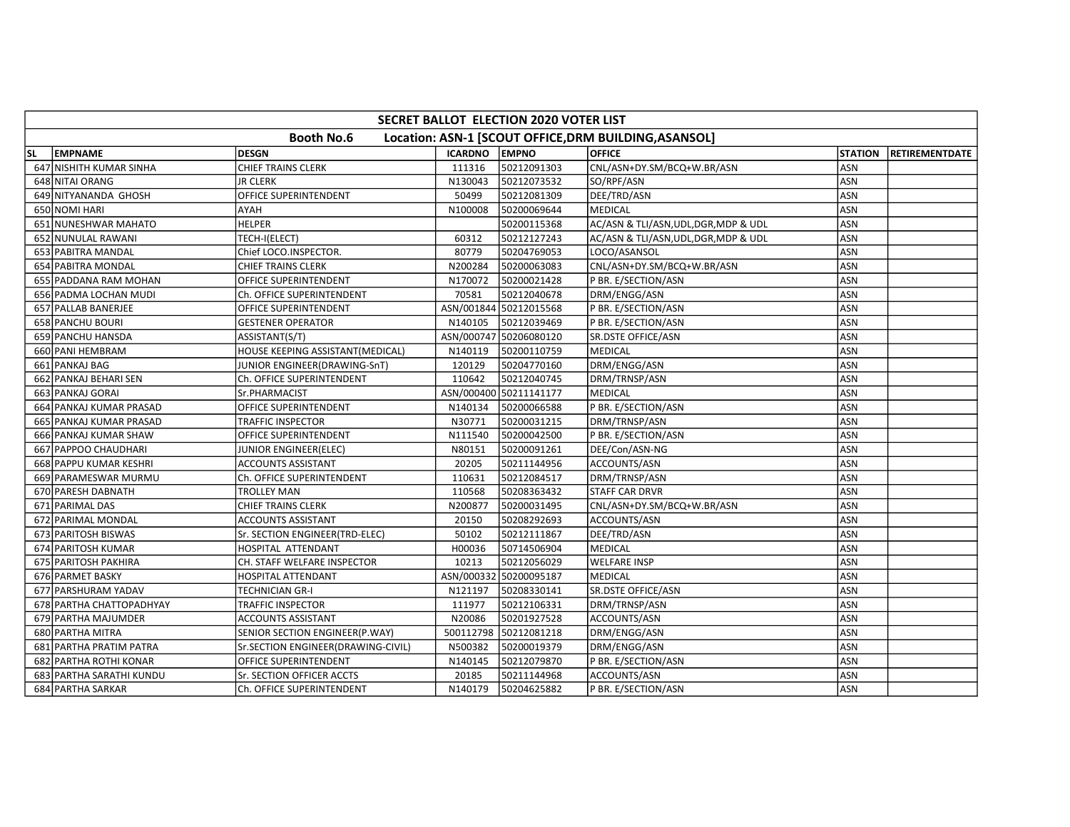|    | SECRET BALLOT ELECTION 2020 VOTER LIST |                                    |                |                        |                                                       |                |                       |  |  |  |  |
|----|----------------------------------------|------------------------------------|----------------|------------------------|-------------------------------------------------------|----------------|-----------------------|--|--|--|--|
|    |                                        | <b>Booth No.6</b>                  |                |                        | Location: ASN-1 [SCOUT OFFICE, DRM BUILDING, ASANSOL] |                |                       |  |  |  |  |
| SL | <b>EMPNAME</b>                         | <b>DESGN</b>                       | <b>ICARDNO</b> | <b>EMPNO</b>           | <b>OFFICE</b>                                         | <b>STATION</b> | <b>RETIREMENTDATE</b> |  |  |  |  |
|    | 647 NISHITH KUMAR SINHA                | <b>CHIEF TRAINS CLERK</b>          | 111316         | 50212091303            | CNL/ASN+DY.SM/BCQ+W.BR/ASN                            | <b>ASN</b>     |                       |  |  |  |  |
|    | 648 NITAI ORANG                        | <b>JR CLERK</b>                    | N130043        | 50212073532            | SO/RPF/ASN                                            | ASN            |                       |  |  |  |  |
|    | 649 NITYANANDA GHOSH                   | OFFICE SUPERINTENDENT              | 50499          | 50212081309            | DEE/TRD/ASN                                           | ASN            |                       |  |  |  |  |
|    | 650 NOMI HARI                          | AYAH                               | N100008        | 50200069644            | MEDICAL                                               | ASN            |                       |  |  |  |  |
|    | 651 NUNESHWAR MAHATO                   | <b>HELPER</b>                      |                | 50200115368            | AC/ASN & TLI/ASN, UDL, DGR, MDP & UDL                 | <b>ASN</b>     |                       |  |  |  |  |
|    | 652 NUNULAL RAWANI                     | TECH-I(ELECT)                      | 60312          | 50212127243            | AC/ASN & TLI/ASN, UDL, DGR, MDP & UDL                 | ASN            |                       |  |  |  |  |
|    | 653 PABITRA MANDAL                     | Chief LOCO.INSPECTOR.              | 80779          | 50204769053            | LOCO/ASANSOL                                          | <b>ASN</b>     |                       |  |  |  |  |
|    | 654 PABITRA MONDAL                     | CHIEF TRAINS CLERK                 | N200284        | 50200063083            | CNL/ASN+DY.SM/BCQ+W.BR/ASN                            | ASN            |                       |  |  |  |  |
|    | 655 PADDANA RAM MOHAN                  | OFFICE SUPERINTENDENT              | N170072        | 50200021428            | P BR. E/SECTION/ASN                                   | ASN            |                       |  |  |  |  |
|    | 656 PADMA LOCHAN MUDI                  | Ch. OFFICE SUPERINTENDENT          | 70581          | 50212040678            | DRM/ENGG/ASN                                          | ASN            |                       |  |  |  |  |
|    | 657 PALLAB BANERJEE                    | OFFICE SUPERINTENDENT              |                | ASN/001844 50212015568 | P BR. E/SECTION/ASN                                   | ASN            |                       |  |  |  |  |
|    | 658 PANCHU BOURI                       | <b>GESTENER OPERATOR</b>           | N140105        | 50212039469            | P BR. E/SECTION/ASN                                   | ASN            |                       |  |  |  |  |
|    | 659 PANCHU HANSDA                      | ASSISTANT(S/T)                     |                | ASN/000747 50206080120 | SR.DSTE OFFICE/ASN                                    | ASN            |                       |  |  |  |  |
|    | 660 PANI HEMBRAM                       | HOUSE KEEPING ASSISTANT(MEDICAL)   | N140119        | 50200110759            | <b>MEDICAL</b>                                        | ASN            |                       |  |  |  |  |
|    | 661 PANKAJ BAG                         | JUNIOR ENGINEER(DRAWING-SnT)       | 120129         | 50204770160            | DRM/ENGG/ASN                                          | ASN            |                       |  |  |  |  |
|    | 662 PANKAJ BEHARI SEN                  | Ch. OFFICE SUPERINTENDENT          | 110642         | 50212040745            | DRM/TRNSP/ASN                                         | ASN            |                       |  |  |  |  |
|    | 663 PANKAJ GORAI                       | Sr.PHARMACIST                      |                | ASN/000400 50211141177 | <b>MEDICAL</b>                                        | ASN            |                       |  |  |  |  |
|    | 664 PANKAJ KUMAR PRASAD                | OFFICE SUPERINTENDENT              | N140134        | 50200066588            | P BR. E/SECTION/ASN                                   | ASN            |                       |  |  |  |  |
|    | 665 PANKAJ KUMAR PRASAD                | TRAFFIC INSPECTOR                  | N30771         | 50200031215            | DRM/TRNSP/ASN                                         | <b>ASN</b>     |                       |  |  |  |  |
|    | 666 PANKAJ KUMAR SHAW                  | OFFICE SUPERINTENDENT              | N111540        | 50200042500            | P BR. E/SECTION/ASN                                   | ASN            |                       |  |  |  |  |
|    | 667 PAPPOO CHAUDHARI                   | JUNIOR ENGINEER(ELEC)              | N80151         | 50200091261            | DEE/Con/ASN-NG                                        | <b>ASN</b>     |                       |  |  |  |  |
|    | 668 PAPPU KUMAR KESHRI                 | <b>ACCOUNTS ASSISTANT</b>          | 20205          | 50211144956            | ACCOUNTS/ASN                                          | ASN            |                       |  |  |  |  |
|    | 669 PARAMESWAR MURMU                   | Ch. OFFICE SUPERINTENDENT          | 110631         | 50212084517            | DRM/TRNSP/ASN                                         | ASN            |                       |  |  |  |  |
|    | 670 PARESH DABNATH                     | <b>TROLLEY MAN</b>                 | 110568         | 50208363432            | <b>STAFF CAR DRVR</b>                                 | <b>ASN</b>     |                       |  |  |  |  |
|    | 671 PARIMAL DAS                        | <b>CHIEF TRAINS CLERK</b>          | N200877        | 50200031495            | CNL/ASN+DY.SM/BCQ+W.BR/ASN                            | ASN            |                       |  |  |  |  |
|    | 672 PARIMAL MONDAL                     | <b>ACCOUNTS ASSISTANT</b>          | 20150          | 50208292693            | ACCOUNTS/ASN                                          | ASN            |                       |  |  |  |  |
|    | 673 PARITOSH BISWAS                    | Sr. SECTION ENGINEER(TRD-ELEC)     | 50102          | 50212111867            | DEE/TRD/ASN                                           | ASN            |                       |  |  |  |  |
|    | 674 PARITOSH KUMAR                     | HOSPITAL ATTENDANT                 | H00036         | 50714506904            | MEDICAL                                               | ASN            |                       |  |  |  |  |
|    | 675 PARITOSH PAKHIRA                   | CH. STAFF WELFARE INSPECTOR        | 10213          | 50212056029            | <b>WELFARE INSP</b>                                   | ASN            |                       |  |  |  |  |
|    | 676 PARMET BASKY                       | <b>HOSPITAL ATTENDANT</b>          |                | ASN/000332 50200095187 | <b>MEDICAL</b>                                        | ASN            |                       |  |  |  |  |
|    | 677 PARSHURAM YADAV                    | TECHNICIAN GR-I                    | N121197        | 50208330141            | <b>SR.DSTE OFFICE/ASN</b>                             | ASN            |                       |  |  |  |  |
|    | 678 PARTHA CHATTOPADHYAY               | TRAFFIC INSPECTOR                  | 111977         | 50212106331            | DRM/TRNSP/ASN                                         | ASN            |                       |  |  |  |  |
|    | 679 PARTHA MAJUMDER                    | ACCOUNTS ASSISTANT                 | N20086         | 50201927528            | ACCOUNTS/ASN                                          | ASN            |                       |  |  |  |  |
|    | 680 PARTHA MITRA                       | SENIOR SECTION ENGINEER(P.WAY)     |                | 500112798 50212081218  | DRM/ENGG/ASN                                          | <b>ASN</b>     |                       |  |  |  |  |
|    | 681 PARTHA PRATIM PATRA                | Sr.SECTION ENGINEER(DRAWING-CIVIL) | N500382        | 50200019379            | DRM/ENGG/ASN                                          | ASN            |                       |  |  |  |  |
|    | 682 PARTHA ROTHI KONAR                 | OFFICE SUPERINTENDENT              | N140145        | 50212079870            | P BR. E/SECTION/ASN                                   | ASN            |                       |  |  |  |  |
|    | 683 PARTHA SARATHI KUNDU               | Sr. SECTION OFFICER ACCTS          | 20185          | 50211144968            | ACCOUNTS/ASN                                          | <b>ASN</b>     |                       |  |  |  |  |
|    | 684 PARTHA SARKAR                      | Ch. OFFICE SUPERINTENDENT          | N140179        | 50204625882            | P BR. E/SECTION/ASN                                   | ASN            |                       |  |  |  |  |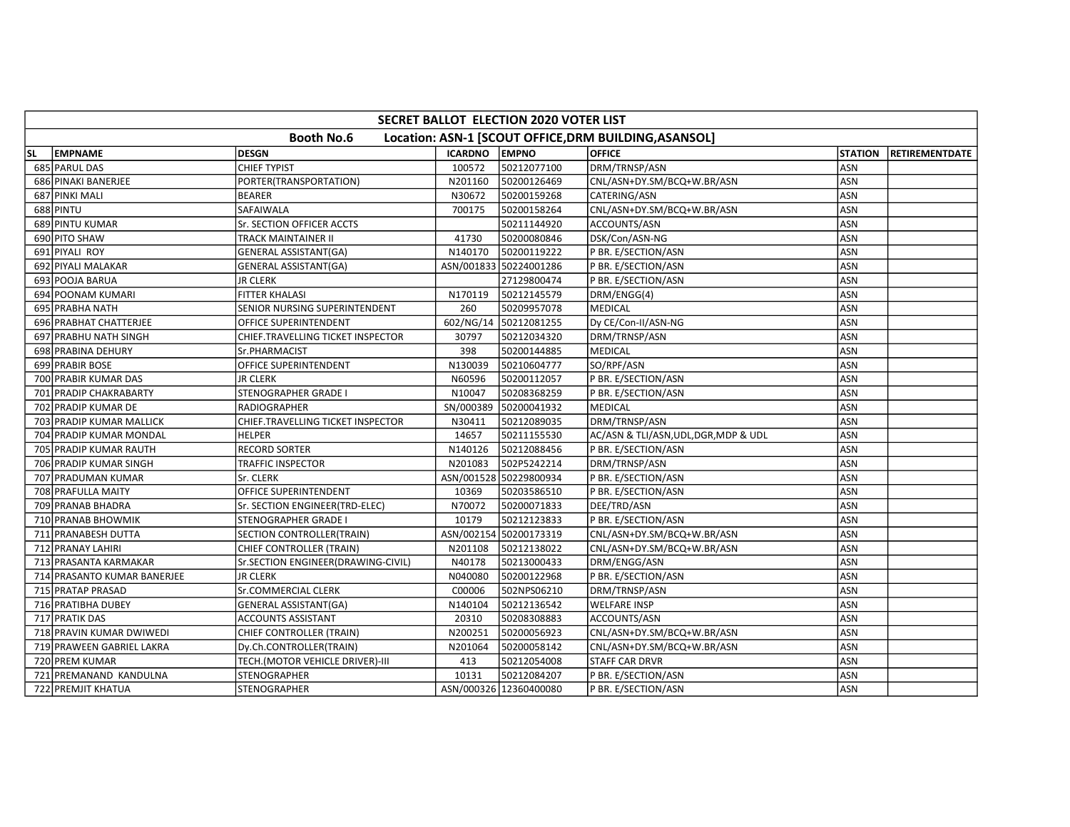|                                                                            | <b>SECRET BALLOT ELECTION 2020 VOTER LIST</b> |                                    |                      |                        |                                       |                |                |  |  |  |  |
|----------------------------------------------------------------------------|-----------------------------------------------|------------------------------------|----------------------|------------------------|---------------------------------------|----------------|----------------|--|--|--|--|
| <b>Booth No.6</b><br>Location: ASN-1 [SCOUT OFFICE, DRM BUILDING, ASANSOL] |                                               |                                    |                      |                        |                                       |                |                |  |  |  |  |
| <b>SL</b>                                                                  | EMPNAME                                       | <b>DESGN</b>                       | <b>ICARDNO EMPNO</b> |                        | <b>OFFICE</b>                         | <b>STATION</b> | RETIREMENTDATE |  |  |  |  |
|                                                                            | 685 PARUL DAS                                 | <b>CHIEF TYPIST</b>                | 100572               | 50212077100            | DRM/TRNSP/ASN                         | <b>ASN</b>     |                |  |  |  |  |
|                                                                            | 686 PINAKI BANERJEE                           | PORTER(TRANSPORTATION)             | N201160              | 50200126469            | CNL/ASN+DY.SM/BCQ+W.BR/ASN            | <b>ASN</b>     |                |  |  |  |  |
|                                                                            | 687 PINKI MALI                                | <b>BEARER</b>                      | N30672               | 50200159268            | CATERING/ASN                          | ASN            |                |  |  |  |  |
|                                                                            | 688 PINTU                                     | SAFAIWALA                          | 700175               | 50200158264            | CNL/ASN+DY.SM/BCQ+W.BR/ASN            | ASN            |                |  |  |  |  |
|                                                                            | 689 PINTU KUMAR                               | Sr. SECTION OFFICER ACCTS          |                      | 50211144920            | ACCOUNTS/ASN                          | <b>ASN</b>     |                |  |  |  |  |
|                                                                            | 690 PITO SHAW                                 | <b>TRACK MAINTAINER II</b>         | 41730                | 50200080846            | DSK/Con/ASN-NG                        | ASN            |                |  |  |  |  |
|                                                                            | 691 PIYALI ROY                                | <b>GENERAL ASSISTANT(GA)</b>       | N140170              | 50200119222            | P BR. E/SECTION/ASN                   | ASN            |                |  |  |  |  |
|                                                                            | 692 PIYALI MALAKAR                            | <b>GENERAL ASSISTANT(GA)</b>       |                      | ASN/001833 50224001286 | P BR. E/SECTION/ASN                   | ASN            |                |  |  |  |  |
|                                                                            | 693 POOJA BARUA                               | <b>JR CLERK</b>                    |                      | 27129800474            | P BR. E/SECTION/ASN                   | <b>ASN</b>     |                |  |  |  |  |
|                                                                            | 694 POONAM KUMARI                             | <b>FITTER KHALASI</b>              | N170119              | 50212145579            | DRM/ENGG(4)                           | <b>ASN</b>     |                |  |  |  |  |
|                                                                            | 695 PRABHA NATH                               | SENIOR NURSING SUPERINTENDENT      | 260                  | 50209957078            | <b>MEDICAL</b>                        | ASN            |                |  |  |  |  |
|                                                                            | 696 PRABHAT CHATTERJEE                        | OFFICE SUPERINTENDENT              |                      | 602/NG/14 50212081255  | Dy CE/Con-II/ASN-NG                   | ASN            |                |  |  |  |  |
|                                                                            | 697 PRABHU NATH SINGH                         | CHIEF.TRAVELLING TICKET INSPECTOR  | 30797                | 50212034320            | DRM/TRNSP/ASN                         | <b>ASN</b>     |                |  |  |  |  |
|                                                                            | 698 PRABINA DEHURY                            | Sr.PHARMACIST                      | 398                  | 50200144885            | MEDICAL                               | ASN            |                |  |  |  |  |
|                                                                            | 699 PRABIR BOSE                               | OFFICE SUPERINTENDENT              | N130039              | 50210604777            | SO/RPF/ASN                            | <b>ASN</b>     |                |  |  |  |  |
|                                                                            | 700 PRABIR KUMAR DAS                          | <b>JR CLERK</b>                    | N60596               | 50200112057            | P BR. E/SECTION/ASN                   | ASN            |                |  |  |  |  |
|                                                                            | 701 PRADIP CHAKRABARTY                        | STENOGRAPHER GRADE I               | N10047               | 50208368259            | P BR. E/SECTION/ASN                   | ASN            |                |  |  |  |  |
|                                                                            | 702 PRADIP KUMAR DE                           | RADIOGRAPHER                       | SN/000389            | 50200041932            | MEDICAL                               | ASN            |                |  |  |  |  |
|                                                                            | 703 PRADIP KUMAR MALLICK                      | CHIEF.TRAVELLING TICKET INSPECTOR  | N30411               | 50212089035            | DRM/TRNSP/ASN                         | <b>ASN</b>     |                |  |  |  |  |
|                                                                            | 704 PRADIP KUMAR MONDAL                       | <b>HELPER</b>                      | 14657                | 50211155530            | AC/ASN & TLI/ASN, UDL, DGR, MDP & UDL | <b>ASN</b>     |                |  |  |  |  |
|                                                                            | 705 PRADIP KUMAR RAUTH                        | <b>RECORD SORTER</b>               | N140126              | 50212088456            | P BR. E/SECTION/ASN                   | <b>ASN</b>     |                |  |  |  |  |
|                                                                            | 706 PRADIP KUMAR SINGH                        | TRAFFIC INSPECTOR                  | N201083              | 502P5242214            | DRM/TRNSP/ASN                         | ASN            |                |  |  |  |  |
|                                                                            | 707 PRADUMAN KUMAR                            | Sr. CLERK                          |                      | ASN/001528 50229800934 | P BR. E/SECTION/ASN                   | ASN            |                |  |  |  |  |
|                                                                            | 708 PRAFULLA MAITY                            | OFFICE SUPERINTENDENT              | 10369                | 50203586510            | P BR. E/SECTION/ASN                   | ASN            |                |  |  |  |  |
|                                                                            | 709 PRANAB BHADRA                             | Sr. SECTION ENGINEER(TRD-ELEC)     | N70072               | 50200071833            | DEE/TRD/ASN                           | ASN            |                |  |  |  |  |
|                                                                            | 710 PRANAB BHOWMIK                            | <b>STENOGRAPHER GRADE I</b>        | 10179                | 50212123833            | P BR. E/SECTION/ASN                   | <b>ASN</b>     |                |  |  |  |  |
|                                                                            | 711 PRANABESH DUTTA                           | SECTION CONTROLLER(TRAIN)          |                      | ASN/002154 50200173319 | CNL/ASN+DY.SM/BCQ+W.BR/ASN            | ASN            |                |  |  |  |  |
|                                                                            | 712 PRANAY LAHIRI                             | CHIEF CONTROLLER (TRAIN)           | N201108              | 50212138022            | CNL/ASN+DY.SM/BCQ+W.BR/ASN            | ASN            |                |  |  |  |  |
|                                                                            | 713 PRASANTA KARMAKAR                         | Sr.SECTION ENGINEER(DRAWING-CIVIL) | N40178               | 50213000433            | DRM/ENGG/ASN                          | ASN            |                |  |  |  |  |
|                                                                            | 714 PRASANTO KUMAR BANERJEE                   | <b>JR CLERK</b>                    | N040080              | 50200122968            | P BR. E/SECTION/ASN                   | ASN            |                |  |  |  |  |
|                                                                            | 715 PRATAP PRASAD                             | Sr.COMMERCIAL CLERK                | C00006               | 502NPS06210            | DRM/TRNSP/ASN                         | <b>ASN</b>     |                |  |  |  |  |
|                                                                            | 716 PRATIBHA DUBEY                            | <b>GENERAL ASSISTANT(GA)</b>       | N140104              | 50212136542            | <b>WELFARE INSP</b>                   | <b>ASN</b>     |                |  |  |  |  |
|                                                                            | 717 PRATIK DAS                                | ACCOUNTS ASSISTANT                 | 20310                | 50208308883            | ACCOUNTS/ASN                          | <b>ASN</b>     |                |  |  |  |  |
|                                                                            | 718 PRAVIN KUMAR DWIWEDI                      | CHIEF CONTROLLER (TRAIN)           | N200251              | 50200056923            | CNL/ASN+DY.SM/BCQ+W.BR/ASN            | <b>ASN</b>     |                |  |  |  |  |
|                                                                            | 719 PRAWEEN GABRIEL LAKRA                     | Dy.Ch.CONTROLLER(TRAIN)            | N201064              | 50200058142            | CNL/ASN+DY.SM/BCQ+W.BR/ASN            | ASN            |                |  |  |  |  |
|                                                                            | 720 PREM KUMAR                                | TECH.(MOTOR VEHICLE DRIVER)-III    | 413                  | 50212054008            | <b>STAFF CAR DRVR</b>                 | ASN            |                |  |  |  |  |
|                                                                            | 721 PREMANAND KANDULNA                        | STENOGRAPHER                       | 10131                | 50212084207            | P BR. E/SECTION/ASN                   | <b>ASN</b>     |                |  |  |  |  |
|                                                                            | 722 PREMJIT KHATUA                            | <b>STENOGRAPHER</b>                |                      | ASN/000326 12360400080 | P BR. E/SECTION/ASN                   | ASN            |                |  |  |  |  |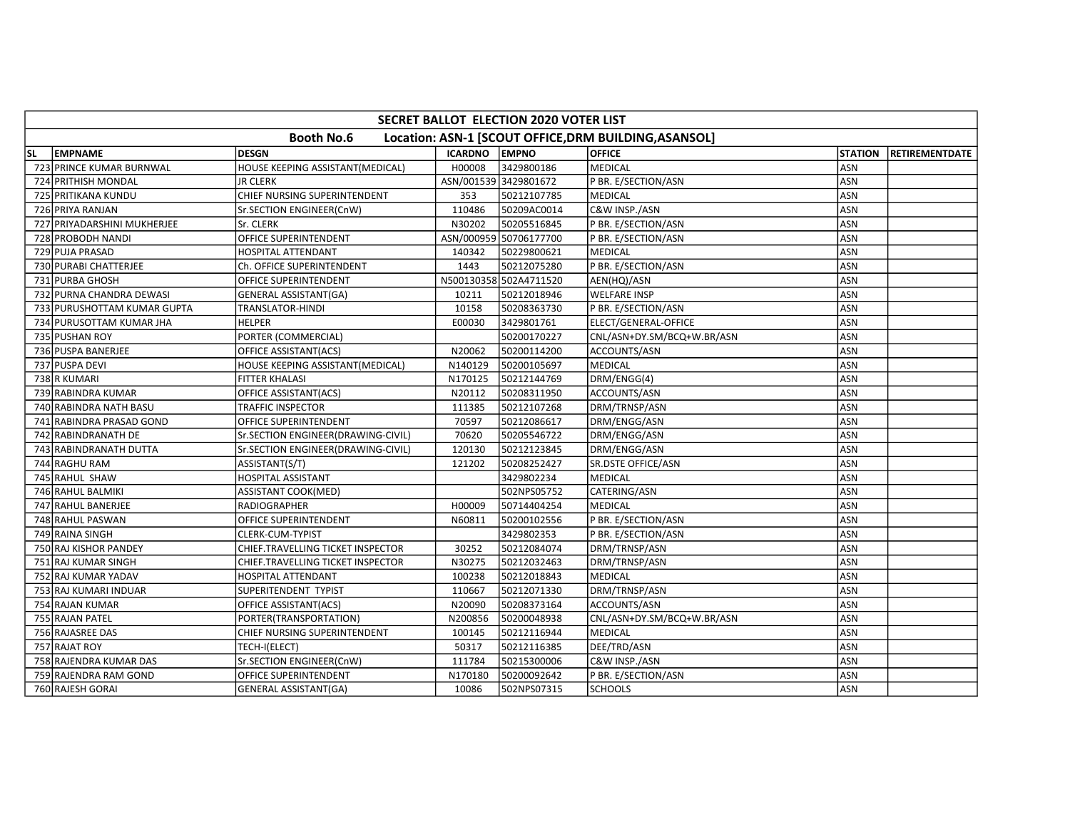|           | SECRET BALLOT ELECTION 2020 VOTER LIST                                     |                                    |                |                        |                            |                |                       |  |  |  |  |  |
|-----------|----------------------------------------------------------------------------|------------------------------------|----------------|------------------------|----------------------------|----------------|-----------------------|--|--|--|--|--|
|           | <b>Booth No.6</b><br>Location: ASN-1 [SCOUT OFFICE, DRM BUILDING, ASANSOL] |                                    |                |                        |                            |                |                       |  |  |  |  |  |
| <b>SL</b> | <b>EMPNAME</b>                                                             | <b>DESGN</b>                       | <b>ICARDNO</b> | <b>LEMPNO</b>          | <b>OFFICE</b>              | <b>STATION</b> | <b>RETIREMENTDATE</b> |  |  |  |  |  |
|           | 723 PRINCE KUMAR BURNWAL                                                   | HOUSE KEEPING ASSISTANT(MEDICAL)   | H00008         | 3429800186             | <b>MEDICAL</b>             | ASN            |                       |  |  |  |  |  |
|           | 724 PRITHISH MONDAL                                                        | <b>JR CLERK</b>                    |                | ASN/001539 3429801672  | P BR. E/SECTION/ASN        | <b>ASN</b>     |                       |  |  |  |  |  |
|           | 725 PRITIKANA KUNDU                                                        | CHIEF NURSING SUPERINTENDENT       | 353            | 50212107785            | <b>MEDICAL</b>             | ASN            |                       |  |  |  |  |  |
|           | 726 PRIYA RANJAN                                                           | Sr.SECTION ENGINEER(CnW)           | 110486         | 50209AC0014            | C&W INSP./ASN              | ASN            |                       |  |  |  |  |  |
|           | 727 PRIYADARSHINI MUKHERJEE                                                | Sr. CLERK                          | N30202         | 50205516845            | P BR. E/SECTION/ASN        | <b>ASN</b>     |                       |  |  |  |  |  |
|           | 728 PROBODH NANDI                                                          | OFFICE SUPERINTENDENT              |                | ASN/000959 50706177700 | P BR. E/SECTION/ASN        | ASN            |                       |  |  |  |  |  |
|           | 729 PUJA PRASAD                                                            | <b>HOSPITAL ATTENDANT</b>          | 140342         | 50229800621            | <b>MEDICAL</b>             | ASN            |                       |  |  |  |  |  |
|           | 730 PURABI CHATTERJEE                                                      | Ch. OFFICE SUPERINTENDENT          | 1443           | 50212075280            | P BR. E/SECTION/ASN        | ASN            |                       |  |  |  |  |  |
|           | 731 PURBA GHOSH                                                            | OFFICE SUPERINTENDENT              |                | N500130358 502A4711520 | AEN(HQ)/ASN                | ASN            |                       |  |  |  |  |  |
|           | 732 PURNA CHANDRA DEWASI                                                   | <b>GENERAL ASSISTANT(GA)</b>       | 10211          | 50212018946            | <b>WELFARE INSP</b>        | ASN            |                       |  |  |  |  |  |
|           | 733 PURUSHOTTAM KUMAR GUPTA                                                | TRANSLATOR-HINDI                   | 10158          | 50208363730            | P BR. E/SECTION/ASN        | ASN            |                       |  |  |  |  |  |
|           | 734 PURUSOTTAM KUMAR JHA                                                   | <b>HELPER</b>                      | E00030         | 3429801761             | ELECT/GENERAL-OFFICE       | <b>ASN</b>     |                       |  |  |  |  |  |
|           | 735 PUSHAN ROY                                                             | PORTER (COMMERCIAL)                |                | 50200170227            | CNL/ASN+DY.SM/BCQ+W.BR/ASN | ASN            |                       |  |  |  |  |  |
|           | 736 PUSPA BANERJEE                                                         | OFFICE ASSISTANT(ACS)              | N20062         | 50200114200            | ACCOUNTS/ASN               | ASN            |                       |  |  |  |  |  |
|           | 737 PUSPA DEVI                                                             | HOUSE KEEPING ASSISTANT(MEDICAL)   | N140129        | 50200105697            | <b>MEDICAL</b>             | ASN            |                       |  |  |  |  |  |
|           | 738 R KUMARI                                                               | <b>FITTER KHALASI</b>              | N170125        | 50212144769            | DRM/ENGG(4)                | ASN            |                       |  |  |  |  |  |
|           | 739 RABINDRA KUMAR                                                         | OFFICE ASSISTANT(ACS)              | N20112         | 50208311950            | ACCOUNTS/ASN               | ASN            |                       |  |  |  |  |  |
|           | 740 RABINDRA NATH BASU                                                     | TRAFFIC INSPECTOR                  | 111385         | 50212107268            | DRM/TRNSP/ASN              | ASN            |                       |  |  |  |  |  |
|           | 741 RABINDRA PRASAD GOND                                                   | OFFICE SUPERINTENDENT              | 70597          | 50212086617            | DRM/ENGG/ASN               | <b>ASN</b>     |                       |  |  |  |  |  |
|           | 742 RABINDRANATH DE                                                        | Sr.SECTION ENGINEER(DRAWING-CIVIL) | 70620          | 50205546722            | DRM/ENGG/ASN               | ASN            |                       |  |  |  |  |  |
|           | 743 RABINDRANATH DUTTA                                                     | Sr.SECTION ENGINEER(DRAWING-CIVIL) | 120130         | 50212123845            | DRM/ENGG/ASN               | <b>ASN</b>     |                       |  |  |  |  |  |
|           | 744 RAGHU RAM                                                              | ASSISTANT(S/T)                     | 121202         | 50208252427            | <b>SR.DSTE OFFICE/ASN</b>  | <b>ASN</b>     |                       |  |  |  |  |  |
|           | 745 RAHUL SHAW                                                             | <b>HOSPITAL ASSISTANT</b>          |                | 3429802234             | <b>MEDICAL</b>             | ASN            |                       |  |  |  |  |  |
|           | 746 RAHUL BALMIKI                                                          | <b>ASSISTANT COOK(MED)</b>         |                | 502NPS05752            | CATERING/ASN               | <b>ASN</b>     |                       |  |  |  |  |  |
|           | 747 RAHUL BANERJEE                                                         | <b>RADIOGRAPHER</b>                | H00009         | 50714404254            | <b>MEDICAL</b>             | ASN            |                       |  |  |  |  |  |
|           | 748 RAHUL PASWAN                                                           | OFFICE SUPERINTENDENT              | N60811         | 50200102556            | P BR. E/SECTION/ASN        | ASN            |                       |  |  |  |  |  |
|           | 749 RAINA SINGH                                                            | <b>CLERK-CUM-TYPIST</b>            |                | 3429802353             | P BR. E/SECTION/ASN        | <b>ASN</b>     |                       |  |  |  |  |  |
|           | 750 RAJ KISHOR PANDEY                                                      | CHIEF.TRAVELLING TICKET INSPECTOR  | 30252          | 50212084074            | DRM/TRNSP/ASN              | ASN            |                       |  |  |  |  |  |
|           | 751 RAJ KUMAR SINGH                                                        | CHIEF.TRAVELLING TICKET INSPECTOR  | N30275         | 50212032463            | DRM/TRNSP/ASN              | <b>ASN</b>     |                       |  |  |  |  |  |
|           | 752 RAJ KUMAR YADAV                                                        | HOSPITAL ATTENDANT                 | 100238         | 50212018843            | MEDICAL                    | ASN            |                       |  |  |  |  |  |
|           | 753 RAJ KUMARI INDUAR                                                      | SUPERITENDENT TYPIST               | 110667         | 50212071330            | DRM/TRNSP/ASN              | ASN            |                       |  |  |  |  |  |
|           | 754 RAJAN KUMAR                                                            | OFFICE ASSISTANT(ACS)              | N20090         | 50208373164            | ACCOUNTS/ASN               | <b>ASN</b>     |                       |  |  |  |  |  |
|           | 755 RAJAN PATEL                                                            | PORTER(TRANSPORTATION)             | N200856        | 50200048938            | CNL/ASN+DY.SM/BCQ+W.BR/ASN | ASN            |                       |  |  |  |  |  |
|           | 756 RAJASREE DAS                                                           | CHIEF NURSING SUPERINTENDENT       | 100145         | 50212116944            | <b>MEDICAL</b>             | <b>ASN</b>     |                       |  |  |  |  |  |
|           | 757 RAJAT ROY                                                              | TECH-I(ELECT)                      | 50317          | 50212116385            | DEE/TRD/ASN                | ASN            |                       |  |  |  |  |  |
|           | 758 RAJENDRA KUMAR DAS                                                     | Sr.SECTION ENGINEER(CnW)           | 111784         | 50215300006            | C&W INSP./ASN              | ASN            |                       |  |  |  |  |  |
|           | 759 RAJENDRA RAM GOND                                                      | OFFICE SUPERINTENDENT              | N170180        | 50200092642            | P BR. E/SECTION/ASN        | <b>ASN</b>     |                       |  |  |  |  |  |
|           | 760 RAJESH GORAI                                                           | <b>GENERAL ASSISTANT(GA)</b>       | 10086          | 502NPS07315            | <b>SCHOOLS</b>             | ASN            |                       |  |  |  |  |  |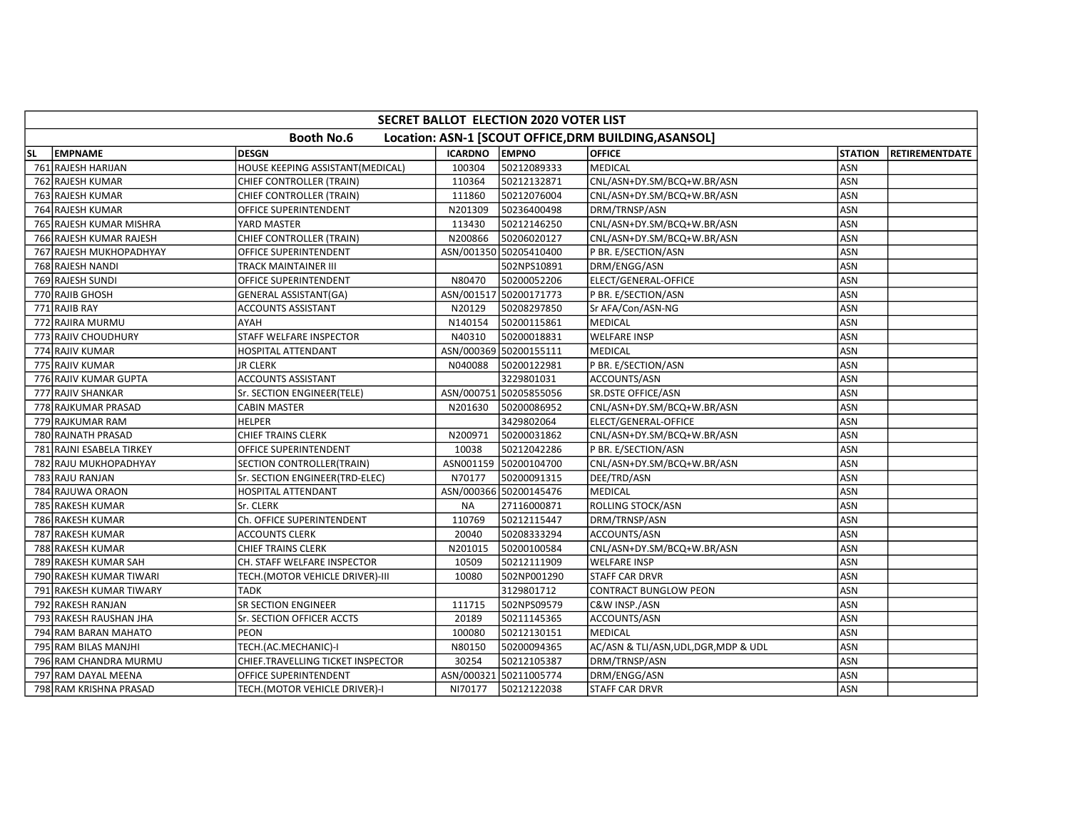|    | SECRET BALLOT ELECTION 2020 VOTER LIST |                                   |                |                        |                                                       |                |                       |  |  |  |  |  |
|----|----------------------------------------|-----------------------------------|----------------|------------------------|-------------------------------------------------------|----------------|-----------------------|--|--|--|--|--|
|    |                                        | <b>Booth No.6</b>                 |                |                        | Location: ASN-1 [SCOUT OFFICE, DRM BUILDING, ASANSOL] |                |                       |  |  |  |  |  |
| SL | <b>EMPNAME</b>                         | <b>DESGN</b>                      | <b>ICARDNO</b> | <b>EMPNO</b>           | <b>OFFICE</b>                                         | <b>STATION</b> | <b>RETIREMENTDATE</b> |  |  |  |  |  |
|    | 761 RAJESH HARIJAN                     | HOUSE KEEPING ASSISTANT(MEDICAL)  | 100304         | 50212089333            | <b>MEDICAL</b>                                        | ASN            |                       |  |  |  |  |  |
|    | 762 RAJESH KUMAR                       | CHIEF CONTROLLER (TRAIN)          | 110364         | 50212132871            | CNL/ASN+DY.SM/BCQ+W.BR/ASN                            | ASN            |                       |  |  |  |  |  |
|    | 763 RAJESH KUMAR                       | CHIEF CONTROLLER (TRAIN)          | 111860         | 50212076004            | CNL/ASN+DY.SM/BCQ+W.BR/ASN                            | ASN            |                       |  |  |  |  |  |
|    | 764 RAJESH KUMAR                       | OFFICE SUPERINTENDENT             | N201309        | 50236400498            | DRM/TRNSP/ASN                                         | <b>ASN</b>     |                       |  |  |  |  |  |
|    | 765 RAJESH KUMAR MISHRA                | YARD MASTER                       | 113430         | 50212146250            | CNL/ASN+DY.SM/BCQ+W.BR/ASN                            | <b>ASN</b>     |                       |  |  |  |  |  |
|    | 766 RAJESH KUMAR RAJESH                | CHIEF CONTROLLER (TRAIN)          | N200866        | 50206020127            | CNL/ASN+DY.SM/BCQ+W.BR/ASN                            | ASN            |                       |  |  |  |  |  |
|    | 767 RAJESH MUKHOPADHYAY                | OFFICE SUPERINTENDENT             |                | ASN/001350 50205410400 | P BR. E/SECTION/ASN                                   | ASN            |                       |  |  |  |  |  |
|    | 768 RAJESH NANDI                       | TRACK MAINTAINER III              |                | 502NPS10891            | DRM/ENGG/ASN                                          | ASN            |                       |  |  |  |  |  |
|    | 769 RAJESH SUNDI                       | OFFICE SUPERINTENDENT             | N80470         | 50200052206            | ELECT/GENERAL-OFFICE                                  | <b>ASN</b>     |                       |  |  |  |  |  |
|    | 770 RAJIB GHOSH                        | <b>GENERAL ASSISTANT(GA)</b>      |                | ASN/001517 50200171773 | P BR. E/SECTION/ASN                                   | <b>ASN</b>     |                       |  |  |  |  |  |
|    | 771 RAJIB RAY                          | ACCOUNTS ASSISTANT                | N20129         | 50208297850            | Sr AFA/Con/ASN-NG                                     | ASN            |                       |  |  |  |  |  |
|    | 772 RAJIRA MURMU                       | AYAH                              | N140154        | 50200115861            | <b>MEDICAL</b>                                        | <b>ASN</b>     |                       |  |  |  |  |  |
|    | 773 RAJIV CHOUDHURY                    | STAFF WELFARE INSPECTOR           | N40310         | 50200018831            | <b>WELFARE INSP</b>                                   | <b>ASN</b>     |                       |  |  |  |  |  |
|    | 774 RAJIV KUMAR                        | HOSPITAL ATTENDANT                |                | ASN/000369 50200155111 | <b>MEDICAL</b>                                        | ASN            |                       |  |  |  |  |  |
|    | 775 RAJIV KUMAR                        | <b>JR CLERK</b>                   | N040088        | 50200122981            | P BR. E/SECTION/ASN                                   | ASN            |                       |  |  |  |  |  |
|    | 776 RAJIV KUMAR GUPTA                  | <b>ACCOUNTS ASSISTANT</b>         |                | 3229801031             | ACCOUNTS/ASN                                          | ASN            |                       |  |  |  |  |  |
|    | 777 RAJIV SHANKAR                      | Sr. SECTION ENGINEER(TELE)        |                | ASN/000751 50205855056 | <b>SR.DSTE OFFICE/ASN</b>                             | ASN            |                       |  |  |  |  |  |
|    | 778 RAJKUMAR PRASAD                    | CABIN MASTER                      | N201630        | 50200086952            | CNL/ASN+DY.SM/BCQ+W.BR/ASN                            | ASN            |                       |  |  |  |  |  |
|    | 779 RAJKUMAR RAM                       | <b>HELPER</b>                     |                | 3429802064             | ELECT/GENERAL-OFFICE                                  | ASN            |                       |  |  |  |  |  |
|    | 780 RAJNATH PRASAD                     | <b>CHIEF TRAINS CLERK</b>         | N200971        | 50200031862            | CNL/ASN+DY.SM/BCQ+W.BR/ASN                            | ASN            |                       |  |  |  |  |  |
|    | 781 RAJNI ESABELA TIRKEY               | OFFICE SUPERINTENDENT             | 10038          | 50212042286            | P BR. E/SECTION/ASN                                   | <b>ASN</b>     |                       |  |  |  |  |  |
|    | 782 RAJU MUKHOPADHYAY                  | SECTION CONTROLLER(TRAIN)         |                | ASN001159 50200104700  | CNL/ASN+DY.SM/BCQ+W.BR/ASN                            | ASN            |                       |  |  |  |  |  |
|    | 783 RAJU RANJAN                        | Sr. SECTION ENGINEER(TRD-ELEC)    | N70177         | 50200091315            | DEE/TRD/ASN                                           | ASN            |                       |  |  |  |  |  |
|    | 784 RAJUWA ORAON                       | HOSPITAL ATTENDANT                |                | ASN/000366 50200145476 | <b>MEDICAL</b>                                        | <b>ASN</b>     |                       |  |  |  |  |  |
|    | 785 RAKESH KUMAR                       | Sr. CLERK                         | <b>NA</b>      | 27116000871            | ROLLING STOCK/ASN                                     | ASN            |                       |  |  |  |  |  |
|    | 786 RAKESH KUMAR                       | Ch. OFFICE SUPERINTENDENT         | 110769         | 50212115447            | DRM/TRNSP/ASN                                         | ASN            |                       |  |  |  |  |  |
|    | 787 RAKESH KUMAR                       | <b>ACCOUNTS CLERK</b>             | 20040          | 50208333294            | ACCOUNTS/ASN                                          | <b>ASN</b>     |                       |  |  |  |  |  |
|    | 788 RAKESH KUMAR                       | CHIEF TRAINS CLERK                | N201015        | 50200100584            | CNL/ASN+DY.SM/BCQ+W.BR/ASN                            | ASN            |                       |  |  |  |  |  |
|    | 789 RAKESH KUMAR SAH                   | CH. STAFF WELFARE INSPECTOR       | 10509          | 50212111909            | <b>WELFARE INSP</b>                                   | <b>ASN</b>     |                       |  |  |  |  |  |
|    | 790 RAKESH KUMAR TIWARI                | TECH.(MOTOR VEHICLE DRIVER)-III   | 10080          | 502NP001290            | <b>STAFF CAR DRVR</b>                                 | ASN            |                       |  |  |  |  |  |
|    | 791 RAKESH KUMAR TIWARY                | <b>TADK</b>                       |                | 3129801712             | <b>CONTRACT BUNGLOW PEON</b>                          | ASN            |                       |  |  |  |  |  |
|    | 792 RAKESH RANJAN                      | <b>SR SECTION ENGINEER</b>        | 111715         | 502NPS09579            | C&W INSP./ASN                                         | ASN            |                       |  |  |  |  |  |
|    | 793 RAKESH RAUSHAN JHA                 | Sr. SECTION OFFICER ACCTS         | 20189          | 50211145365            | ACCOUNTS/ASN                                          | ASN            |                       |  |  |  |  |  |
|    | 794 RAM BARAN MAHATO                   | <b>PEON</b>                       | 100080         | 50212130151            | <b>MEDICAL</b>                                        | ASN            |                       |  |  |  |  |  |
|    | 795 RAM BILAS MANJHI                   | TECH.(AC.MECHANIC)-I              | N80150         | 50200094365            | AC/ASN & TLI/ASN, UDL, DGR, MDP & UDL                 | <b>ASN</b>     |                       |  |  |  |  |  |
|    | 796 RAM CHANDRA MURMU                  | CHIEF.TRAVELLING TICKET INSPECTOR | 30254          | 50212105387            | DRM/TRNSP/ASN                                         | ASN            |                       |  |  |  |  |  |
|    | 797 RAM DAYAL MEENA                    | OFFICE SUPERINTENDENT             |                | ASN/000321 50211005774 | DRM/ENGG/ASN                                          | ASN            |                       |  |  |  |  |  |
|    | 798 RAM KRISHNA PRASAD                 | TECH.(MOTOR VEHICLE DRIVER)-I     | NI70177        | 50212122038            | <b>STAFF CAR DRVR</b>                                 | ASN            |                       |  |  |  |  |  |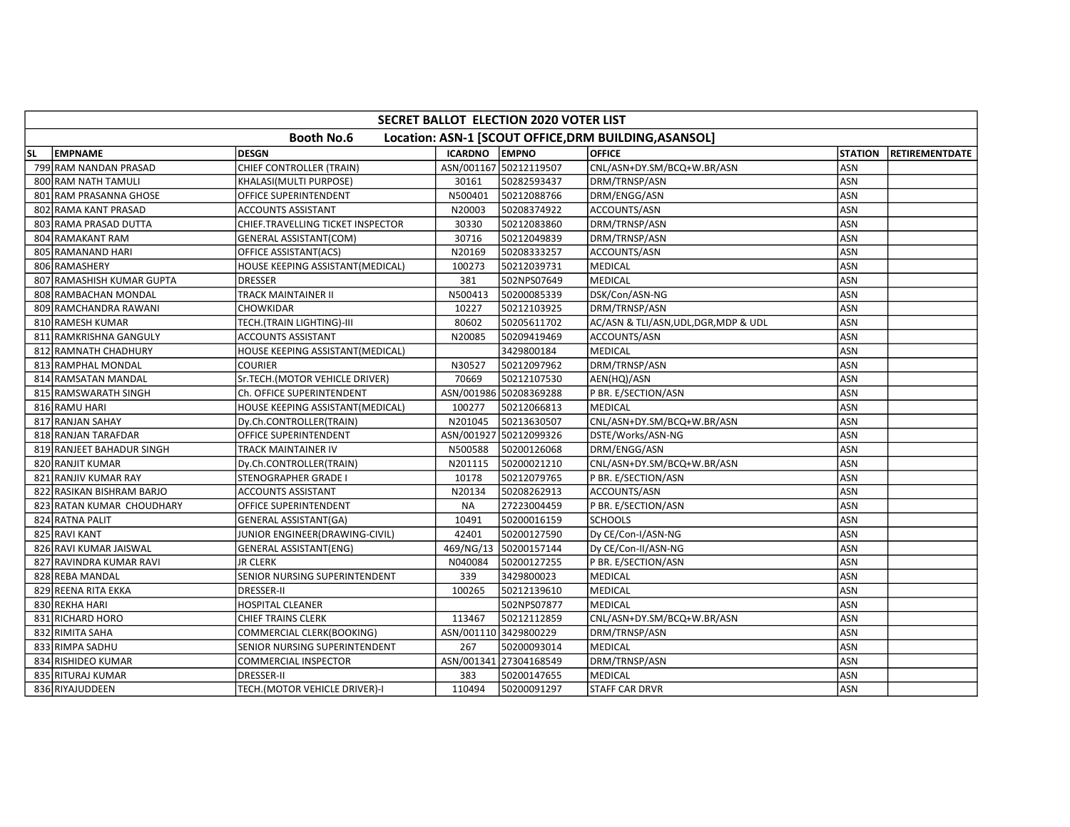|           | <b>SECRET BALLOT ELECTION 2020 VOTER LIST</b>                              |                                   |                |                        |                                       |                |                       |  |  |  |  |  |
|-----------|----------------------------------------------------------------------------|-----------------------------------|----------------|------------------------|---------------------------------------|----------------|-----------------------|--|--|--|--|--|
|           | <b>Booth No.6</b><br>Location: ASN-1 [SCOUT OFFICE, DRM BUILDING, ASANSOL] |                                   |                |                        |                                       |                |                       |  |  |  |  |  |
| <b>SL</b> | <b>EMPNAME</b>                                                             | <b>DESGN</b>                      | <b>ICARDNO</b> | <b>EMPNO</b>           | <b>OFFICE</b>                         | <b>STATION</b> | <b>RETIREMENTDATE</b> |  |  |  |  |  |
|           | 799 RAM NANDAN PRASAD                                                      | CHIEF CONTROLLER (TRAIN)          |                | ASN/001167 50212119507 | CNL/ASN+DY.SM/BCQ+W.BR/ASN            | <b>ASN</b>     |                       |  |  |  |  |  |
|           | 800 RAM NATH TAMULI                                                        | KHALASI(MULTI PURPOSE)            | 30161          | 50282593437            | DRM/TRNSP/ASN                         | ASN            |                       |  |  |  |  |  |
|           | 801 RAM PRASANNA GHOSE                                                     | OFFICE SUPERINTENDENT             | N500401        | 50212088766            | DRM/ENGG/ASN                          | ASN            |                       |  |  |  |  |  |
|           | 802 RAMA KANT PRASAD                                                       | <b>ACCOUNTS ASSISTANT</b>         | N20003         | 50208374922            | ACCOUNTS/ASN                          | <b>ASN</b>     |                       |  |  |  |  |  |
|           | 803 RAMA PRASAD DUTTA                                                      | CHIEF.TRAVELLING TICKET INSPECTOR | 30330          | 50212083860            | DRM/TRNSP/ASN                         | <b>ASN</b>     |                       |  |  |  |  |  |
|           | 804 RAMAKANT RAM                                                           | GENERAL ASSISTANT(COM)            | 30716          | 50212049839            | DRM/TRNSP/ASN                         | ASN            |                       |  |  |  |  |  |
|           | 805 RAMANAND HARI                                                          | OFFICE ASSISTANT(ACS)             | N20169         | 50208333257            | ACCOUNTS/ASN                          | <b>ASN</b>     |                       |  |  |  |  |  |
|           | 806 RAMASHERY                                                              | HOUSE KEEPING ASSISTANT(MEDICAL)  | 100273         | 50212039731            | <b>MEDICAL</b>                        | ASN            |                       |  |  |  |  |  |
|           | 807 RAMASHISH KUMAR GUPTA                                                  | <b>DRESSER</b>                    | 381            | 502NPS07649            | <b>MEDICAL</b>                        | ASN            |                       |  |  |  |  |  |
|           | 808 RAMBACHAN MONDAL                                                       | <b>TRACK MAINTAINER II</b>        | N500413        | 50200085339            | DSK/Con/ASN-NG                        | ASN            |                       |  |  |  |  |  |
|           | 809 RAMCHANDRA RAWANI                                                      | CHOWKIDAR                         | 10227          | 50212103925            | DRM/TRNSP/ASN                         | ASN            |                       |  |  |  |  |  |
|           | 810 RAMESH KUMAR                                                           | TECH.(TRAIN LIGHTING)-III         | 80602          | 50205611702            | AC/ASN & TLI/ASN, UDL, DGR, MDP & UDL | ASN            |                       |  |  |  |  |  |
|           | 811 RAMKRISHNA GANGULY                                                     | ACCOUNTS ASSISTANT                | N20085         | 50209419469            | ACCOUNTS/ASN                          | ASN            |                       |  |  |  |  |  |
|           | 812 RAMNATH CHADHURY                                                       | HOUSE KEEPING ASSISTANT(MEDICAL)  |                | 3429800184             | MEDICAL                               | ASN            |                       |  |  |  |  |  |
|           | 813 RAMPHAL MONDAL                                                         | <b>COURIER</b>                    | N30527         | 50212097962            | DRM/TRNSP/ASN                         | ASN            |                       |  |  |  |  |  |
|           | 814 RAMSATAN MANDAL                                                        | Sr.TECH.(MOTOR VEHICLE DRIVER)    | 70669          | 50212107530            | AEN(HQ)/ASN                           | ASN            |                       |  |  |  |  |  |
|           | 815 RAMSWARATH SINGH                                                       | Ch. OFFICE SUPERINTENDENT         |                | ASN/001986 50208369288 | P BR. E/SECTION/ASN                   | ASN            |                       |  |  |  |  |  |
|           | 816 RAMU HARI                                                              | HOUSE KEEPING ASSISTANT(MEDICAL)  | 100277         | 50212066813            | MEDICAL                               | ASN            |                       |  |  |  |  |  |
|           | 817 RANJAN SAHAY                                                           | Dy.Ch.CONTROLLER(TRAIN)           | N201045        | 50213630507            | CNL/ASN+DY.SM/BCQ+W.BR/ASN            | <b>ASN</b>     |                       |  |  |  |  |  |
|           | 818 RANJAN TARAFDAR                                                        | OFFICE SUPERINTENDENT             |                | ASN/001927 50212099326 | DSTE/Works/ASN-NG                     | ASN            |                       |  |  |  |  |  |
|           | 819 RANJEET BAHADUR SINGH                                                  | TRACK MAINTAINER IV               | N500588        | 50200126068            | DRM/ENGG/ASN                          | <b>ASN</b>     |                       |  |  |  |  |  |
|           | 820 RANJIT KUMAR                                                           | Dy.Ch.CONTROLLER(TRAIN)           | N201115        | 50200021210            | CNL/ASN+DY.SM/BCQ+W.BR/ASN            | <b>ASN</b>     |                       |  |  |  |  |  |
|           | 821 RANJIV KUMAR RAY                                                       | STENOGRAPHER GRADE I              | 10178          | 50212079765            | P BR. E/SECTION/ASN                   | ASN            |                       |  |  |  |  |  |
|           | 822 RASIKAN BISHRAM BARJO                                                  | <b>ACCOUNTS ASSISTANT</b>         | N20134         | 50208262913            | ACCOUNTS/ASN                          | <b>ASN</b>     |                       |  |  |  |  |  |
|           | 823 RATAN KUMAR CHOUDHARY                                                  | OFFICE SUPERINTENDENT             | <b>NA</b>      | 27223004459            | P BR. E/SECTION/ASN                   | ASN            |                       |  |  |  |  |  |
|           | 824 RATNA PALIT                                                            | <b>GENERAL ASSISTANT(GA)</b>      | 10491          | 50200016159            | <b>SCHOOLS</b>                        | ASN            |                       |  |  |  |  |  |
|           | 825 RAVI KANT                                                              | JUNIOR ENGINEER(DRAWING-CIVIL)    | 42401          | 50200127590            | Dy CE/Con-I/ASN-NG                    | ASN            |                       |  |  |  |  |  |
|           | 826 RAVI KUMAR JAISWAL                                                     | <b>GENERAL ASSISTANT(ENG)</b>     | 469/NG/13      | 50200157144            | Dy CE/Con-II/ASN-NG                   | ASN            |                       |  |  |  |  |  |
|           | 827 RAVINDRA KUMAR RAVI                                                    | <b>JR CLERK</b>                   | N040084        | 50200127255            | P BR. E/SECTION/ASN                   | <b>ASN</b>     |                       |  |  |  |  |  |
|           | 828 REBA MANDAL                                                            | SENIOR NURSING SUPERINTENDENT     | 339            | 3429800023             | MEDICAL                               | ASN            |                       |  |  |  |  |  |
|           | 829 REENA RITA EKKA                                                        | <b>DRESSER-II</b>                 | 100265         | 50212139610            | <b>MEDICAL</b>                        | ASN            |                       |  |  |  |  |  |
|           | 830 REKHA HARI                                                             | <b>HOSPITAL CLEANER</b>           |                | 502NPS07877            | <b>MEDICAL</b>                        | <b>ASN</b>     |                       |  |  |  |  |  |
|           | 831 RICHARD HORO                                                           | <b>CHIEF TRAINS CLERK</b>         | 113467         | 50212112859            | CNL/ASN+DY.SM/BCQ+W.BR/ASN            | ASN            |                       |  |  |  |  |  |
|           | 832 RIMITA SAHA                                                            | COMMERCIAL CLERK(BOOKING)         |                | ASN/001110 3429800229  | DRM/TRNSP/ASN                         | <b>ASN</b>     |                       |  |  |  |  |  |
|           | 833 RIMPA SADHU                                                            | SENIOR NURSING SUPERINTENDENT     | 267            | 50200093014            | <b>MEDICAL</b>                        | ASN            |                       |  |  |  |  |  |
|           | 834 RISHIDEO KUMAR                                                         | COMMERCIAL INSPECTOR              |                | ASN/001341 27304168549 | DRM/TRNSP/ASN                         | ASN            |                       |  |  |  |  |  |
|           | 835 RITURAJ KUMAR                                                          | DRESSER-II                        | 383            | 50200147655            | <b>MEDICAL</b>                        | ASN            |                       |  |  |  |  |  |
|           | 836 RIYAJUDDEEN                                                            | TECH.(MOTOR VEHICLE DRIVER)-I     | 110494         | 50200091297            | <b>STAFF CAR DRVR</b>                 | ASN            |                       |  |  |  |  |  |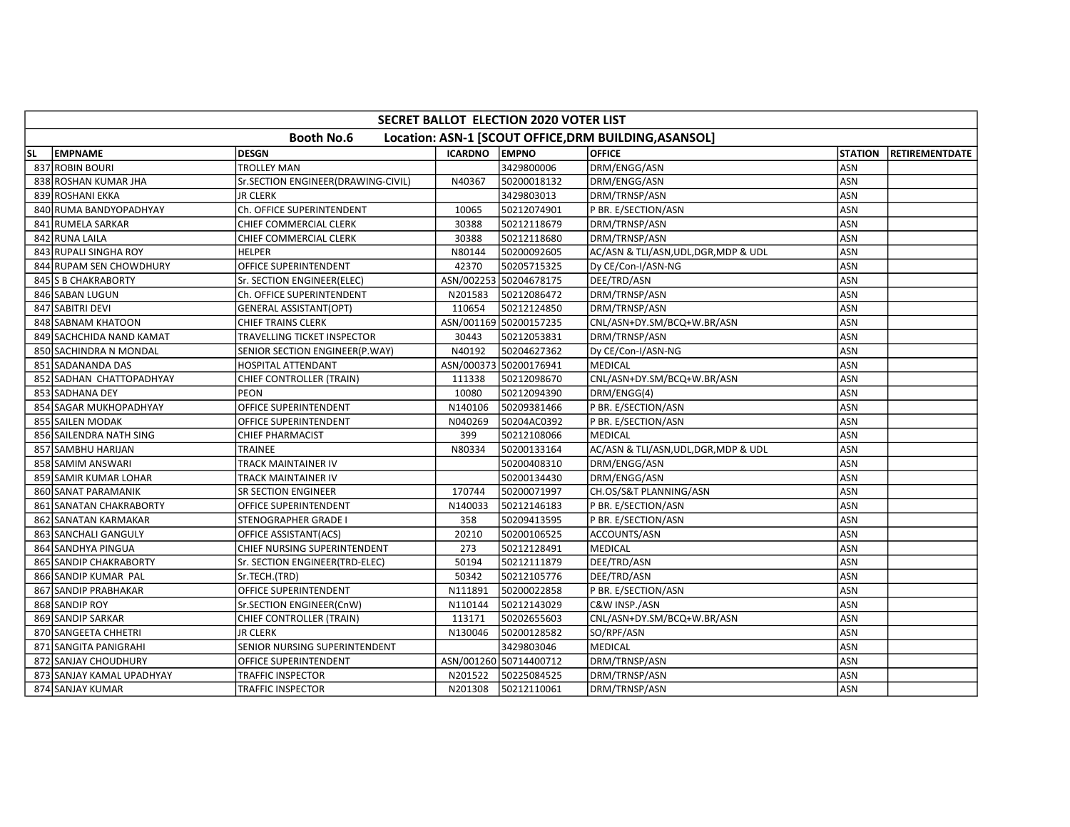|    | <b>SECRET BALLOT ELECTION 2020 VOTER LIST</b> |                                    |                |                        |                                                       |                |                        |  |  |  |  |  |
|----|-----------------------------------------------|------------------------------------|----------------|------------------------|-------------------------------------------------------|----------------|------------------------|--|--|--|--|--|
|    |                                               | <b>Booth No.6</b>                  |                |                        | Location: ASN-1 [SCOUT OFFICE, DRM BUILDING, ASANSOL] |                |                        |  |  |  |  |  |
| SL | <b>EMPNAME</b>                                | <b>DESGN</b>                       | <b>ICARDNO</b> | <b>LEMPNO</b>          | <b>OFFICE</b>                                         | <b>STATION</b> | <b>IRETIREMENTDATE</b> |  |  |  |  |  |
|    | 837 ROBIN BOURI                               | <b>TROLLEY MAN</b>                 |                | 3429800006             | DRM/ENGG/ASN                                          | ASN            |                        |  |  |  |  |  |
|    | 838 ROSHAN KUMAR JHA                          | Sr.SECTION ENGINEER(DRAWING-CIVIL) | N40367         | 50200018132            | DRM/ENGG/ASN                                          | ASN            |                        |  |  |  |  |  |
|    | 839 ROSHANI EKKA                              | <b>JR CLERK</b>                    |                | 3429803013             | DRM/TRNSP/ASN                                         | <b>ASN</b>     |                        |  |  |  |  |  |
|    | 840 RUMA BANDYOPADHYAY                        | Ch. OFFICE SUPERINTENDENT          | 10065          | 50212074901            | P BR. E/SECTION/ASN                                   | ASN            |                        |  |  |  |  |  |
|    | 841 RUMELA SARKAR                             | CHIEF COMMERCIAL CLERK             | 30388          | 50212118679            | DRM/TRNSP/ASN                                         | <b>ASN</b>     |                        |  |  |  |  |  |
|    | 842 RUNA LAILA                                | CHIEF COMMERCIAL CLERK             | 30388          | 50212118680            | DRM/TRNSP/ASN                                         | <b>ASN</b>     |                        |  |  |  |  |  |
|    | 843 RUPALI SINGHA ROY                         | <b>HELPER</b>                      | N80144         | 50200092605            | AC/ASN & TLI/ASN, UDL, DGR, MDP & UDL                 | ASN            |                        |  |  |  |  |  |
|    | 844 RUPAM SEN CHOWDHURY                       | OFFICE SUPERINTENDENT              | 42370          | 50205715325            | Dy CE/Con-I/ASN-NG                                    | ASN            |                        |  |  |  |  |  |
|    | 845 S B CHAKRABORTY                           | Sr. SECTION ENGINEER(ELEC)         |                | ASN/002253 50204678175 | DEE/TRD/ASN                                           | ASN            |                        |  |  |  |  |  |
|    | 846 SABAN LUGUN                               | Ch. OFFICE SUPERINTENDENT          | N201583        | 50212086472            | DRM/TRNSP/ASN                                         | ASN            |                        |  |  |  |  |  |
|    | 847 SABITRI DEVI                              | <b>GENERAL ASSISTANT(OPT)</b>      | 110654         | 50212124850            | DRM/TRNSP/ASN                                         | ASN            |                        |  |  |  |  |  |
|    | 848 SABNAM KHATOON                            | <b>CHIEF TRAINS CLERK</b>          |                | ASN/001169 50200157235 | CNL/ASN+DY.SM/BCQ+W.BR/ASN                            | ASN            |                        |  |  |  |  |  |
|    | 849 SACHCHIDA NAND KAMAT                      | TRAVELLING TICKET INSPECTOR        | 30443          | 50212053831            | DRM/TRNSP/ASN                                         | ASN            |                        |  |  |  |  |  |
|    | 850 SACHINDRA N MONDAL                        | SENIOR SECTION ENGINEER(P.WAY)     | N40192         | 50204627362            | Dy CE/Con-I/ASN-NG                                    | ASN            |                        |  |  |  |  |  |
|    | 851 SADANANDA DAS                             | <b>HOSPITAL ATTENDANT</b>          |                | ASN/000373 50200176941 | <b>MEDICAL</b>                                        | <b>ASN</b>     |                        |  |  |  |  |  |
|    | 852 SADHAN CHATTOPADHYAY                      | CHIEF CONTROLLER (TRAIN)           | 111338         | 50212098670            | CNL/ASN+DY.SM/BCQ+W.BR/ASN                            | ASN            |                        |  |  |  |  |  |
|    | 853 SADHANA DEY                               | <b>PEON</b>                        | 10080          | 50212094390            | DRM/ENGG(4)                                           | ASN            |                        |  |  |  |  |  |
|    | 854 SAGAR MUKHOPADHYAY                        | OFFICE SUPERINTENDENT              | N140106        | 50209381466            | P BR. E/SECTION/ASN                                   | ASN            |                        |  |  |  |  |  |
|    | 855 SAILEN MODAK                              | OFFICE SUPERINTENDENT              | N040269        | 50204AC0392            | P BR. E/SECTION/ASN                                   | <b>ASN</b>     |                        |  |  |  |  |  |
|    | 856 SAILENDRA NATH SING                       | <b>CHIEF PHARMACIST</b>            | 399            | 50212108066            | <b>MEDICAL</b>                                        | ASN            |                        |  |  |  |  |  |
|    | 857 SAMBHU HARIJAN                            | <b>TRAINEE</b>                     | N80334         | 50200133164            | AC/ASN & TLI/ASN, UDL, DGR, MDP & UDL                 | ASN            |                        |  |  |  |  |  |
|    | 858 SAMIM ANSWARI                             | TRACK MAINTAINER IV                |                | 50200408310            | DRM/ENGG/ASN                                          | ASN            |                        |  |  |  |  |  |
|    | 859 SAMIR KUMAR LOHAR                         | TRACK MAINTAINER IV                |                | 50200134430            | DRM/ENGG/ASN                                          | ASN            |                        |  |  |  |  |  |
|    | 860 SANAT PARAMANIK                           | SR SECTION ENGINEER                | 170744         | 50200071997            | CH.OS/S&T PLANNING/ASN                                | ASN            |                        |  |  |  |  |  |
|    | 861 SANATAN CHAKRABORTY                       | OFFICE SUPERINTENDENT              | N140033        | 50212146183            | P BR. E/SECTION/ASN                                   | ASN            |                        |  |  |  |  |  |
|    | 862 SANATAN KARMAKAR                          | <b>STENOGRAPHER GRADE I</b>        | 358            | 50209413595            | P BR. E/SECTION/ASN                                   | ASN            |                        |  |  |  |  |  |
|    | 863 SANCHALI GANGULY                          | OFFICE ASSISTANT(ACS)              | 20210          | 50200106525            | ACCOUNTS/ASN                                          | <b>ASN</b>     |                        |  |  |  |  |  |
|    | 864 SANDHYA PINGUA                            | CHIEF NURSING SUPERINTENDENT       | 273            | 50212128491            | <b>MEDICAL</b>                                        | ASN            |                        |  |  |  |  |  |
|    | 865 SANDIP CHAKRABORTY                        | Sr. SECTION ENGINEER(TRD-ELEC)     | 50194          | 50212111879            | DEE/TRD/ASN                                           | <b>ASN</b>     |                        |  |  |  |  |  |
|    | 866 SANDIP KUMAR PAL                          | Sr.TECH.(TRD)                      | 50342          | 50212105776            | DEE/TRD/ASN                                           | ASN            |                        |  |  |  |  |  |
|    | 867 SANDIP PRABHAKAR                          | OFFICE SUPERINTENDENT              | N111891        | 50200022858            | P BR. E/SECTION/ASN                                   | ASN            |                        |  |  |  |  |  |
|    | 868 SANDIP ROY                                | Sr.SECTION ENGINEER(CnW)           | N110144        | 50212143029            | C&W INSP./ASN                                         | <b>ASN</b>     |                        |  |  |  |  |  |
|    | 869 SANDIP SARKAR                             | CHIEF CONTROLLER (TRAIN)           | 113171         | 50202655603            | CNL/ASN+DY.SM/BCQ+W.BR/ASN                            | ASN            |                        |  |  |  |  |  |
|    | 870 SANGEETA CHHETRI                          | <b>JR CLERK</b>                    | N130046        | 50200128582            | SO/RPF/ASN                                            | ASN            |                        |  |  |  |  |  |
|    | 871 SANGITA PANIGRAHI                         | SENIOR NURSING SUPERINTENDENT      |                | 3429803046             | <b>MEDICAL</b>                                        | ASN            |                        |  |  |  |  |  |
|    | 872 SANJAY CHOUDHURY                          | OFFICE SUPERINTENDENT              |                | ASN/001260 50714400712 | DRM/TRNSP/ASN                                         | ASN            |                        |  |  |  |  |  |
|    | 873 SANJAY KAMAL UPADHYAY                     | TRAFFIC INSPECTOR                  | N201522        | 50225084525            | DRM/TRNSP/ASN                                         | <b>ASN</b>     |                        |  |  |  |  |  |
|    | 874 SANJAY KUMAR                              | <b>TRAFFIC INSPECTOR</b>           | N201308        | 50212110061            | DRM/TRNSP/ASN                                         | ASN            |                        |  |  |  |  |  |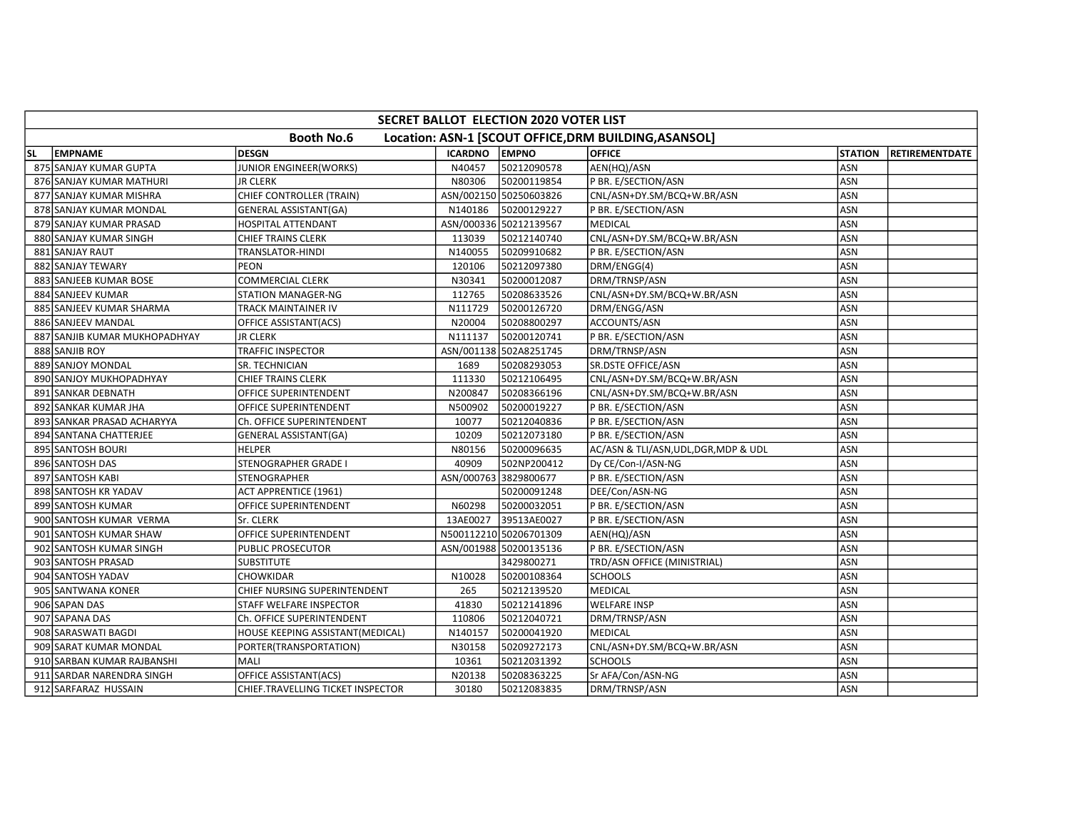|                                                                            | <b>SECRET BALLOT ELECTION 2020 VOTER LIST</b> |                                   |                |                        |                                       |                |                        |  |  |  |  |
|----------------------------------------------------------------------------|-----------------------------------------------|-----------------------------------|----------------|------------------------|---------------------------------------|----------------|------------------------|--|--|--|--|
| <b>Booth No.6</b><br>Location: ASN-1 [SCOUT OFFICE, DRM BUILDING, ASANSOL] |                                               |                                   |                |                        |                                       |                |                        |  |  |  |  |
| SL                                                                         | <b>EMPNAME</b>                                | <b>DESGN</b>                      | <b>ICARDNO</b> | <b>EMPNO</b>           | <b>OFFICE</b>                         | <b>STATION</b> | <b>IRETIREMENTDATE</b> |  |  |  |  |
|                                                                            | 875 SANJAY KUMAR GUPTA                        | <b>JUNIOR ENGINEER(WORKS)</b>     | N40457         | 50212090578            | AEN(HQ)/ASN                           | ASN            |                        |  |  |  |  |
|                                                                            | 876 SANJAY KUMAR MATHURI                      | <b>JR CLERK</b>                   | N80306         | 50200119854            | P BR. E/SECTION/ASN                   | ASN            |                        |  |  |  |  |
|                                                                            | 877 SANJAY KUMAR MISHRA                       | CHIEF CONTROLLER (TRAIN)          |                | ASN/002150 50250603826 | CNL/ASN+DY.SM/BCQ+W.BR/ASN            | ASN            |                        |  |  |  |  |
|                                                                            | 878 SANJAY KUMAR MONDAL                       | <b>GENERAL ASSISTANT(GA)</b>      | N140186        | 50200129227            | P BR. E/SECTION/ASN                   | ASN            |                        |  |  |  |  |
|                                                                            | 879 SANJAY KUMAR PRASAD                       | HOSPITAL ATTENDANT                |                | ASN/000336 50212139567 | <b>MEDICAL</b>                        | ASN            |                        |  |  |  |  |
|                                                                            | 880 SANJAY KUMAR SINGH                        | <b>CHIEF TRAINS CLERK</b>         | 113039         | 50212140740            | CNL/ASN+DY.SM/BCQ+W.BR/ASN            | <b>ASN</b>     |                        |  |  |  |  |
|                                                                            | 881 SANJAY RAUT                               | TRANSLATOR-HINDI                  | N140055        | 50209910682            | P BR. E/SECTION/ASN                   | ASN            |                        |  |  |  |  |
|                                                                            | 882 SANJAY TEWARY                             | PEON                              | 120106         | 50212097380            | DRM/ENGG(4)                           | ASN            |                        |  |  |  |  |
|                                                                            | 883 SANJEEB KUMAR BOSE                        | <b>COMMERCIAL CLERK</b>           | N30341         | 50200012087            | DRM/TRNSP/ASN                         | ASN            |                        |  |  |  |  |
|                                                                            | 884 SANJEEV KUMAR                             | <b>STATION MANAGER-NG</b>         | 112765         | 50208633526            | CNL/ASN+DY.SM/BCQ+W.BR/ASN            | ASN            |                        |  |  |  |  |
|                                                                            | 885 SANJEEV KUMAR SHARMA                      | TRACK MAINTAINER IV               | N111729        | 50200126720            | DRM/ENGG/ASN                          | ASN            |                        |  |  |  |  |
|                                                                            | 886 SANJEEV MANDAL                            | OFFICE ASSISTANT(ACS)             | N20004         | 50208800297            | ACCOUNTS/ASN                          | ASN            |                        |  |  |  |  |
|                                                                            | 887 SANJIB KUMAR MUKHOPADHYAY                 | <b>JR CLERK</b>                   | N111137        | 50200120741            | P BR. E/SECTION/ASN                   | ASN            |                        |  |  |  |  |
|                                                                            | 888 SANJIB ROY                                | TRAFFIC INSPECTOR                 |                | ASN/001138 502A8251745 | DRM/TRNSP/ASN                         | <b>ASN</b>     |                        |  |  |  |  |
|                                                                            | 889 SANJOY MONDAL                             | SR. TECHNICIAN                    | 1689           | 50208293053            | <b>SR.DSTE OFFICE/ASN</b>             | <b>ASN</b>     |                        |  |  |  |  |
|                                                                            | 890 SANJOY MUKHOPADHYAY                       | <b>CHIEF TRAINS CLERK</b>         | 111330         | 50212106495            | CNL/ASN+DY.SM/BCQ+W.BR/ASN            | ASN            |                        |  |  |  |  |
|                                                                            | 891 SANKAR DEBNATH                            | OFFICE SUPERINTENDENT             | N200847        | 50208366196            | CNL/ASN+DY.SM/BCQ+W.BR/ASN            | ASN            |                        |  |  |  |  |
|                                                                            | 892 SANKAR KUMAR JHA                          | OFFICE SUPERINTENDENT             | N500902        | 50200019227            | P BR. E/SECTION/ASN                   | ASN            |                        |  |  |  |  |
|                                                                            | 893 SANKAR PRASAD ACHARYYA                    | Ch. OFFICE SUPERINTENDENT         | 10077          | 50212040836            | P BR. E/SECTION/ASN                   | ASN            |                        |  |  |  |  |
|                                                                            | 894 SANTANA CHATTERJEE                        | <b>GENERAL ASSISTANT(GA)</b>      | 10209          | 50212073180            | P BR. E/SECTION/ASN                   | ASN            |                        |  |  |  |  |
|                                                                            | 895 SANTOSH BOURI                             | <b>HELPER</b>                     | N80156         | 50200096635            | AC/ASN & TLI/ASN, UDL, DGR, MDP & UDL | <b>ASN</b>     |                        |  |  |  |  |
|                                                                            | 896 SANTOSH DAS                               | <b>STENOGRAPHER GRADE I</b>       | 40909          | 502NP200412            | Dy CE/Con-I/ASN-NG                    | ASN            |                        |  |  |  |  |
|                                                                            | 897 SANTOSH KABI                              | STENOGRAPHER                      |                | ASN/000763 3829800677  | P BR. E/SECTION/ASN                   | ASN            |                        |  |  |  |  |
|                                                                            | 898 SANTOSH KR YADAV                          | <b>ACT APPRENTICE (1961)</b>      |                | 50200091248            | DEE/Con/ASN-NG                        | ASN            |                        |  |  |  |  |
|                                                                            | 899 SANTOSH KUMAR                             | OFFICE SUPERINTENDENT             | N60298         | 50200032051            | P BR. E/SECTION/ASN                   | ASN            |                        |  |  |  |  |
|                                                                            | 900 SANTOSH KUMAR VERMA                       | Sr. CLERK                         | 13AE0027       | 39513AE0027            | P BR. E/SECTION/ASN                   | ASN            |                        |  |  |  |  |
|                                                                            | 901 SANTOSH KUMAR SHAW                        | OFFICE SUPERINTENDENT             |                | N500112210 50206701309 | AEN(HQ)/ASN                           | ASN            |                        |  |  |  |  |
|                                                                            | 902 SANTOSH KUMAR SINGH                       | PUBLIC PROSECUTOR                 |                | ASN/001988 50200135136 | P BR. E/SECTION/ASN                   | ASN            |                        |  |  |  |  |
|                                                                            | 903 SANTOSH PRASAD                            | <b>SUBSTITUTE</b>                 |                | 3429800271             | TRD/ASN OFFICE (MINISTRIAL)           | <b>ASN</b>     |                        |  |  |  |  |
|                                                                            | 904 SANTOSH YADAV                             | CHOWKIDAR                         | N10028         | 50200108364            | <b>SCHOOLS</b>                        | ASN            |                        |  |  |  |  |
|                                                                            | 905 SANTWANA KONER                            | CHIEF NURSING SUPERINTENDENT      | 265            | 50212139520            | <b>MEDICAL</b>                        | ASN            |                        |  |  |  |  |
|                                                                            | 906 SAPAN DAS                                 | STAFF WELFARE INSPECTOR           | 41830          | 50212141896            | <b>WELFARE INSP</b>                   | <b>ASN</b>     |                        |  |  |  |  |
|                                                                            | 907 SAPANA DAS                                | Ch. OFFICE SUPERINTENDENT         | 110806         | 50212040721            | DRM/TRNSP/ASN                         | ASN            |                        |  |  |  |  |
|                                                                            | 908 SARASWATI BAGDI                           | HOUSE KEEPING ASSISTANT(MEDICAL)  | N140157        | 50200041920            | <b>MEDICAL</b>                        | ASN            |                        |  |  |  |  |
|                                                                            | 909 SARAT KUMAR MONDAL                        | PORTER(TRANSPORTATION)            | N30158         | 50209272173            | CNL/ASN+DY.SM/BCQ+W.BR/ASN            | ASN            |                        |  |  |  |  |
|                                                                            | 910 SARBAN KUMAR RAJBANSHI                    | MALI                              | 10361          | 50212031392            | <b>SCHOOLS</b>                        | ASN            |                        |  |  |  |  |
|                                                                            | 911 SARDAR NARENDRA SINGH                     | OFFICE ASSISTANT(ACS)             | N20138         | 50208363225            | Sr AFA/Con/ASN-NG                     | <b>ASN</b>     |                        |  |  |  |  |
|                                                                            | 912 SARFARAZ HUSSAIN                          | CHIEF.TRAVELLING TICKET INSPECTOR | 30180          | 50212083835            | DRM/TRNSP/ASN                         | ASN            |                        |  |  |  |  |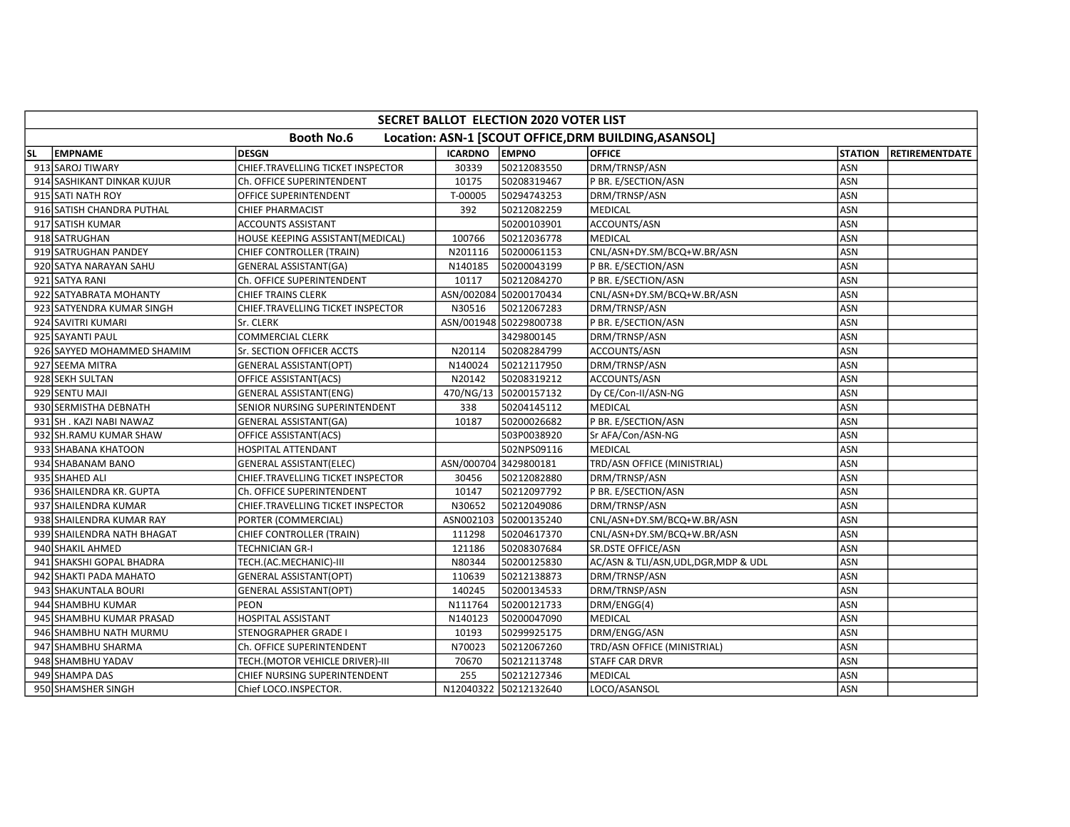|           | SECRET BALLOT ELECTION 2020 VOTER LIST                                     |                                   |                |                        |                                       |                |                       |  |  |  |
|-----------|----------------------------------------------------------------------------|-----------------------------------|----------------|------------------------|---------------------------------------|----------------|-----------------------|--|--|--|
|           | <b>Booth No.6</b><br>Location: ASN-1 [SCOUT OFFICE, DRM BUILDING, ASANSOL] |                                   |                |                        |                                       |                |                       |  |  |  |
| <b>SL</b> | <b>EMPNAME</b>                                                             | <b>DESGN</b>                      | <b>ICARDNO</b> | <b>EMPNO</b>           | <b>OFFICE</b>                         | <b>STATION</b> | <b>RETIREMENTDATE</b> |  |  |  |
|           | 913 SAROJ TIWARY                                                           | CHIEF.TRAVELLING TICKET INSPECTOR | 30339          | 50212083550            | DRM/TRNSP/ASN                         | ASN            |                       |  |  |  |
|           | 914 SASHIKANT DINKAR KUJUR                                                 | Ch. OFFICE SUPERINTENDENT         | 10175          | 50208319467            | P BR. E/SECTION/ASN                   | ASN            |                       |  |  |  |
|           | 915 SATI NATH ROY                                                          | OFFICE SUPERINTENDENT             | T-00005        | 50294743253            | DRM/TRNSP/ASN                         | ASN            |                       |  |  |  |
|           | 916 SATISH CHANDRA PUTHAL                                                  | <b>CHIEF PHARMACIST</b>           | 392            | 50212082259            | MEDICAL                               | <b>ASN</b>     |                       |  |  |  |
|           | 917 SATISH KUMAR                                                           | <b>ACCOUNTS ASSISTANT</b>         |                | 50200103901            | ACCOUNTS/ASN                          | <b>ASN</b>     |                       |  |  |  |
|           | 918 SATRUGHAN                                                              | HOUSE KEEPING ASSISTANT(MEDICAL)  | 100766         | 50212036778            | <b>MEDICAL</b>                        | ASN            |                       |  |  |  |
|           | 919 SATRUGHAN PANDEY                                                       | CHIEF CONTROLLER (TRAIN)          | N201116        | 50200061153            | CNL/ASN+DY.SM/BCQ+W.BR/ASN            | <b>ASN</b>     |                       |  |  |  |
|           | 920 SATYA NARAYAN SAHU                                                     | GENERAL ASSISTANT(GA)             | N140185        | 50200043199            | P BR. E/SECTION/ASN                   | ASN            |                       |  |  |  |
|           | 921 SATYA RANI                                                             | Ch. OFFICE SUPERINTENDENT         | 10117          | 50212084270            | P BR. E/SECTION/ASN                   | <b>ASN</b>     |                       |  |  |  |
|           | 922 SATYABRATA MOHANTY                                                     | <b>CHIEF TRAINS CLERK</b>         |                | ASN/002084 50200170434 | CNL/ASN+DY.SM/BCQ+W.BR/ASN            | <b>ASN</b>     |                       |  |  |  |
|           | 923 SATYENDRA KUMAR SINGH                                                  | CHIEF.TRAVELLING TICKET INSPECTOR | N30516         | 50212067283            | DRM/TRNSP/ASN                         | <b>ASN</b>     |                       |  |  |  |
|           | 924 SAVITRI KUMARI                                                         | Sr. CLERK                         |                | ASN/001948 50229800738 | P BR. E/SECTION/ASN                   | <b>ASN</b>     |                       |  |  |  |
|           | 925 SAYANTI PAUL                                                           | <b>COMMERCIAL CLERK</b>           |                | 3429800145             | DRM/TRNSP/ASN                         | <b>ASN</b>     |                       |  |  |  |
|           | 926 SAYYED MOHAMMED SHAMIM                                                 | Sr. SECTION OFFICER ACCTS         | N20114         | 50208284799            | ACCOUNTS/ASN                          | <b>ASN</b>     |                       |  |  |  |
|           | 927 SEEMA MITRA                                                            | <b>GENERAL ASSISTANT(OPT)</b>     | N140024        | 50212117950            | DRM/TRNSP/ASN                         | <b>ASN</b>     |                       |  |  |  |
|           | 928 SEKH SULTAN                                                            | OFFICE ASSISTANT(ACS)             | N20142         | 50208319212            | ACCOUNTS/ASN                          | ASN            |                       |  |  |  |
|           | 929 SENTU MAJI                                                             | <b>GENERAL ASSISTANT(ENG)</b>     | 470/NG/13      | 50200157132            | Dy CE/Con-II/ASN-NG                   | ASN            |                       |  |  |  |
|           | 930 SERMISTHA DEBNATH                                                      | SENIOR NURSING SUPERINTENDENT     | 338            | 50204145112            | MEDICAL                               | ASN            |                       |  |  |  |
|           | 931 SH. KAZI NABI NAWAZ                                                    | <b>GENERAL ASSISTANT(GA)</b>      | 10187          | 50200026682            | P BR. E/SECTION/ASN                   | <b>ASN</b>     |                       |  |  |  |
|           | 932 SH.RAMU KUMAR SHAW                                                     | OFFICE ASSISTANT(ACS)             |                | 503P0038920            | Sr AFA/Con/ASN-NG                     | ASN            |                       |  |  |  |
|           | 933 SHABANA KHATOON                                                        | HOSPITAL ATTENDANT                |                | 502NPS09116            | MEDICAL                               | <b>ASN</b>     |                       |  |  |  |
|           | 934 SHABANAM BANO                                                          | <b>GENERAL ASSISTANT(ELEC)</b>    |                | ASN/000704 3429800181  | TRD/ASN OFFICE (MINISTRIAL)           | ASN            |                       |  |  |  |
|           | 935 SHAHED ALI                                                             | CHIEF.TRAVELLING TICKET INSPECTOR | 30456          | 50212082880            | DRM/TRNSP/ASN                         | <b>ASN</b>     |                       |  |  |  |
|           | 936 SHAILENDRA KR. GUPTA                                                   | Ch. OFFICE SUPERINTENDENT         | 10147          | 50212097792            | P BR. E/SECTION/ASN                   | <b>ASN</b>     |                       |  |  |  |
|           | 937 SHAILENDRA KUMAR                                                       | CHIEF.TRAVELLING TICKET INSPECTOR | N30652         | 50212049086            | DRM/TRNSP/ASN                         | ASN            |                       |  |  |  |
|           | 938 SHAILENDRA KUMAR RAY                                                   | PORTER (COMMERCIAL)               | ASN002103      | 50200135240            | CNL/ASN+DY.SM/BCQ+W.BR/ASN            | <b>ASN</b>     |                       |  |  |  |
|           | 939 SHAILENDRA NATH BHAGAT                                                 | CHIEF CONTROLLER (TRAIN)          | 111298         | 50204617370            | CNL/ASN+DY.SM/BCQ+W.BR/ASN            | <b>ASN</b>     |                       |  |  |  |
|           | 940 SHAKIL AHMED                                                           | TECHNICIAN GR-I                   | 121186         | 50208307684            | SR.DSTE OFFICE/ASN                    | <b>ASN</b>     |                       |  |  |  |
|           | 941 SHAKSHI GOPAL BHADRA                                                   | TECH.(AC.MECHANIC)-III            | N80344         | 50200125830            | AC/ASN & TLI/ASN, UDL, DGR, MDP & UDL | ASN            |                       |  |  |  |
|           | 942 SHAKTI PADA MAHATO                                                     | <b>GENERAL ASSISTANT(OPT)</b>     | 110639         | 50212138873            | DRM/TRNSP/ASN                         | ASN            |                       |  |  |  |
|           | 943 SHAKUNTALA BOURI                                                       | <b>GENERAL ASSISTANT(OPT)</b>     | 140245         | 50200134533            | DRM/TRNSP/ASN                         | <b>ASN</b>     |                       |  |  |  |
|           | 944 SHAMBHU KUMAR                                                          | <b>PEON</b>                       | N111764        | 50200121733            | DRM/ENGG(4)                           | ASN            |                       |  |  |  |
|           | 945 SHAMBHU KUMAR PRASAD                                                   | <b>HOSPITAL ASSISTANT</b>         | N140123        | 50200047090            | MEDICAL                               | ASN            |                       |  |  |  |
|           | 946 SHAMBHU NATH MURMU                                                     | <b>STENOGRAPHER GRADE I</b>       | 10193          | 50299925175            | DRM/ENGG/ASN                          | ASN            |                       |  |  |  |
|           | 947 SHAMBHU SHARMA                                                         | Ch. OFFICE SUPERINTENDENT         | N70023         | 50212067260            | TRD/ASN OFFICE (MINISTRIAL)           | ASN            |                       |  |  |  |
|           | 948 SHAMBHU YADAV                                                          | TECH.(MOTOR VEHICLE DRIVER)-III   | 70670          | 50212113748            | <b>STAFF CAR DRVR</b>                 | <b>ASN</b>     |                       |  |  |  |
|           | 949 SHAMPA DAS                                                             | CHIEF NURSING SUPERINTENDENT      | 255            | 50212127346            | MEDICAL                               | <b>ASN</b>     |                       |  |  |  |
|           | 950 SHAMSHER SINGH                                                         | Chief LOCO.INSPECTOR.             |                | N12040322 50212132640  | LOCO/ASANSOL                          | ASN            |                       |  |  |  |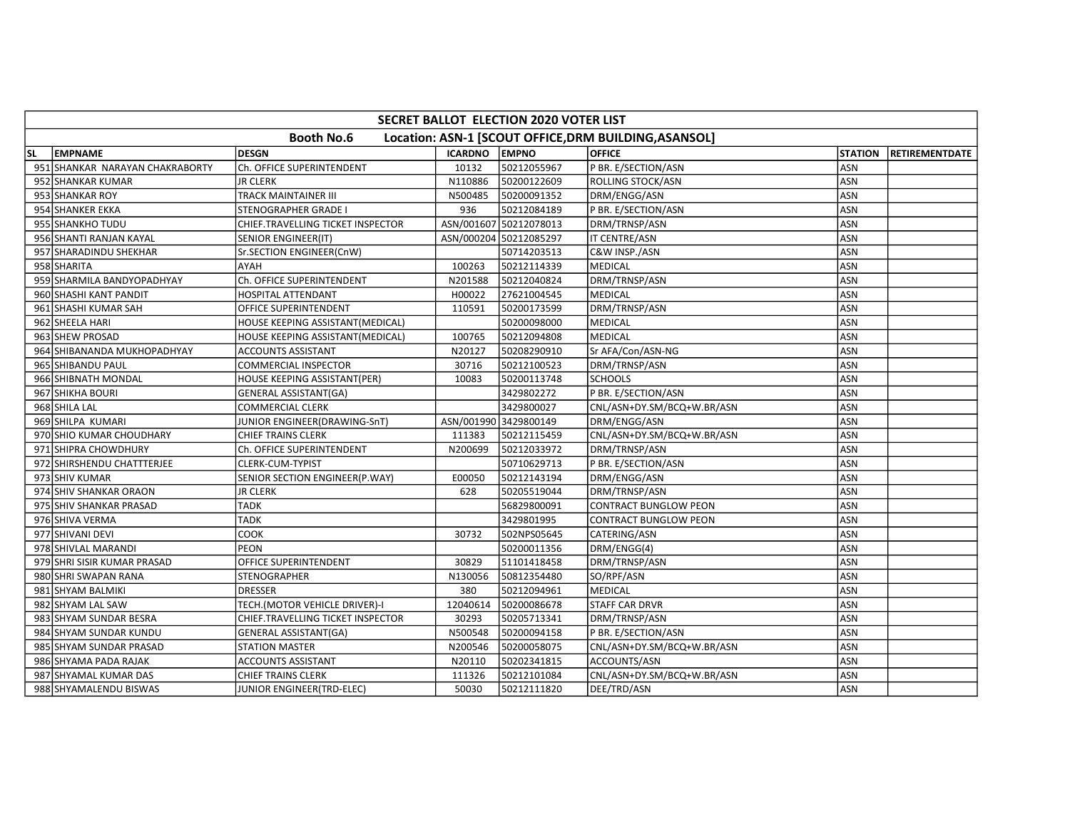|                                                                            | <b>SECRET BALLOT ELECTION 2020 VOTER LIST</b> |                                   |                |                        |                              |                |                       |  |  |  |
|----------------------------------------------------------------------------|-----------------------------------------------|-----------------------------------|----------------|------------------------|------------------------------|----------------|-----------------------|--|--|--|
| <b>Booth No.6</b><br>Location: ASN-1 [SCOUT OFFICE, DRM BUILDING, ASANSOL] |                                               |                                   |                |                        |                              |                |                       |  |  |  |
| SL                                                                         | <b>EMPNAME</b>                                | <b>DESGN</b>                      | <b>ICARDNO</b> | <b>EMPNO</b>           | <b>OFFICE</b>                | <b>STATION</b> | <b>RETIREMENTDATE</b> |  |  |  |
|                                                                            | 951 SHANKAR NARAYAN CHAKRABORTY               | Ch. OFFICE SUPERINTENDENT         | 10132          | 50212055967            | P BR. E/SECTION/ASN          | ASN            |                       |  |  |  |
|                                                                            | 952 SHANKAR KUMAR                             | <b>JR CLERK</b>                   | N110886        | 50200122609            | ROLLING STOCK/ASN            | ASN            |                       |  |  |  |
|                                                                            | 953 SHANKAR ROY                               | TRACK MAINTAINER III              | N500485        | 50200091352            | DRM/ENGG/ASN                 | <b>ASN</b>     |                       |  |  |  |
|                                                                            | 954 SHANKER EKKA                              | <b>STENOGRAPHER GRADE I</b>       | 936            | 50212084189            | P BR. E/SECTION/ASN          | ASN            |                       |  |  |  |
|                                                                            | 955 SHANKHO TUDU                              | CHIEF.TRAVELLING TICKET INSPECTOR |                | ASN/001607 50212078013 | DRM/TRNSP/ASN                | ASN            |                       |  |  |  |
|                                                                            | 956 SHANTI RANJAN KAYAL                       | SENIOR ENGINEER(IT)               |                | ASN/000204 50212085297 | IT CENTRE/ASN                | ASN            |                       |  |  |  |
|                                                                            | 957 SHARADINDU SHEKHAR                        | Sr.SECTION ENGINEER(CnW)          |                | 50714203513            | C&W INSP./ASN                | ASN            |                       |  |  |  |
|                                                                            | 958 SHARITA                                   | AYAH                              | 100263         | 50212114339            | <b>MEDICAL</b>               | ASN            |                       |  |  |  |
|                                                                            | 959 SHARMILA BANDYOPADHYAY                    | Ch. OFFICE SUPERINTENDENT         | N201588        | 50212040824            | DRM/TRNSP/ASN                | ASN            |                       |  |  |  |
|                                                                            | 960 SHASHI KANT PANDIT                        | <b>HOSPITAL ATTENDANT</b>         | H00022         | 27621004545            | <b>MEDICAL</b>               | ASN            |                       |  |  |  |
|                                                                            | 961 SHASHI KUMAR SAH                          | OFFICE SUPERINTENDENT             | 110591         | 50200173599            | DRM/TRNSP/ASN                | <b>ASN</b>     |                       |  |  |  |
|                                                                            | 962 SHEELA HARI                               | HOUSE KEEPING ASSISTANT(MEDICAL)  |                | 50200098000            | MEDICAL                      | <b>ASN</b>     |                       |  |  |  |
|                                                                            | 963 SHEW PROSAD                               | HOUSE KEEPING ASSISTANT(MEDICAL)  | 100765         | 50212094808            | <b>MEDICAL</b>               | ASN            |                       |  |  |  |
|                                                                            | 964 SHIBANANDA MUKHOPADHYAY                   | <b>ACCOUNTS ASSISTANT</b>         | N20127         | 50208290910            | Sr AFA/Con/ASN-NG            | <b>ASN</b>     |                       |  |  |  |
|                                                                            | 965 SHIBANDU PAUL                             | <b>COMMERCIAL INSPECTOR</b>       | 30716          | 50212100523            | DRM/TRNSP/ASN                | ASN            |                       |  |  |  |
|                                                                            | 966 SHIBNATH MONDAL                           | HOUSE KEEPING ASSISTANT(PER)      | 10083          | 50200113748            | <b>SCHOOLS</b>               | ASN            |                       |  |  |  |
|                                                                            | 967 SHIKHA BOURI                              | <b>GENERAL ASSISTANT(GA)</b>      |                | 3429802272             | P BR. E/SECTION/ASN          | <b>ASN</b>     |                       |  |  |  |
|                                                                            | 968 SHILA LAL                                 | COMMERCIAL CLERK                  |                | 3429800027             | CNL/ASN+DY.SM/BCQ+W.BR/ASN   | ASN            |                       |  |  |  |
|                                                                            | 969 SHILPA KUMARI                             | JUNIOR ENGINEER(DRAWING-SnT)      |                | ASN/001990 3429800149  | DRM/ENGG/ASN                 | <b>ASN</b>     |                       |  |  |  |
|                                                                            | 970 SHIO KUMAR CHOUDHARY                      | <b>CHIEF TRAINS CLERK</b>         | 111383         | 50212115459            | CNL/ASN+DY.SM/BCQ+W.BR/ASN   | ASN            |                       |  |  |  |
|                                                                            | 971 SHIPRA CHOWDHURY                          | Ch. OFFICE SUPERINTENDENT         | N200699        | 50212033972            | DRM/TRNSP/ASN                | ASN            |                       |  |  |  |
|                                                                            | 972 SHIRSHENDU CHATTTERJEE                    | CLERK-CUM-TYPIST                  |                | 50710629713            | P BR. E/SECTION/ASN          | ASN            |                       |  |  |  |
|                                                                            | 973 SHIV KUMAR                                | SENIOR SECTION ENGINEER(P.WAY)    | E00050         | 50212143194            | DRM/ENGG/ASN                 | ASN            |                       |  |  |  |
|                                                                            | 974 SHIV SHANKAR ORAON                        | JR CLERK                          | 628            | 50205519044            | DRM/TRNSP/ASN                | <b>ASN</b>     |                       |  |  |  |
|                                                                            | 975 SHIV SHANKAR PRASAD                       | <b>TADK</b>                       |                | 56829800091            | <b>CONTRACT BUNGLOW PEON</b> | ASN            |                       |  |  |  |
|                                                                            | 976 SHIVA VERMA                               | <b>TADK</b>                       |                | 3429801995             | <b>CONTRACT BUNGLOW PEON</b> | ASN            |                       |  |  |  |
|                                                                            | 977 SHIVANI DEVI                              | COOK                              | 30732          | 502NPS05645            | CATERING/ASN                 | ASN            |                       |  |  |  |
|                                                                            | 978 SHIVLAL MARANDI                           | <b>PEON</b>                       |                | 50200011356            | DRM/ENGG(4)                  | <b>ASN</b>     |                       |  |  |  |
|                                                                            | 979 SHRI SISIR KUMAR PRASAD                   | OFFICE SUPERINTENDENT             | 30829          | 51101418458            | DRM/TRNSP/ASN                | ASN            |                       |  |  |  |
|                                                                            | 980 SHRI SWAPAN RANA                          | <b>STENOGRAPHER</b>               | N130056        | 50812354480            | SO/RPF/ASN                   | ASN            |                       |  |  |  |
|                                                                            | 981 SHYAM BALMIKI                             | <b>DRESSER</b>                    | 380            | 50212094961            | <b>MEDICAL</b>               | ASN            |                       |  |  |  |
|                                                                            | 982 SHYAM LAL SAW                             | TECH.(MOTOR VEHICLE DRIVER)-I     | 12040614       | 50200086678            | STAFF CAR DRVR               | ASN            |                       |  |  |  |
|                                                                            | 983 SHYAM SUNDAR BESRA                        | CHIEF.TRAVELLING TICKET INSPECTOR | 30293          | 50205713341            | DRM/TRNSP/ASN                | ASN            |                       |  |  |  |
|                                                                            | 984 SHYAM SUNDAR KUNDU                        | <b>GENERAL ASSISTANT(GA)</b>      | N500548        | 50200094158            | P BR. E/SECTION/ASN          | ASN            |                       |  |  |  |
|                                                                            | 985 SHYAM SUNDAR PRASAD                       | <b>STATION MASTER</b>             | N200546        | 50200058075            | CNL/ASN+DY.SM/BCQ+W.BR/ASN   | ASN            |                       |  |  |  |
|                                                                            | 986 SHYAMA PADA RAJAK                         | <b>ACCOUNTS ASSISTANT</b>         | N20110         | 50202341815            | ACCOUNTS/ASN                 | ASN            |                       |  |  |  |
|                                                                            | 987 SHYAMAL KUMAR DAS                         | <b>CHIEF TRAINS CLERK</b>         | 111326         | 50212101084            | CNL/ASN+DY.SM/BCQ+W.BR/ASN   | ASN            |                       |  |  |  |
|                                                                            | 988 SHYAMALENDU BISWAS                        | JUNIOR ENGINEER(TRD-ELEC)         | 50030          | 50212111820            | DEE/TRD/ASN                  | ASN            |                       |  |  |  |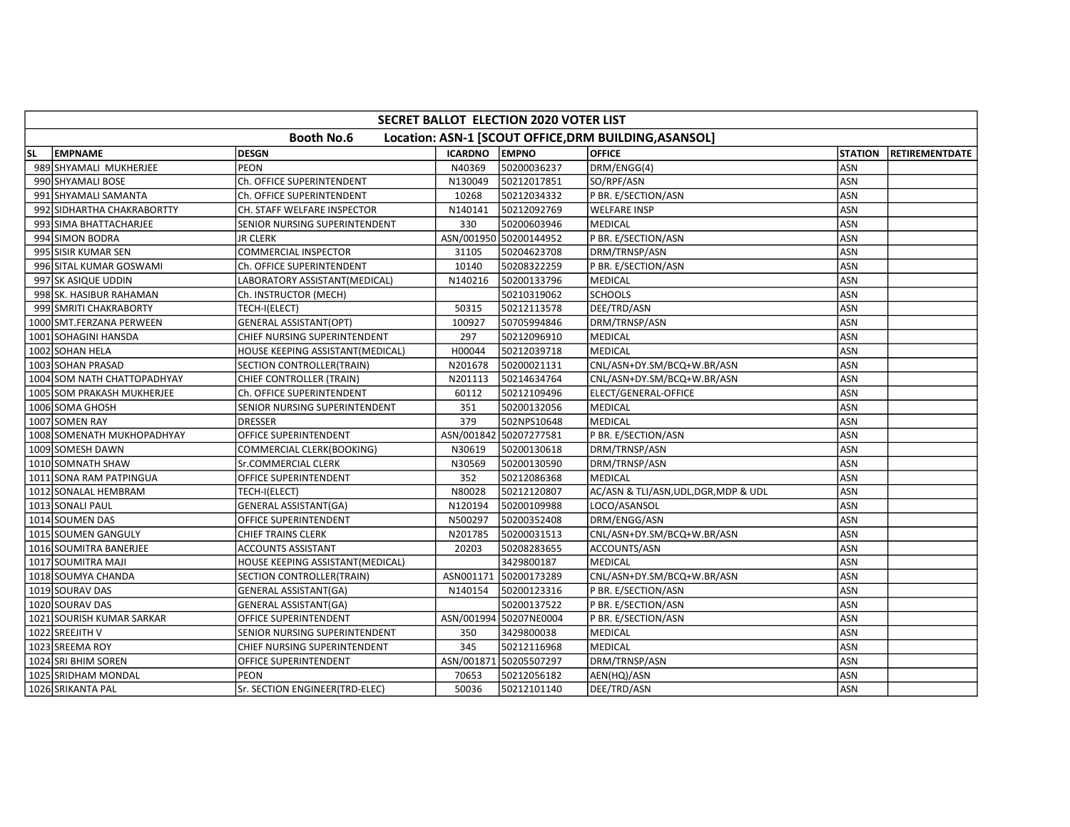| SECRET BALLOT ELECTION 2020 VOTER LIST                                     |                             |                                  |                      |                        |                                       |                |                |  |  |  |
|----------------------------------------------------------------------------|-----------------------------|----------------------------------|----------------------|------------------------|---------------------------------------|----------------|----------------|--|--|--|
| <b>Booth No.6</b><br>Location: ASN-1 [SCOUT OFFICE, DRM BUILDING, ASANSOL] |                             |                                  |                      |                        |                                       |                |                |  |  |  |
| <b>SL</b>                                                                  | EMPNAME                     | <b>DESGN</b>                     | <b>ICARDNO EMPNO</b> |                        | <b>OFFICE</b>                         | <b>STATION</b> | RETIREMENTDATE |  |  |  |
|                                                                            | 989 SHYAMALI MUKHERJEE      | PEON                             | N40369               | 50200036237            | DRM/ENGG(4)                           | ASN            |                |  |  |  |
|                                                                            | 990 SHYAMALI BOSE           | Ch. OFFICE SUPERINTENDENT        | N130049              | 50212017851            | SO/RPF/ASN                            | ASN            |                |  |  |  |
|                                                                            | 991 SHYAMALI SAMANTA        | Ch. OFFICE SUPERINTENDENT        | 10268                | 50212034332            | P BR. E/SECTION/ASN                   | ASN            |                |  |  |  |
|                                                                            | 992 SIDHARTHA CHAKRABORTTY  | CH. STAFF WELFARE INSPECTOR      | N140141              | 50212092769            | <b>WELFARE INSP</b>                   | ASN            |                |  |  |  |
|                                                                            | 993 SIMA BHATTACHARJEE      | SENIOR NURSING SUPERINTENDENT    | 330                  | 50200603946            | <b>MEDICAL</b>                        | ASN            |                |  |  |  |
|                                                                            | 994 SIMON BODRA             | JR CLERK                         |                      | ASN/001950 50200144952 | P BR. E/SECTION/ASN                   | ASN            |                |  |  |  |
|                                                                            | 995 SISIR KUMAR SEN         | COMMERCIAL INSPECTOR             | 31105                | 50204623708            | DRM/TRNSP/ASN                         | ASN            |                |  |  |  |
|                                                                            | 996 SITAL KUMAR GOSWAMI     | Ch. OFFICE SUPERINTENDENT        | 10140                | 50208322259            | P BR. E/SECTION/ASN                   | ASN            |                |  |  |  |
|                                                                            | 997 SK ASIQUE UDDIN         | LABORATORY ASSISTANT(MEDICAL)    | N140216              | 50200133796            | MEDICAL                               | ASN            |                |  |  |  |
|                                                                            | 998 SK. HASIBUR RAHAMAN     | Ch. INSTRUCTOR (MECH)            |                      | 50210319062            | <b>SCHOOLS</b>                        | <b>ASN</b>     |                |  |  |  |
|                                                                            | 999 SMRITI CHAKRABORTY      | TECH-I(ELECT)                    | 50315                | 50212113578            | DEE/TRD/ASN                           | ASN            |                |  |  |  |
|                                                                            | 1000 SMT.FERZANA PERWEEN    | <b>GENERAL ASSISTANT(OPT)</b>    | 100927               | 50705994846            | DRM/TRNSP/ASN                         | ASN            |                |  |  |  |
|                                                                            | 1001 SOHAGINI HANSDA        | CHIEF NURSING SUPERINTENDENT     | 297                  | 50212096910            | MEDICAL                               | ASN            |                |  |  |  |
|                                                                            | 1002 SOHAN HELA             | HOUSE KEEPING ASSISTANT(MEDICAL) | H00044               | 50212039718            | <b>MEDICAL</b>                        | ASN            |                |  |  |  |
|                                                                            | 1003 SOHAN PRASAD           | SECTION CONTROLLER(TRAIN)        | N201678              | 50200021131            | CNL/ASN+DY.SM/BCQ+W.BR/ASN            | ASN            |                |  |  |  |
|                                                                            | 1004 SOM NATH CHATTOPADHYAY | CHIEF CONTROLLER (TRAIN)         | N201113              | 50214634764            | CNL/ASN+DY.SM/BCQ+W.BR/ASN            | ASN            |                |  |  |  |
|                                                                            | 1005 SOM PRAKASH MUKHERJEE  | Ch. OFFICE SUPERINTENDENT        | 60112                | 50212109496            | ELECT/GENERAL-OFFICE                  | ASN            |                |  |  |  |
|                                                                            | 1006 SOMA GHOSH             | SENIOR NURSING SUPERINTENDENT    | 351                  | 50200132056            | <b>MEDICAL</b>                        | ASN            |                |  |  |  |
|                                                                            | 1007 SOMEN RAY              | <b>DRESSER</b>                   | 379                  | 502NPS10648            | MEDICAL                               | ASN            |                |  |  |  |
|                                                                            | 1008 SOMENATH MUKHOPADHYAY  | OFFICE SUPERINTENDENT            | ASN/001842           | 50207277581            | P BR. E/SECTION/ASN                   | ASN            |                |  |  |  |
|                                                                            | 1009 SOMESH DAWN            | COMMERCIAL CLERK(BOOKING)        | N30619               | 50200130618            | DRM/TRNSP/ASN                         | ASN            |                |  |  |  |
|                                                                            | 1010 SOMNATH SHAW           | Sr.COMMERCIAL CLERK              | N30569               | 50200130590            | DRM/TRNSP/ASN                         | ASN            |                |  |  |  |
|                                                                            | 1011 SONA RAM PATPINGUA     | OFFICE SUPERINTENDENT            | 352                  | 50212086368            | MEDICAL                               | ASN            |                |  |  |  |
|                                                                            | 1012 SONALAL HEMBRAM        | TECH-I(ELECT)                    | N80028               | 50212120807            | AC/ASN & TLI/ASN, UDL, DGR, MDP & UDL | ASN            |                |  |  |  |
|                                                                            | 1013 SONALI PAUL            | GENERAL ASSISTANT(GA)            | N120194              | 50200109988            | LOCO/ASANSOL                          | ASN            |                |  |  |  |
|                                                                            | 1014 SOUMEN DAS             | OFFICE SUPERINTENDENT            | N500297              | 50200352408            | DRM/ENGG/ASN                          | ASN            |                |  |  |  |
|                                                                            | 1015 SOUMEN GANGULY         | <b>CHIEF TRAINS CLERK</b>        | N201785              | 50200031513            | CNL/ASN+DY.SM/BCQ+W.BR/ASN            | ASN            |                |  |  |  |
|                                                                            | 1016 SOUMITRA BANERJEE      | ACCOUNTS ASSISTANT               | 20203                | 50208283655            | ACCOUNTS/ASN                          | ASN            |                |  |  |  |
|                                                                            | 1017 SOUMITRA MAJI          | HOUSE KEEPING ASSISTANT(MEDICAL) |                      | 3429800187             | MEDICAL                               | ASN            |                |  |  |  |
|                                                                            | 1018 SOUMYA CHANDA          | SECTION CONTROLLER(TRAIN)        | ASN001171            | 50200173289            | CNL/ASN+DY.SM/BCQ+W.BR/ASN            | ASN            |                |  |  |  |
|                                                                            | 1019 SOURAV DAS             | <b>GENERAL ASSISTANT(GA)</b>     | N140154              | 50200123316            | P BR. E/SECTION/ASN                   | ASN            |                |  |  |  |
|                                                                            | 1020 SOURAV DAS             | <b>GENERAL ASSISTANT(GA)</b>     |                      | 50200137522            | P BR. E/SECTION/ASN                   | ASN            |                |  |  |  |
|                                                                            | 1021 SOURISH KUMAR SARKAR   | OFFICE SUPERINTENDENT            |                      | ASN/001994 50207NE0004 | P BR. E/SECTION/ASN                   | ASN            |                |  |  |  |
|                                                                            | 1022 SREEJITH V             | SENIOR NURSING SUPERINTENDENT    | 350                  | 3429800038             | MEDICAL                               | <b>ASN</b>     |                |  |  |  |
|                                                                            | 1023 SREEMA ROY             | CHIEF NURSING SUPERINTENDENT     | 345                  | 50212116968            | <b>MEDICAL</b>                        | ASN            |                |  |  |  |
|                                                                            | 1024 SRI BHIM SOREN         | OFFICE SUPERINTENDENT            | ASN/001871           | 50205507297            | DRM/TRNSP/ASN                         | ASN            |                |  |  |  |
|                                                                            | 1025 SRIDHAM MONDAL         | PEON                             | 70653                | 50212056182            | AEN(HQ)/ASN                           | ASN            |                |  |  |  |
|                                                                            | 1026 SRIKANTA PAL           | Sr. SECTION ENGINEER(TRD-ELEC)   | 50036                | 50212101140            | DEE/TRD/ASN                           | ASN            |                |  |  |  |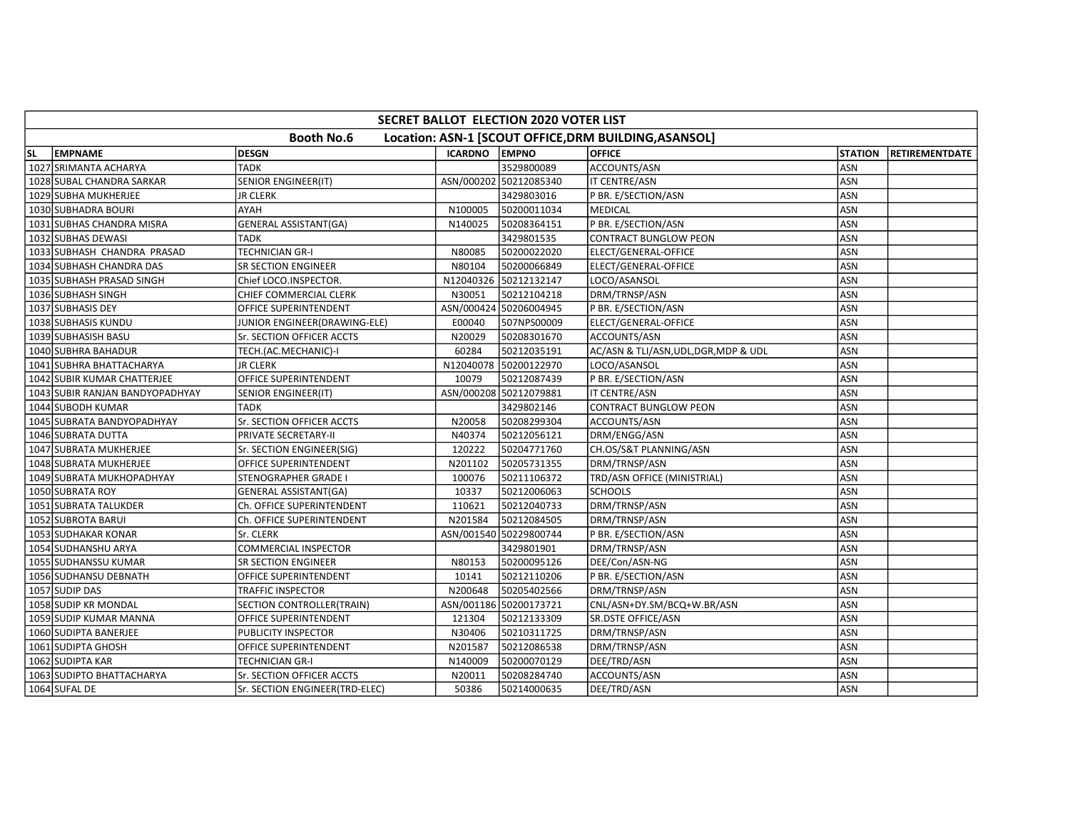|           | SECRET BALLOT ELECTION 2020 VOTER LIST                                     |                                |                      |                        |                                       |                |                |  |  |  |
|-----------|----------------------------------------------------------------------------|--------------------------------|----------------------|------------------------|---------------------------------------|----------------|----------------|--|--|--|
|           | <b>Booth No.6</b><br>Location: ASN-1 [SCOUT OFFICE, DRM BUILDING, ASANSOL] |                                |                      |                        |                                       |                |                |  |  |  |
| <b>SL</b> | <b>EMPNAME</b>                                                             | <b>DESGN</b>                   | <b>ICARDNO EMPNO</b> |                        | <b>OFFICE</b>                         | <b>STATION</b> | RETIREMENTDATE |  |  |  |
|           | 1027 SRIMANTA ACHARYA                                                      | <b>TADK</b>                    |                      | 3529800089             | ACCOUNTS/ASN                          | ASN            |                |  |  |  |
|           | 1028 SUBAL CHANDRA SARKAR                                                  | <b>SENIOR ENGINEER(IT)</b>     |                      | ASN/000202 50212085340 | IT CENTRE/ASN                         | <b>ASN</b>     |                |  |  |  |
|           | 1029 SUBHA MUKHERJEE                                                       | <b>JR CLERK</b>                |                      | 3429803016             | P BR. E/SECTION/ASN                   | ASN            |                |  |  |  |
|           | 1030 SUBHADRA BOURI                                                        | AYAH                           | N100005              | 50200011034            | MEDICAL                               | ASN            |                |  |  |  |
|           | 1031 SUBHAS CHANDRA MISRA                                                  | <b>GENERAL ASSISTANT(GA)</b>   | N140025              | 50208364151            | P BR. E/SECTION/ASN                   | <b>ASN</b>     |                |  |  |  |
|           | 1032 SUBHAS DEWASI                                                         | <b>TADK</b>                    |                      | 3429801535             | <b>CONTRACT BUNGLOW PEON</b>          | ASN            |                |  |  |  |
|           | 1033 SUBHASH CHANDRA PRASAD                                                | <b>TECHNICIAN GR-I</b>         | N80085               | 50200022020            | ELECT/GENERAL-OFFICE                  | ASN            |                |  |  |  |
|           | 1034 SUBHASH CHANDRA DAS                                                   | <b>SR SECTION ENGINEER</b>     | N80104               | 50200066849            | ELECT/GENERAL-OFFICE                  | ASN            |                |  |  |  |
|           | 1035 SUBHASH PRASAD SINGH                                                  | Chief LOCO.INSPECTOR.          |                      | N12040326 50212132147  | LOCO/ASANSOL                          | <b>ASN</b>     |                |  |  |  |
|           | 1036 SUBHASH SINGH                                                         | CHIEF COMMERCIAL CLERK         | N30051               | 50212104218            | DRM/TRNSP/ASN                         | <b>ASN</b>     |                |  |  |  |
|           | 1037 SUBHASIS DEY                                                          | OFFICE SUPERINTENDENT          |                      | ASN/000424 50206004945 | P BR. E/SECTION/ASN                   | ASN            |                |  |  |  |
|           | 1038 SUBHASIS KUNDU                                                        | JUNIOR ENGINEER(DRAWING-ELE)   | E00040               | 507NPS00009            | ELECT/GENERAL-OFFICE                  | ASN            |                |  |  |  |
|           | 1039 SUBHASISH BASU                                                        | Sr. SECTION OFFICER ACCTS      | N20029               | 50208301670            | ACCOUNTS/ASN                          | <b>ASN</b>     |                |  |  |  |
|           | 1040 SUBHRA BAHADUR                                                        | TECH.(AC.MECHANIC)-I           | 60284                | 50212035191            | AC/ASN & TLI/ASN, UDL, DGR, MDP & UDL | <b>ASN</b>     |                |  |  |  |
|           | 1041 SUBHRA BHATTACHARYA                                                   | <b>JR CLERK</b>                |                      | N12040078 50200122970  | LOCO/ASANSOL                          | <b>ASN</b>     |                |  |  |  |
|           | 1042 SUBIR KUMAR CHATTERJEE                                                | OFFICE SUPERINTENDENT          | 10079                | 50212087439            | P BR. E/SECTION/ASN                   | ASN            |                |  |  |  |
|           | 1043 SUBIR RANJAN BANDYOPADHYAY                                            | <b>SENIOR ENGINEER(IT)</b>     |                      | ASN/000208 50212079881 | IT CENTRE/ASN                         | ASN            |                |  |  |  |
|           | 1044 SUBODH KUMAR                                                          | TADK                           |                      | 3429802146             | <b>CONTRACT BUNGLOW PEON</b>          | ASN            |                |  |  |  |
|           | 1045 SUBRATA BANDYOPADHYAY                                                 | Sr. SECTION OFFICER ACCTS      | N20058               | 50208299304            | ACCOUNTS/ASN                          | ASN            |                |  |  |  |
|           | 1046 SUBRATA DUTTA                                                         | PRIVATE SECRETARY-II           | N40374               | 50212056121            | DRM/ENGG/ASN                          | <b>ASN</b>     |                |  |  |  |
|           | 1047 SUBRATA MUKHERJEE                                                     | Sr. SECTION ENGINEER(SIG)      | 120222               | 50204771760            | CH.OS/S&T PLANNING/ASN                | <b>ASN</b>     |                |  |  |  |
|           | 1048 SUBRATA MUKHERJEE                                                     | OFFICE SUPERINTENDENT          | N201102              | 50205731355            | DRM/TRNSP/ASN                         | ASN            |                |  |  |  |
|           | 1049 SUBRATA MUKHOPADHYAY                                                  | STENOGRAPHER GRADE I           | 100076               | 50211106372            | TRD/ASN OFFICE (MINISTRIAL)           | ASN            |                |  |  |  |
|           | 1050 SUBRATA ROY                                                           | <b>GENERAL ASSISTANT(GA)</b>   | 10337                | 50212006063            | <b>SCHOOLS</b>                        | <b>ASN</b>     |                |  |  |  |
|           | 1051 SUBRATA TALUKDER                                                      | Ch. OFFICE SUPERINTENDENT      | 110621               | 50212040733            | DRM/TRNSP/ASN                         | ASN            |                |  |  |  |
|           | 1052 SUBROTA BARUI                                                         | Ch. OFFICE SUPERINTENDENT      | N201584              | 50212084505            | DRM/TRNSP/ASN                         | <b>ASN</b>     |                |  |  |  |
|           | 1053 SUDHAKAR KONAR                                                        | Sr. CLERK                      |                      | ASN/001540 50229800744 | P BR. E/SECTION/ASN                   | ASN            |                |  |  |  |
|           | 1054 SUDHANSHU ARYA                                                        | COMMERCIAL INSPECTOR           |                      | 3429801901             | DRM/TRNSP/ASN                         | ASN            |                |  |  |  |
|           | 1055 SUDHANSSU KUMAR                                                       | SR SECTION ENGINEER            | N80153               | 50200095126            | DEE/Con/ASN-NG                        | <b>ASN</b>     |                |  |  |  |
|           | 1056 SUDHANSU DEBNATH                                                      | OFFICE SUPERINTENDENT          | 10141                | 50212110206            | P BR. E/SECTION/ASN                   | ASN            |                |  |  |  |
|           | 1057 SUDIP DAS                                                             | TRAFFIC INSPECTOR              | N200648              | 50205402566            | DRM/TRNSP/ASN                         | ASN            |                |  |  |  |
|           | 1058 SUDIP KR MONDAL                                                       | SECTION CONTROLLER(TRAIN)      |                      | ASN/001186 50200173721 | CNL/ASN+DY.SM/BCQ+W.BR/ASN            | ASN            |                |  |  |  |
|           | 1059 SUDIP KUMAR MANNA                                                     | OFFICE SUPERINTENDENT          | 121304               | 50212133309            | <b>SR.DSTE OFFICE/ASN</b>             | ASN            |                |  |  |  |
|           | 1060 SUDIPTA BANERJEE                                                      | PUBLICITY INSPECTOR            | N30406               | 50210311725            | DRM/TRNSP/ASN                         | ASN            |                |  |  |  |
|           | 1061 SUDIPTA GHOSH                                                         | OFFICE SUPERINTENDENT          | N201587              | 50212086538            | DRM/TRNSP/ASN                         | ASN            |                |  |  |  |
|           | 1062 SUDIPTA KAR                                                           | TECHNICIAN GR-I                | N140009              | 50200070129            | DEE/TRD/ASN                           | ASN            |                |  |  |  |
|           | 1063 SUDIPTO BHATTACHARYA                                                  | Sr. SECTION OFFICER ACCTS      | N20011               | 50208284740            | ACCOUNTS/ASN                          | ASN            |                |  |  |  |
|           | 1064 SUFAL DE                                                              | Sr. SECTION ENGINEER(TRD-ELEC) | 50386                | 50214000635            | DEE/TRD/ASN                           | ASN            |                |  |  |  |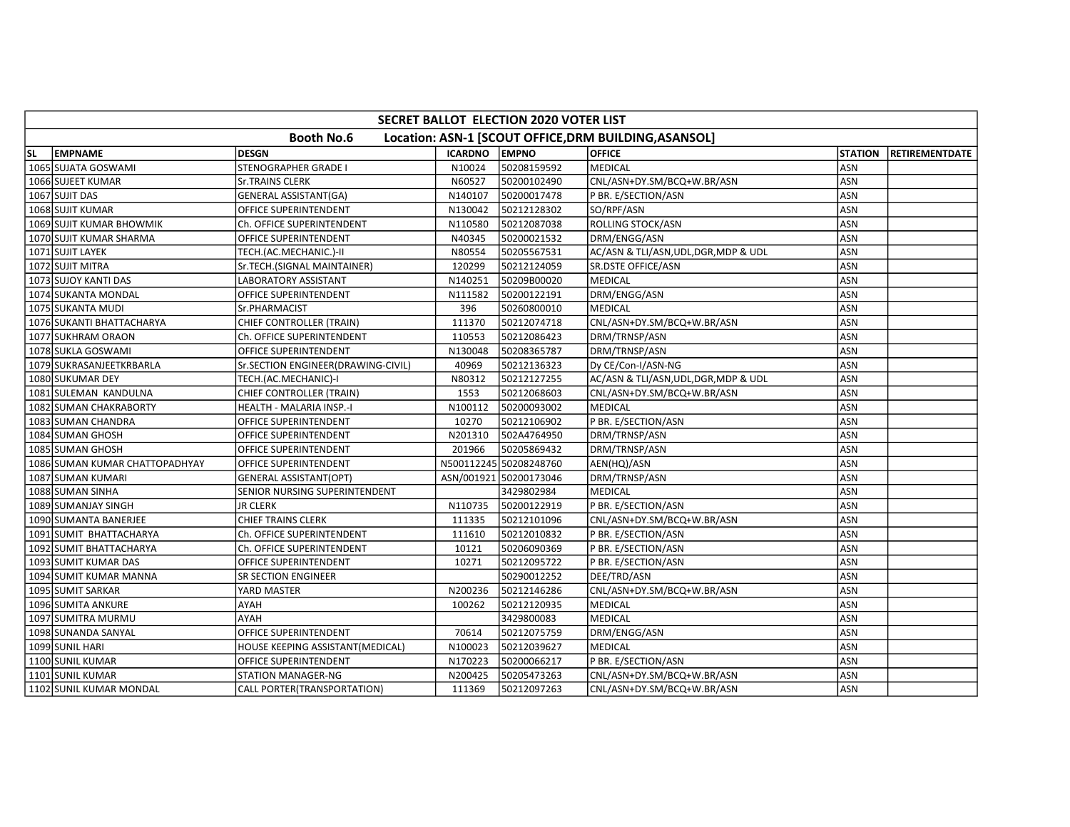|                                                                            | SECRET BALLOT ELECTION 2020 VOTER LIST |                                    |                |                        |                                       |                |                        |  |  |  |
|----------------------------------------------------------------------------|----------------------------------------|------------------------------------|----------------|------------------------|---------------------------------------|----------------|------------------------|--|--|--|
| <b>Booth No.6</b><br>Location: ASN-1 [SCOUT OFFICE, DRM BUILDING, ASANSOL] |                                        |                                    |                |                        |                                       |                |                        |  |  |  |
| SL.                                                                        | <b>EMPNAME</b>                         | <b>DESGN</b>                       | <b>ICARDNO</b> | <b>EMPNO</b>           | <b>OFFICE</b>                         | <b>STATION</b> | <b>IRETIREMENTDATE</b> |  |  |  |
|                                                                            | 1065 SUJATA GOSWAMI                    | <b>STENOGRAPHER GRADE I</b>        | N10024         | 50208159592            | <b>MEDICAL</b>                        | ASN            |                        |  |  |  |
|                                                                            | 1066 SUJEET KUMAR                      | <b>Sr.TRAINS CLERK</b>             | N60527         | 50200102490            | CNL/ASN+DY.SM/BCQ+W.BR/ASN            | ASN            |                        |  |  |  |
|                                                                            | 1067 SUJIT DAS                         | <b>GENERAL ASSISTANT(GA)</b>       | N140107        | 50200017478            | P BR. E/SECTION/ASN                   | ASN            |                        |  |  |  |
|                                                                            | 1068 SUJIT KUMAR                       | OFFICE SUPERINTENDENT              | N130042        | 50212128302            | SO/RPF/ASN                            | ASN            |                        |  |  |  |
|                                                                            | 1069 SUJIT KUMAR BHOWMIK               | Ch. OFFICE SUPERINTENDENT          | N110580        | 50212087038            | ROLLING STOCK/ASN                     | ASN            |                        |  |  |  |
|                                                                            | 1070 SUJIT KUMAR SHARMA                | OFFICE SUPERINTENDENT              | N40345         | 50200021532            | DRM/ENGG/ASN                          | ASN            |                        |  |  |  |
|                                                                            | 1071 SUJIT LAYEK                       | TECH.(AC.MECHANIC.)-II             | N80554         | 50205567531            | AC/ASN & TLI/ASN, UDL, DGR, MDP & UDL | ASN            |                        |  |  |  |
|                                                                            | 1072 SUJIT MITRA                       | Sr.TECH.(SIGNAL MAINTAINER)        | 120299         | 50212124059            | SR.DSTE OFFICE/ASN                    | ASN            |                        |  |  |  |
|                                                                            | 1073 SUJOY KANTI DAS                   | LABORATORY ASSISTANT               | N140251        | 50209B00020            | MEDICAL                               | ASN            |                        |  |  |  |
|                                                                            | 1074 SUKANTA MONDAL                    | OFFICE SUPERINTENDENT              | N111582        | 50200122191            | DRM/ENGG/ASN                          | ASN            |                        |  |  |  |
|                                                                            | 1075 SUKANTA MUDI                      | Sr.PHARMACIST                      | 396            | 50260800010            | <b>MEDICAL</b>                        | ASN            |                        |  |  |  |
|                                                                            | 1076 SUKANTI BHATTACHARYA              | CHIEF CONTROLLER (TRAIN)           | 111370         | 50212074718            | CNL/ASN+DY.SM/BCQ+W.BR/ASN            | ASN            |                        |  |  |  |
|                                                                            | 1077 SUKHRAM ORAON                     | Ch. OFFICE SUPERINTENDENT          | 110553         | 50212086423            | DRM/TRNSP/ASN                         | ASN            |                        |  |  |  |
|                                                                            | 1078 SUKLA GOSWAMI                     | OFFICE SUPERINTENDENT              | N130048        | 50208365787            | DRM/TRNSP/ASN                         | <b>ASN</b>     |                        |  |  |  |
|                                                                            | 1079 SUKRASANJE ETKRBARLA              | Sr.SECTION ENGINEER(DRAWING-CIVIL) | 40969          | 50212136323            | Dy CE/Con-I/ASN-NG                    | <b>ASN</b>     |                        |  |  |  |
|                                                                            | 1080 SUKUMAR DEY                       | TECH.(AC.MECHANIC)-I               | N80312         | 50212127255            | AC/ASN & TLI/ASN, UDL, DGR, MDP & UDL | ASN            |                        |  |  |  |
|                                                                            | 1081 SULEMAN KANDULNA                  | CHIEF CONTROLLER (TRAIN)           | 1553           | 50212068603            | CNL/ASN+DY.SM/BCQ+W.BR/ASN            | ASN            |                        |  |  |  |
|                                                                            | 1082 SUMAN CHAKRABORTY                 | HEALTH - MALARIA INSP.-I           | N100112        | 50200093002            | MEDICAL                               | ASN            |                        |  |  |  |
|                                                                            | 1083 SUMAN CHANDRA                     | OFFICE SUPERINTENDENT              | 10270          | 50212106902            | P BR. E/SECTION/ASN                   | ASN            |                        |  |  |  |
|                                                                            | 1084 SUMAN GHOSH                       | OFFICE SUPERINTENDENT              | N201310        | 502A4764950            | DRM/TRNSP/ASN                         | ASN            |                        |  |  |  |
|                                                                            | 1085 SUMAN GHOSH                       | OFFICE SUPERINTENDENT              | 201966         | 50205869432            | DRM/TRNSP/ASN                         | ASN            |                        |  |  |  |
|                                                                            | 1086 SUMAN KUMAR CHATTOPADHYAY         | OFFICE SUPERINTENDENT              |                | N500112245 50208248760 | AEN(HQ)/ASN                           | ASN            |                        |  |  |  |
|                                                                            | 1087 SUMAN KUMARI                      | GENERAL ASSISTANT(OPT)             |                | ASN/001921 50200173046 | DRM/TRNSP/ASN                         | ASN            |                        |  |  |  |
|                                                                            | 1088 SUMAN SINHA                       | SENIOR NURSING SUPERINTENDENT      |                | 3429802984             | MEDICAL                               | ASN            |                        |  |  |  |
|                                                                            | 1089 SUMANJAY SINGH                    | <b>JR CLERK</b>                    | N110735        | 50200122919            | P BR. E/SECTION/ASN                   | ASN            |                        |  |  |  |
|                                                                            | 1090 SUMANTA BANERJEE                  | <b>CHIEF TRAINS CLERK</b>          | 111335         | 50212101096            | CNL/ASN+DY.SM/BCQ+W.BR/ASN            | ASN            |                        |  |  |  |
|                                                                            | 1091 SUMIT BHATTACHARYA                | Ch. OFFICE SUPERINTENDENT          | 111610         | 50212010832            | P BR. E/SECTION/ASN                   | ASN            |                        |  |  |  |
|                                                                            | 1092 SUMIT BHATTACHARYA                | Ch. OFFICE SUPERINTENDENT          | 10121          | 50206090369            | P BR. E/SECTION/ASN                   | ASN            |                        |  |  |  |
|                                                                            | 1093 SUMIT KUMAR DAS                   | OFFICE SUPERINTENDENT              | 10271          | 50212095722            | P BR. E/SECTION/ASN                   | ASN            |                        |  |  |  |
|                                                                            | 1094 SUMIT KUMAR MANNA                 | SR SECTION ENGINEER                |                | 50290012252            | DEE/TRD/ASN                           | ASN            |                        |  |  |  |
|                                                                            | 1095 SUMIT SARKAR                      | YARD MASTER                        | N200236        | 50212146286            | CNL/ASN+DY.SM/BCQ+W.BR/ASN            | ASN            |                        |  |  |  |
|                                                                            | 1096 SUMITA ANKURE                     | AYAH                               | 100262         | 50212120935            | <b>MEDICAL</b>                        | ASN            |                        |  |  |  |
|                                                                            | 1097 SUMITRA MURMU                     | AYAH                               |                | 3429800083             | MEDICAL                               | ASN            |                        |  |  |  |
|                                                                            | 1098 SUNANDA SANYAL                    | OFFICE SUPERINTENDENT              | 70614          | 50212075759            | DRM/ENGG/ASN                          | ASN            |                        |  |  |  |
|                                                                            | 1099 SUNIL HARI                        | HOUSE KEEPING ASSISTANT(MEDICAL)   | N100023        | 50212039627            | <b>MEDICAL</b>                        | ASN            |                        |  |  |  |
|                                                                            | 1100 SUNIL KUMAR                       | OFFICE SUPERINTENDENT              | N170223        | 50200066217            | P BR. E/SECTION/ASN                   | ASN            |                        |  |  |  |
|                                                                            | 1101 SUNIL KUMAR                       | <b>STATION MANAGER-NG</b>          | N200425        | 50205473263            | CNL/ASN+DY.SM/BCQ+W.BR/ASN            | ASN            |                        |  |  |  |
|                                                                            | 1102 SUNIL KUMAR MONDAL                | CALL PORTER(TRANSPORTATION)        | 111369         | 50212097263            | CNL/ASN+DY.SM/BCQ+W.BR/ASN            | ASN            |                        |  |  |  |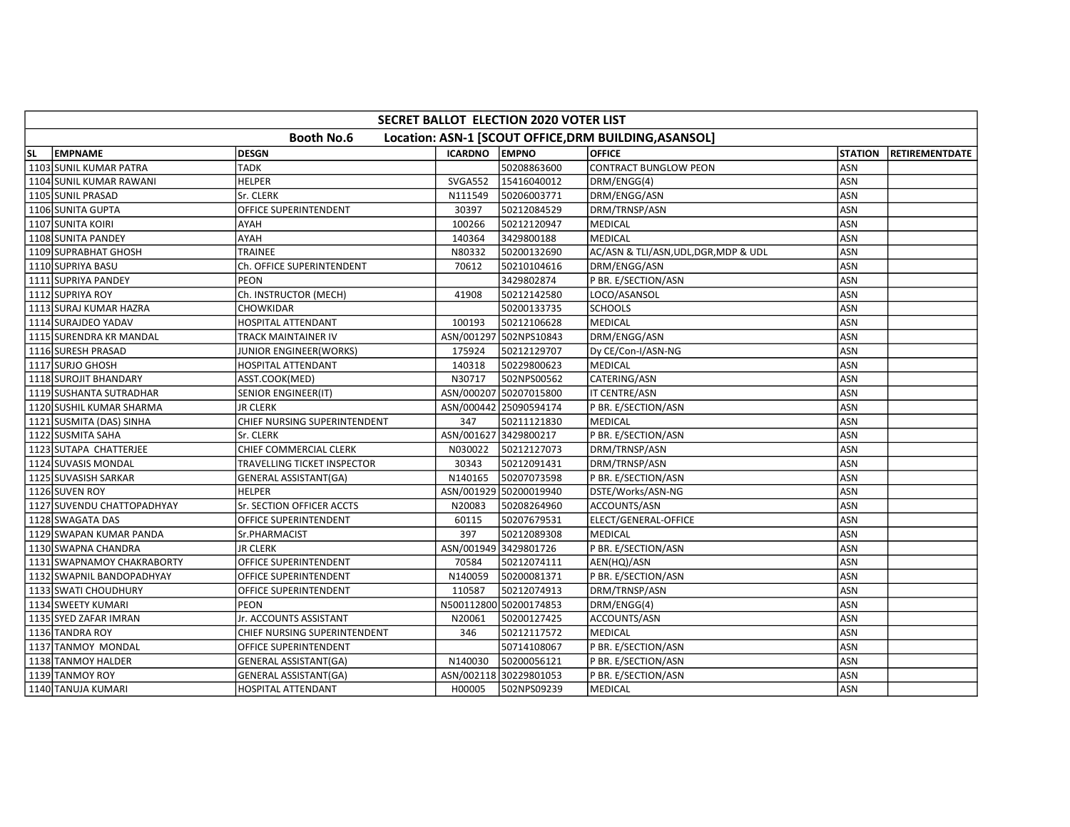| <b>SECRET BALLOT ELECTION 2020 VOTER LIST</b>                              |  |                               |                       |                        |                                       |                |                        |  |  |  |
|----------------------------------------------------------------------------|--|-------------------------------|-----------------------|------------------------|---------------------------------------|----------------|------------------------|--|--|--|
| <b>Booth No.6</b><br>Location: ASN-1 [SCOUT OFFICE, DRM BUILDING, ASANSOL] |  |                               |                       |                        |                                       |                |                        |  |  |  |
| <b>EMPNAME</b><br>SL.                                                      |  | <b>DESGN</b>                  | <b>ICARDNO EMPNO</b>  |                        | <b>OFFICE</b>                         | <b>STATION</b> | <b>IRETIREMENTDATE</b> |  |  |  |
| 1103 SUNIL KUMAR PATRA                                                     |  | <b>TADK</b>                   |                       | 50208863600            | <b>CONTRACT BUNGLOW PEON</b>          | ASN            |                        |  |  |  |
| 1104 SUNIL KUMAR RAWANI                                                    |  | <b>HELPER</b>                 | SVGA552               | 15416040012            | DRM/ENGG(4)                           | ASN            |                        |  |  |  |
| 1105 SUNIL PRASAD                                                          |  | Sr. CLERK                     | N111549               | 50206003771            | DRM/ENGG/ASN                          | ASN            |                        |  |  |  |
| 1106 SUNITA GUPTA                                                          |  | OFFICE SUPERINTENDENT         | 30397                 | 50212084529            | DRM/TRNSP/ASN                         | ASN            |                        |  |  |  |
| 1107 SUNITA KOIRI                                                          |  | AYAH                          | 100266                | 50212120947            | <b>MEDICAL</b>                        | ASN            |                        |  |  |  |
| 1108 SUNITA PANDEY                                                         |  | AYAH                          | 140364                | 3429800188             | <b>MEDICAL</b>                        | ASN            |                        |  |  |  |
| 1109 SUPRABHAT GHOSH                                                       |  | <b>TRAINEE</b>                | N80332                | 50200132690            | AC/ASN & TLI/ASN, UDL, DGR, MDP & UDL | ASN            |                        |  |  |  |
| 1110 SUPRIYA BASU                                                          |  | Ch. OFFICE SUPERINTENDENT     | 70612                 | 50210104616            | DRM/ENGG/ASN                          | ASN            |                        |  |  |  |
| 1111 SUPRIYA PANDEY                                                        |  | PEON                          |                       | 3429802874             | P BR. E/SECTION/ASN                   | ASN            |                        |  |  |  |
| 1112 SUPRIYA ROY                                                           |  | Ch. INSTRUCTOR (MECH)         | 41908                 | 50212142580            | LOCO/ASANSOL                          | ASN            |                        |  |  |  |
| 1113 SURAJ KUMAR HAZRA                                                     |  | CHOWKIDAR                     |                       | 50200133735            | <b>SCHOOLS</b>                        | ASN            |                        |  |  |  |
| 1114 SURAJDEO YADAV                                                        |  | HOSPITAL ATTENDANT            | 100193                | 50212106628            | <b>MEDICAL</b>                        | ASN            |                        |  |  |  |
| 1115 SURENDRA KR MANDAL                                                    |  | TRACK MAINTAINER IV           |                       | ASN/001297 502NPS10843 | DRM/ENGG/ASN                          | ASN            |                        |  |  |  |
| 1116 SURESH PRASAD                                                         |  | <b>JUNIOR ENGINEER(WORKS)</b> | 175924                | 50212129707            | Dy CE/Con-I/ASN-NG                    | ASN            |                        |  |  |  |
| 1117 SURJO GHOSH                                                           |  | <b>HOSPITAL ATTENDANT</b>     | 140318                | 50229800623            | <b>MEDICAL</b>                        | <b>ASN</b>     |                        |  |  |  |
| 1118 SUROJIT BHANDARY                                                      |  | ASST.COOK(MED)                | N30717                | 502NPS00562            | CATERING/ASN                          | ASN            |                        |  |  |  |
| 1119 SUSHANTA SUTRADHAR                                                    |  | SENIOR ENGINEER(IT)           |                       | ASN/000207 50207015800 | IT CENTRE/ASN                         | ASN            |                        |  |  |  |
| 1120 SUSHIL KUMAR SHARMA                                                   |  | <b>JR CLERK</b>               |                       | ASN/000442 25090594174 | P BR. E/SECTION/ASN                   | ASN            |                        |  |  |  |
| 1121 SUSMITA (DAS) SINHA                                                   |  | CHIEF NURSING SUPERINTENDENT  | 347                   | 50211121830            | <b>MEDICAL</b>                        | ASN            |                        |  |  |  |
| 1122 SUSMITA SAHA                                                          |  | Sr. CLERK                     | ASN/001627 3429800217 |                        | P BR. E/SECTION/ASN                   | ASN            |                        |  |  |  |
| 1123 SUTAPA CHATTERJEE                                                     |  | CHIEF COMMERCIAL CLERK        | N030022               | 50212127073            | DRM/TRNSP/ASN                         | ASN            |                        |  |  |  |
| 1124 SUVASIS MONDAL                                                        |  | TRAVELLING TICKET INSPECTOR   | 30343                 | 50212091431            | DRM/TRNSP/ASN                         | ASN            |                        |  |  |  |
| 1125 SUVASISH SARKAR                                                       |  | <b>GENERAL ASSISTANT(GA)</b>  | N140165               | 50207073598            | P BR. E/SECTION/ASN                   | ASN            |                        |  |  |  |
| 1126 SUVEN ROY                                                             |  | <b>HELPER</b>                 |                       | ASN/001929 50200019940 | DSTE/Works/ASN-NG                     | ASN            |                        |  |  |  |
| 1127 SUVENDU CHATTOPADHYAY                                                 |  | Sr. SECTION OFFICER ACCTS     | N20083                | 50208264960            | ACCOUNTS/ASN                          | ASN            |                        |  |  |  |
| 1128 SWAGATA DAS                                                           |  | OFFICE SUPERINTENDENT         | 60115                 | 50207679531            | ELECT/GENERAL-OFFICE                  | ASN            |                        |  |  |  |
| 1129 SWAPAN KUMAR PANDA                                                    |  | Sr.PHARMACIST                 | 397                   | 50212089308            | <b>MEDICAL</b>                        | ASN            |                        |  |  |  |
| 1130 SWAPNA CHANDRA                                                        |  | <b>JR CLERK</b>               |                       | ASN/001949 3429801726  | P BR. E/SECTION/ASN                   | ASN            |                        |  |  |  |
| 1131 SWAPNAMOY CHAKRABORTY                                                 |  | OFFICE SUPERINTENDENT         | 70584                 | 50212074111            | AEN(HQ)/ASN                           | ASN            |                        |  |  |  |
| 1132 SWAPNIL BANDOPADHYAY                                                  |  | OFFICE SUPERINTENDENT         | N140059               | 50200081371            | P BR. E/SECTION/ASN                   | ASN            |                        |  |  |  |
| 1133 SWATI CHOUDHURY                                                       |  | OFFICE SUPERINTENDENT         | 110587                | 50212074913            | DRM/TRNSP/ASN                         | ASN            |                        |  |  |  |
| 1134 SWEETY KUMARI                                                         |  | PEON                          |                       | N500112800 50200174853 | DRM/ENGG(4)                           | ASN            |                        |  |  |  |
| 1135 SYED ZAFAR IMRAN                                                      |  | Jr. ACCOUNTS ASSISTANT        | N20061                | 50200127425            | ACCOUNTS/ASN                          | ASN            |                        |  |  |  |
| 1136 TANDRA ROY                                                            |  | CHIEF NURSING SUPERINTENDENT  | 346                   | 50212117572            | <b>MEDICAL</b>                        | ASN            |                        |  |  |  |
| 1137 TANMOY MONDAL                                                         |  | OFFICE SUPERINTENDENT         |                       | 50714108067            | P BR. E/SECTION/ASN                   | ASN            |                        |  |  |  |
| 1138 TANMOY HALDER                                                         |  | <b>GENERAL ASSISTANT(GA)</b>  | N140030               | 50200056121            | P BR. E/SECTION/ASN                   | ASN            |                        |  |  |  |
| 1139 TANMOY ROY                                                            |  | GENERAL ASSISTANT(GA)         |                       | ASN/002118 30229801053 | P BR. E/SECTION/ASN                   | ASN            |                        |  |  |  |
| 1140 TANUJA KUMARI                                                         |  | HOSPITAL ATTENDANT            | H00005                | 502NPS09239            | MEDICAL                               | ASN            |                        |  |  |  |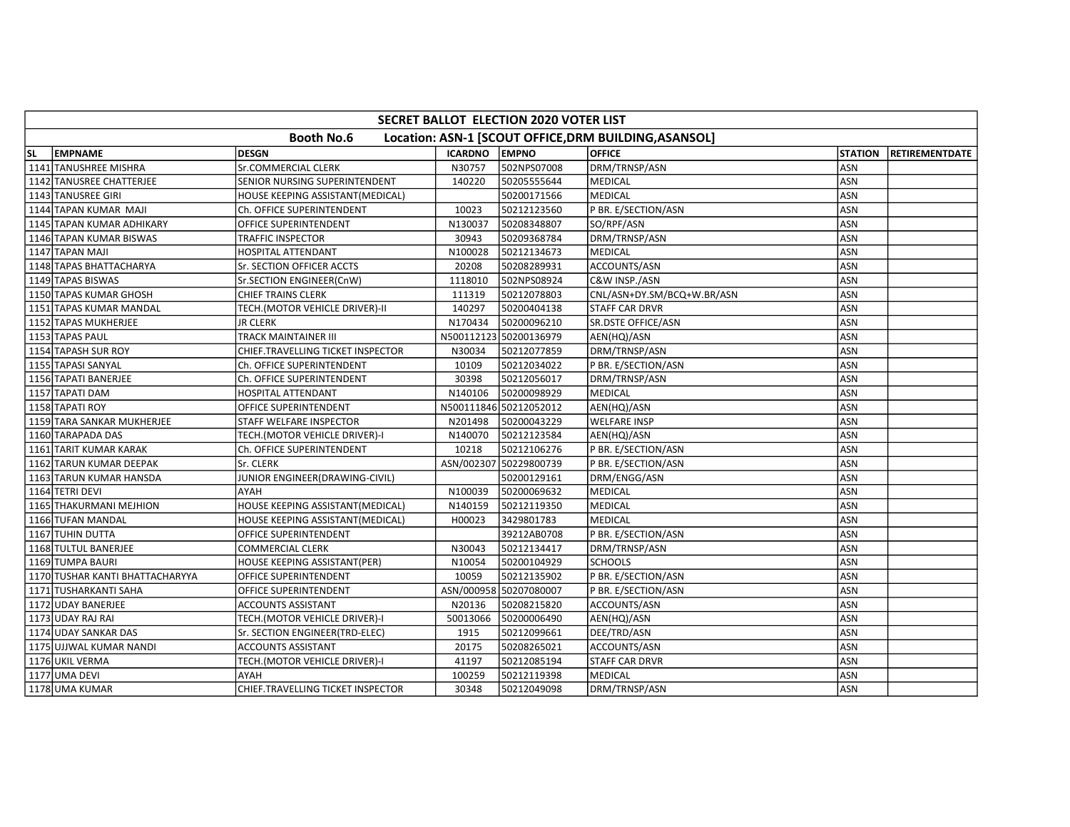|                                                                            | <b>SECRET BALLOT ELECTION 2020 VOTER LIST</b> |                                   |                      |                        |                            |                |                        |  |  |  |
|----------------------------------------------------------------------------|-----------------------------------------------|-----------------------------------|----------------------|------------------------|----------------------------|----------------|------------------------|--|--|--|
| <b>Booth No.6</b><br>Location: ASN-1 [SCOUT OFFICE, DRM BUILDING, ASANSOL] |                                               |                                   |                      |                        |                            |                |                        |  |  |  |
| SL.                                                                        | <b>EMPNAME</b>                                | <b>DESGN</b>                      | <b>ICARDNO EMPNO</b> |                        | <b>OFFICE</b>              | <b>STATION</b> | <b>IRETIREMENTDATE</b> |  |  |  |
|                                                                            | 1141 TANUSHREE MISHRA                         | Sr.COMMERCIAL CLERK               | N30757               | 502NPS07008            | DRM/TRNSP/ASN              | ASN            |                        |  |  |  |
|                                                                            | 1142 TANUSREE CHATTERJEE                      | SENIOR NURSING SUPERINTENDENT     | 140220               | 50205555644            | MEDICAL                    | ASN            |                        |  |  |  |
|                                                                            | 1143 TANUSREE GIRI                            | HOUSE KEEPING ASSISTANT(MEDICAL)  |                      | 50200171566            | <b>MEDICAL</b>             | ASN            |                        |  |  |  |
|                                                                            | 1144 TAPAN KUMAR MAJI                         | Ch. OFFICE SUPERINTENDENT         | 10023                | 50212123560            | P BR. E/SECTION/ASN        | ASN            |                        |  |  |  |
|                                                                            | 1145 TAPAN KUMAR ADHIKARY                     | OFFICE SUPERINTENDENT             | N130037              | 50208348807            | SO/RPF/ASN                 | ASN            |                        |  |  |  |
|                                                                            | 1146 TAPAN KUMAR BISWAS                       | TRAFFIC INSPECTOR                 | 30943                | 50209368784            | DRM/TRNSP/ASN              | <b>ASN</b>     |                        |  |  |  |
|                                                                            | 1147 TAPAN MAJI                               | HOSPITAL ATTENDANT                | N100028              | 50212134673            | <b>MEDICAL</b>             | ASN            |                        |  |  |  |
|                                                                            | 1148 TAPAS BHATTACHARYA                       | Sr. SECTION OFFICER ACCTS         | 20208                | 50208289931            | ACCOUNTS/ASN               | ASN            |                        |  |  |  |
|                                                                            | 1149 TAPAS BISWAS                             | Sr.SECTION ENGINEER(CnW)          | 1118010              | 502NPS08924            | C&W INSP./ASN              | ASN            |                        |  |  |  |
|                                                                            | 1150 TAPAS KUMAR GHOSH                        | <b>CHIEF TRAINS CLERK</b>         | 111319               | 50212078803            | CNL/ASN+DY.SM/BCQ+W.BR/ASN | <b>ASN</b>     |                        |  |  |  |
|                                                                            | 1151 TAPAS KUMAR MANDAL                       | TECH.(MOTOR VEHICLE DRIVER)-II    | 140297               | 50200404138            | <b>STAFF CAR DRVR</b>      | ASN            |                        |  |  |  |
|                                                                            | 1152 TAPAS MUKHERJEE                          | <b>JR CLERK</b>                   | N170434              | 50200096210            | SR.DSTE OFFICE/ASN         | ASN            |                        |  |  |  |
|                                                                            | 1153 TAPAS PAUL                               | TRACK MAINTAINER III              |                      | N500112123 50200136979 | AEN(HQ)/ASN                | ASN            |                        |  |  |  |
|                                                                            | 1154 TAPASH SUR ROY                           | CHIEF.TRAVELLING TICKET INSPECTOR | N30034               | 50212077859            | DRM/TRNSP/ASN              | <b>ASN</b>     |                        |  |  |  |
|                                                                            | 1155 TAPASI SANYAL                            | Ch. OFFICE SUPERINTENDENT         | 10109                | 50212034022            | P BR. E/SECTION/ASN        | <b>ASN</b>     |                        |  |  |  |
|                                                                            | 1156 TAPATI BANERJEE                          | Ch. OFFICE SUPERINTENDENT         | 30398                | 50212056017            | DRM/TRNSP/ASN              | <b>ASN</b>     |                        |  |  |  |
|                                                                            | 1157 TAPATI DAM                               | HOSPITAL ATTENDANT                | N140106              | 50200098929            | <b>MEDICAL</b>             | ASN            |                        |  |  |  |
|                                                                            | 1158 TAPATI ROY                               | OFFICE SUPERINTENDENT             |                      | N500111846 50212052012 | AEN(HQ)/ASN                | ASN            |                        |  |  |  |
|                                                                            | 1159 TARA SANKAR MUKHERJEE                    | STAFF WELFARE INSPECTOR           | N201498              | 50200043229            | <b>WELFARE INSP</b>        | ASN            |                        |  |  |  |
|                                                                            | 1160 TARAPADA DAS                             | TECH.(MOTOR VEHICLE DRIVER)-I     | N140070              | 50212123584            | AEN(HQ)/ASN                | ASN            |                        |  |  |  |
|                                                                            | 1161 TARIT KUMAR KARAK                        | Ch. OFFICE SUPERINTENDENT         | 10218                | 50212106276            | P BR. E/SECTION/ASN        | ASN            |                        |  |  |  |
|                                                                            | 1162 TARUN KUMAR DEEPAK                       | Sr. CLERK                         |                      | ASN/002307 50229800739 | P BR. E/SECTION/ASN        | ASN            |                        |  |  |  |
|                                                                            | 1163 TARUN KUMAR HANSDA                       | JUNIOR ENGINEER(DRAWING-CIVIL)    |                      | 50200129161            | DRM/ENGG/ASN               | ASN            |                        |  |  |  |
|                                                                            | 1164 TETRI DEVI                               | AYAH                              | N100039              | 50200069632            | <b>MEDICAL</b>             | ASN            |                        |  |  |  |
|                                                                            | 1165 THAKURMANI MEJHION                       | HOUSE KEEPING ASSISTANT(MEDICAL)  | N140159              | 50212119350            | <b>MEDICAL</b>             | ASN            |                        |  |  |  |
|                                                                            | 1166 TUFAN MANDAL                             | HOUSE KEEPING ASSISTANT(MEDICAL)  | H00023               | 3429801783             | <b>MEDICAL</b>             | <b>ASN</b>     |                        |  |  |  |
|                                                                            | 1167 TUHIN DUTTA                              | OFFICE SUPERINTENDENT             |                      | 39212AB0708            | P BR. E/SECTION/ASN        | <b>ASN</b>     |                        |  |  |  |
|                                                                            | 1168 TULTUL BANERJEE                          | COMMERCIAL CLERK                  | N30043               | 50212134417            | DRM/TRNSP/ASN              | ASN            |                        |  |  |  |
|                                                                            | 1169 TUMPA BAURI                              | HOUSE KEEPING ASSISTANT(PER)      | N10054               | 50200104929            | <b>SCHOOLS</b>             | <b>ASN</b>     |                        |  |  |  |
|                                                                            | 1170 TUSHAR KANTI BHATTACHARYYA               | OFFICE SUPERINTENDENT             | 10059                | 50212135902            | P BR. E/SECTION/ASN        | ASN            |                        |  |  |  |
|                                                                            | 1171 TUSHARKANTI SAHA                         | OFFICE SUPERINTENDENT             |                      | ASN/000958 50207080007 | P BR. E/SECTION/ASN        | ASN            |                        |  |  |  |
|                                                                            | 1172 UDAY BANERJEE                            | ACCOUNTS ASSISTANT                | N20136               | 50208215820            | ACCOUNTS/ASN               | ASN            |                        |  |  |  |
|                                                                            | 1173 UDAY RAJ RAI                             | TECH.(MOTOR VEHICLE DRIVER)-I     | 50013066             | 50200006490            | AEN(HQ)/ASN                | ASN            |                        |  |  |  |
|                                                                            | 1174 UDAY SANKAR DAS                          | Sr. SECTION ENGINEER(TRD-ELEC)    | 1915                 | 50212099661            | DEE/TRD/ASN                | ASN            |                        |  |  |  |
|                                                                            | 1175 UJJWAL KUMAR NANDI                       | <b>ACCOUNTS ASSISTANT</b>         | 20175                | 50208265021            | ACCOUNTS/ASN               | ASN            |                        |  |  |  |
|                                                                            | 1176 UKIL VERMA                               | TECH.(MOTOR VEHICLE DRIVER)-I     | 41197                | 50212085194            | <b>STAFF CAR DRVR</b>      | ASN            |                        |  |  |  |
|                                                                            | 1177 UMA DEVI                                 | AYAH                              | 100259               | 50212119398            | MEDICAL                    | ASN            |                        |  |  |  |
|                                                                            | 1178 UMA KUMAR                                | CHIEF.TRAVELLING TICKET INSPECTOR | 30348                | 50212049098            | DRM/TRNSP/ASN              | <b>ASN</b>     |                        |  |  |  |